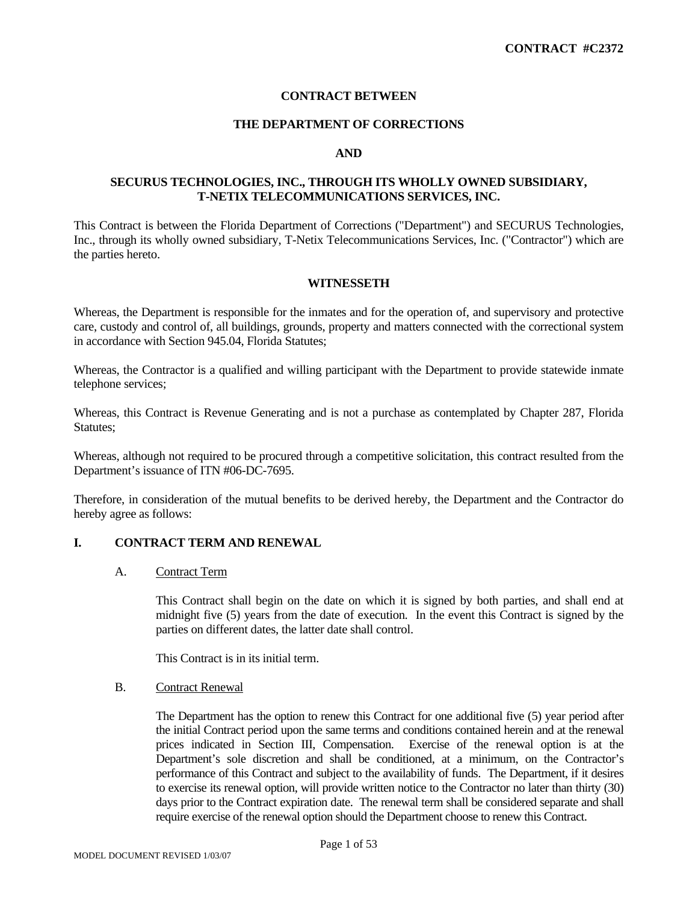### **CONTRACT BETWEEN**

### **THE DEPARTMENT OF CORRECTIONS**

#### **AND**

# **SECURUS TECHNOLOGIES, INC., THROUGH ITS WHOLLY OWNED SUBSIDIARY, T-NETIX TELECOMMUNICATIONS SERVICES, INC.**

This Contract is between the Florida Department of Corrections ("Department") and SECURUS Technologies, Inc., through its wholly owned subsidiary, T-Netix Telecommunications Services, Inc. ("Contractor") which are the parties hereto.

#### **WITNESSETH**

Whereas, the Department is responsible for the inmates and for the operation of, and supervisory and protective care, custody and control of, all buildings, grounds, property and matters connected with the correctional system in accordance with Section 945.04, Florida Statutes;

Whereas, the Contractor is a qualified and willing participant with the Department to provide statewide inmate telephone services;

Whereas, this Contract is Revenue Generating and is not a purchase as contemplated by Chapter 287, Florida Statutes;

Whereas, although not required to be procured through a competitive solicitation, this contract resulted from the Department's issuance of ITN #06-DC-7695.

Therefore, in consideration of the mutual benefits to be derived hereby, the Department and the Contractor do hereby agree as follows:

#### **I. CONTRACT TERM AND RENEWAL**

#### A. Contract Term

 This Contract shall begin on the date on which it is signed by both parties, and shall end at midnight five (5) years from the date of execution*.* In the event this Contract is signed by the parties on different dates, the latter date shall control.

This Contract is in its initial term.

#### B. Contract Renewal

The Department has the option to renew this Contract for one additional five (5) year period after the initial Contract period upon the same terms and conditions contained herein and at the renewal prices indicated in Section III, Compensation. Exercise of the renewal option is at the Department's sole discretion and shall be conditioned, at a minimum, on the Contractor's performance of this Contract and subject to the availability of funds. The Department, if it desires to exercise its renewal option, will provide written notice to the Contractor no later than thirty (30) days prior to the Contract expiration date. The renewal term shall be considered separate and shall require exercise of the renewal option should the Department choose to renew this Contract.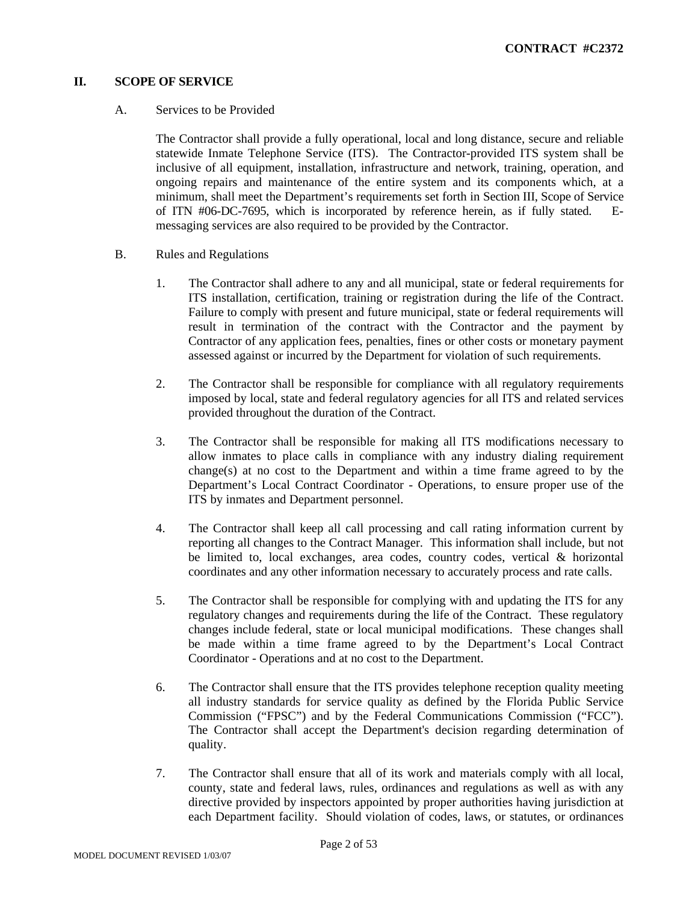# **II. SCOPE OF SERVICE**

## A. Services to be Provided

The Contractor shall provide a fully operational, local and long distance, secure and reliable statewide Inmate Telephone Service (ITS). The Contractor-provided ITS system shall be inclusive of all equipment, installation, infrastructure and network, training, operation, and ongoing repairs and maintenance of the entire system and its components which, at a minimum, shall meet the Department's requirements set forth in Section III, Scope of Service of ITN #06-DC-7695, which is incorporated by reference herein, as if fully stated. Emessaging services are also required to be provided by the Contractor.

- B. Rules and Regulations
	- 1. The Contractor shall adhere to any and all municipal, state or federal requirements for ITS installation, certification, training or registration during the life of the Contract. Failure to comply with present and future municipal, state or federal requirements will result in termination of the contract with the Contractor and the payment by Contractor of any application fees, penalties, fines or other costs or monetary payment assessed against or incurred by the Department for violation of such requirements.
	- 2. The Contractor shall be responsible for compliance with all regulatory requirements imposed by local, state and federal regulatory agencies for all ITS and related services provided throughout the duration of the Contract.
	- 3. The Contractor shall be responsible for making all ITS modifications necessary to allow inmates to place calls in compliance with any industry dialing requirement change(s) at no cost to the Department and within a time frame agreed to by the Department's Local Contract Coordinator - Operations, to ensure proper use of the ITS by inmates and Department personnel.
	- 4. The Contractor shall keep all call processing and call rating information current by reporting all changes to the Contract Manager. This information shall include, but not be limited to, local exchanges, area codes, country codes, vertical & horizontal coordinates and any other information necessary to accurately process and rate calls.
	- 5. The Contractor shall be responsible for complying with and updating the ITS for any regulatory changes and requirements during the life of the Contract. These regulatory changes include federal, state or local municipal modifications. These changes shall be made within a time frame agreed to by the Department's Local Contract Coordinator - Operations and at no cost to the Department.
	- 6. The Contractor shall ensure that the ITS provides telephone reception quality meeting all industry standards for service quality as defined by the Florida Public Service Commission ("FPSC") and by the Federal Communications Commission ("FCC"). The Contractor shall accept the Department's decision regarding determination of quality.
	- 7. The Contractor shall ensure that all of its work and materials comply with all local, county, state and federal laws, rules, ordinances and regulations as well as with any directive provided by inspectors appointed by proper authorities having jurisdiction at each Department facility. Should violation of codes, laws, or statutes, or ordinances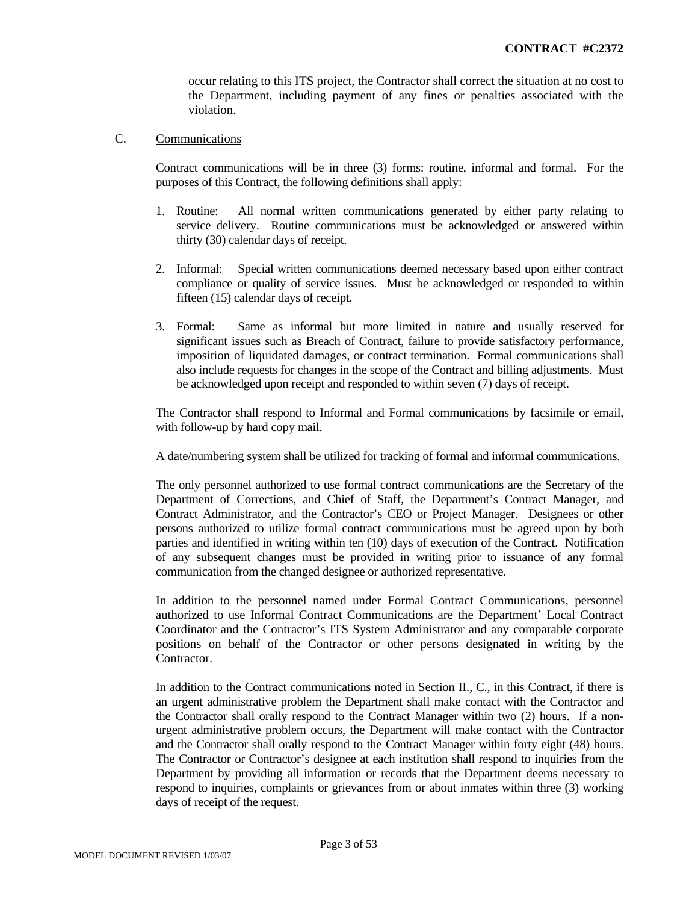occur relating to this ITS project, the Contractor shall correct the situation at no cost to the Department, including payment of any fines or penalties associated with the violation.

# C. Communications

Contract communications will be in three (3) forms: routine, informal and formal. For the purposes of this Contract, the following definitions shall apply:

- 1. Routine: All normal written communications generated by either party relating to service delivery. Routine communications must be acknowledged or answered within thirty (30) calendar days of receipt.
- 2. Informal: Special written communications deemed necessary based upon either contract compliance or quality of service issues. Must be acknowledged or responded to within fifteen (15) calendar days of receipt.
- 3. Formal: Same as informal but more limited in nature and usually reserved for significant issues such as Breach of Contract, failure to provide satisfactory performance, imposition of liquidated damages, or contract termination. Formal communications shall also include requests for changes in the scope of the Contract and billing adjustments. Must be acknowledged upon receipt and responded to within seven (7) days of receipt.

The Contractor shall respond to Informal and Formal communications by facsimile or email, with follow-up by hard copy mail.

A date/numbering system shall be utilized for tracking of formal and informal communications.

The only personnel authorized to use formal contract communications are the Secretary of the Department of Corrections, and Chief of Staff, the Department's Contract Manager, and Contract Administrator, and the Contractor's CEO or Project Manager. Designees or other persons authorized to utilize formal contract communications must be agreed upon by both parties and identified in writing within ten (10) days of execution of the Contract. Notification of any subsequent changes must be provided in writing prior to issuance of any formal communication from the changed designee or authorized representative.

In addition to the personnel named under Formal Contract Communications, personnel authorized to use Informal Contract Communications are the Department' Local Contract Coordinator and the Contractor's ITS System Administrator and any comparable corporate positions on behalf of the Contractor or other persons designated in writing by the Contractor.

In addition to the Contract communications noted in Section II., C., in this Contract, if there is an urgent administrative problem the Department shall make contact with the Contractor and the Contractor shall orally respond to the Contract Manager within two (2) hours. If a nonurgent administrative problem occurs, the Department will make contact with the Contractor and the Contractor shall orally respond to the Contract Manager within forty eight (48) hours. The Contractor or Contractor's designee at each institution shall respond to inquiries from the Department by providing all information or records that the Department deems necessary to respond to inquiries, complaints or grievances from or about inmates within three (3) working days of receipt of the request.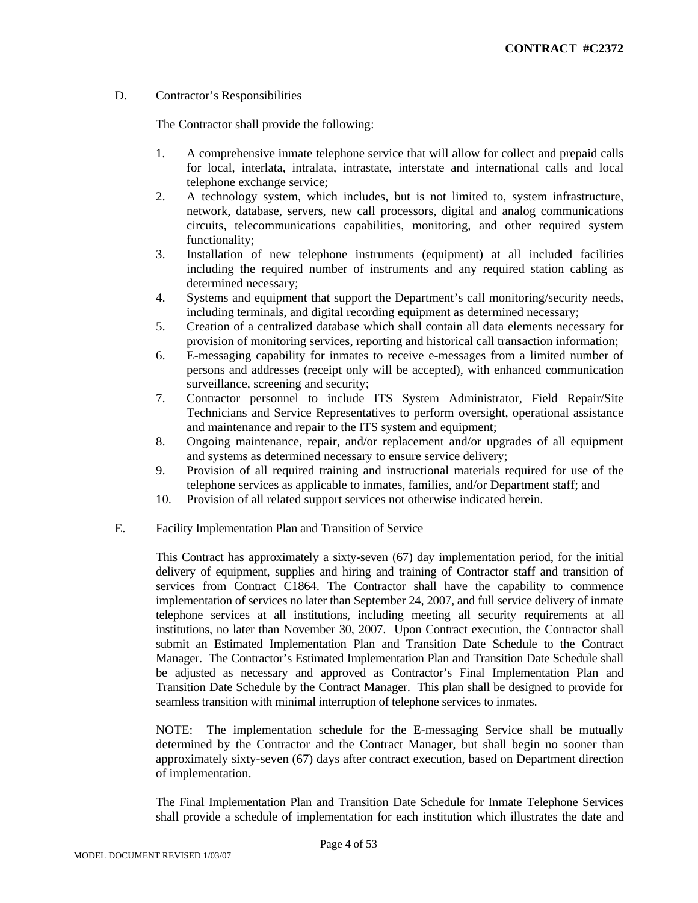## D. Contractor's Responsibilities

The Contractor shall provide the following:

- 1. A comprehensive inmate telephone service that will allow for collect and prepaid calls for local, interlata, intralata, intrastate, interstate and international calls and local telephone exchange service;
- 2. A technology system, which includes, but is not limited to, system infrastructure, network, database, servers, new call processors, digital and analog communications circuits, telecommunications capabilities, monitoring, and other required system functionality;
- 3. Installation of new telephone instruments (equipment) at all included facilities including the required number of instruments and any required station cabling as determined necessary;
- 4. Systems and equipment that support the Department's call monitoring/security needs, including terminals, and digital recording equipment as determined necessary;
- 5. Creation of a centralized database which shall contain all data elements necessary for provision of monitoring services, reporting and historical call transaction information;
- 6. E-messaging capability for inmates to receive e-messages from a limited number of persons and addresses (receipt only will be accepted), with enhanced communication surveillance, screening and security;
- 7. Contractor personnel to include ITS System Administrator, Field Repair/Site Technicians and Service Representatives to perform oversight, operational assistance and maintenance and repair to the ITS system and equipment;
- 8. Ongoing maintenance, repair, and/or replacement and/or upgrades of all equipment and systems as determined necessary to ensure service delivery;
- 9. Provision of all required training and instructional materials required for use of the telephone services as applicable to inmates, families, and/or Department staff; and
- 10. Provision of all related support services not otherwise indicated herein.

# E. Facility Implementation Plan and Transition of Service

This Contract has approximately a sixty-seven (67) day implementation period, for the initial delivery of equipment, supplies and hiring and training of Contractor staff and transition of services from Contract C1864. The Contractor shall have the capability to commence implementation of services no later than September 24, 2007, and full service delivery of inmate telephone services at all institutions, including meeting all security requirements at all institutions, no later than November 30, 2007. Upon Contract execution, the Contractor shall submit an Estimated Implementation Plan and Transition Date Schedule to the Contract Manager. The Contractor's Estimated Implementation Plan and Transition Date Schedule shall be adjusted as necessary and approved as Contractor's Final Implementation Plan and Transition Date Schedule by the Contract Manager. This plan shall be designed to provide for seamless transition with minimal interruption of telephone services to inmates.

NOTE: The implementation schedule for the E-messaging Service shall be mutually determined by the Contractor and the Contract Manager, but shall begin no sooner than approximately sixty-seven (67) days after contract execution, based on Department direction of implementation.

The Final Implementation Plan and Transition Date Schedule for Inmate Telephone Services shall provide a schedule of implementation for each institution which illustrates the date and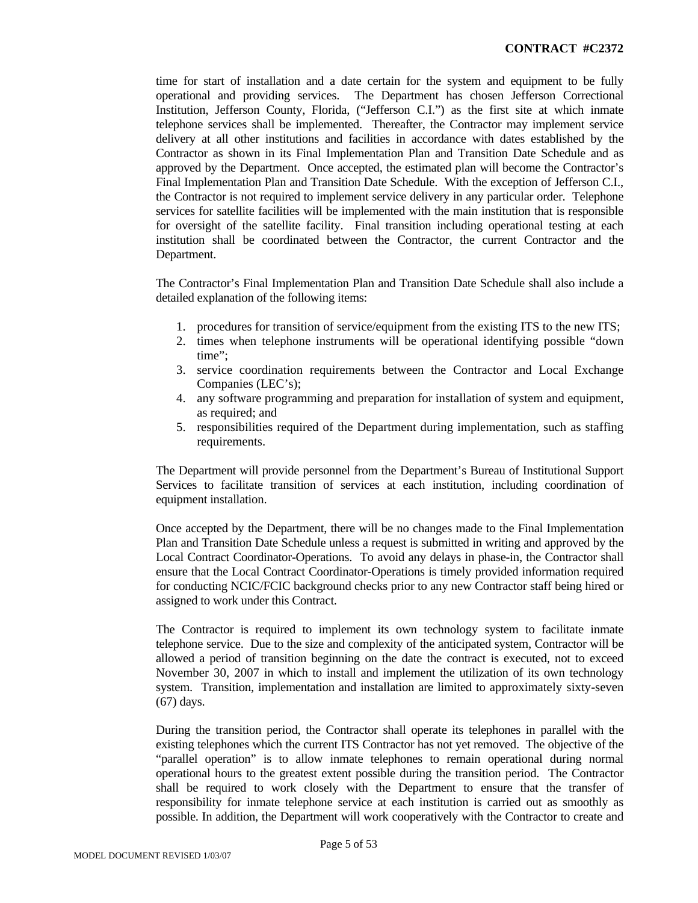time for start of installation and a date certain for the system and equipment to be fully operational and providing services. The Department has chosen Jefferson Correctional Institution, Jefferson County, Florida, ("Jefferson C.I.") as the first site at which inmate telephone services shall be implemented. Thereafter, the Contractor may implement service delivery at all other institutions and facilities in accordance with dates established by the Contractor as shown in its Final Implementation Plan and Transition Date Schedule and as approved by the Department. Once accepted, the estimated plan will become the Contractor's Final Implementation Plan and Transition Date Schedule. With the exception of Jefferson C.I., the Contractor is not required to implement service delivery in any particular order. Telephone services for satellite facilities will be implemented with the main institution that is responsible for oversight of the satellite facility. Final transition including operational testing at each institution shall be coordinated between the Contractor, the current Contractor and the Department.

The Contractor's Final Implementation Plan and Transition Date Schedule shall also include a detailed explanation of the following items:

- 1. procedures for transition of service/equipment from the existing ITS to the new ITS;
- 2. times when telephone instruments will be operational identifying possible "down time";
- 3. service coordination requirements between the Contractor and Local Exchange Companies (LEC's);
- 4. any software programming and preparation for installation of system and equipment, as required; and
- 5. responsibilities required of the Department during implementation, such as staffing requirements.

The Department will provide personnel from the Department's Bureau of Institutional Support Services to facilitate transition of services at each institution, including coordination of equipment installation.

Once accepted by the Department, there will be no changes made to the Final Implementation Plan and Transition Date Schedule unless a request is submitted in writing and approved by the Local Contract Coordinator-Operations. To avoid any delays in phase-in, the Contractor shall ensure that the Local Contract Coordinator-Operations is timely provided information required for conducting NCIC/FCIC background checks prior to any new Contractor staff being hired or assigned to work under this Contract.

The Contractor is required to implement its own technology system to facilitate inmate telephone service. Due to the size and complexity of the anticipated system, Contractor will be allowed a period of transition beginning on the date the contract is executed, not to exceed November 30, 2007 in which to install and implement the utilization of its own technology system. Transition, implementation and installation are limited to approximately sixty-seven (67) days.

During the transition period, the Contractor shall operate its telephones in parallel with the existing telephones which the current ITS Contractor has not yet removed. The objective of the "parallel operation" is to allow inmate telephones to remain operational during normal operational hours to the greatest extent possible during the transition period. The Contractor shall be required to work closely with the Department to ensure that the transfer of responsibility for inmate telephone service at each institution is carried out as smoothly as possible. In addition, the Department will work cooperatively with the Contractor to create and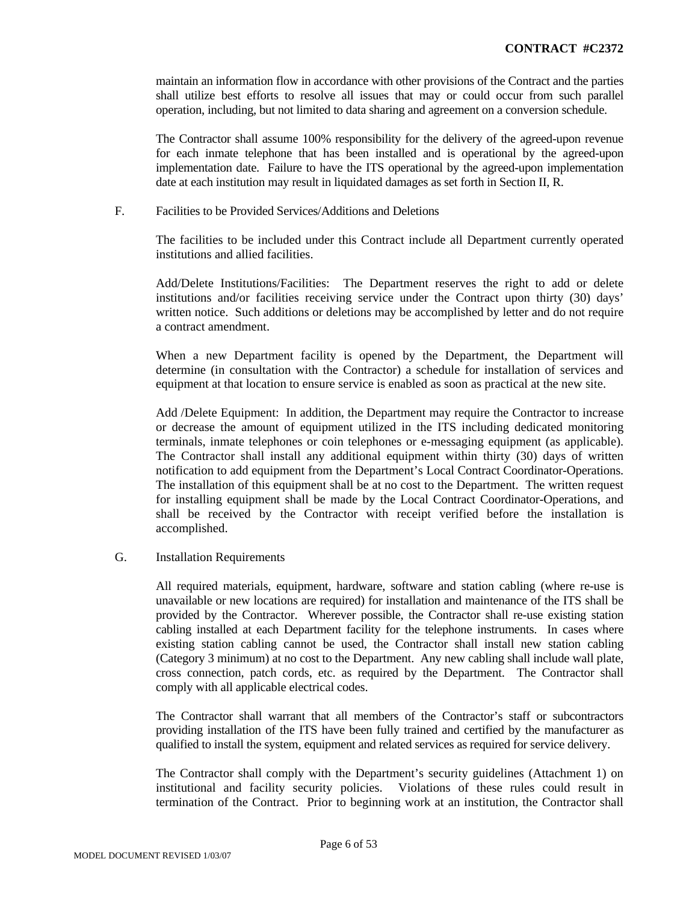maintain an information flow in accordance with other provisions of the Contract and the parties shall utilize best efforts to resolve all issues that may or could occur from such parallel operation, including, but not limited to data sharing and agreement on a conversion schedule.

The Contractor shall assume 100% responsibility for the delivery of the agreed-upon revenue for each inmate telephone that has been installed and is operational by the agreed-upon implementation date. Failure to have the ITS operational by the agreed-upon implementation date at each institution may result in liquidated damages as set forth in Section II, R.

F. Facilities to be Provided Services/Additions and Deletions

The facilities to be included under this Contract include all Department currently operated institutions and allied facilities.

Add/Delete Institutions/Facilities: The Department reserves the right to add or delete institutions and/or facilities receiving service under the Contract upon thirty (30) days' written notice. Such additions or deletions may be accomplished by letter and do not require a contract amendment.

When a new Department facility is opened by the Department, the Department will determine (in consultation with the Contractor) a schedule for installation of services and equipment at that location to ensure service is enabled as soon as practical at the new site.

Add /Delete Equipment: In addition, the Department may require the Contractor to increase or decrease the amount of equipment utilized in the ITS including dedicated monitoring terminals, inmate telephones or coin telephones or e-messaging equipment (as applicable). The Contractor shall install any additional equipment within thirty (30) days of written notification to add equipment from the Department's Local Contract Coordinator-Operations. The installation of this equipment shall be at no cost to the Department. The written request for installing equipment shall be made by the Local Contract Coordinator-Operations, and shall be received by the Contractor with receipt verified before the installation is accomplished.

#### G. Installation Requirements

All required materials, equipment, hardware, software and station cabling (where re-use is unavailable or new locations are required) for installation and maintenance of the ITS shall be provided by the Contractor. Wherever possible, the Contractor shall re-use existing station cabling installed at each Department facility for the telephone instruments. In cases where existing station cabling cannot be used, the Contractor shall install new station cabling (Category 3 minimum) at no cost to the Department. Any new cabling shall include wall plate, cross connection, patch cords, etc. as required by the Department. The Contractor shall comply with all applicable electrical codes.

The Contractor shall warrant that all members of the Contractor's staff or subcontractors providing installation of the ITS have been fully trained and certified by the manufacturer as qualified to install the system, equipment and related services as required for service delivery.

The Contractor shall comply with the Department's security guidelines (Attachment 1) on institutional and facility security policies. Violations of these rules could result in termination of the Contract. Prior to beginning work at an institution, the Contractor shall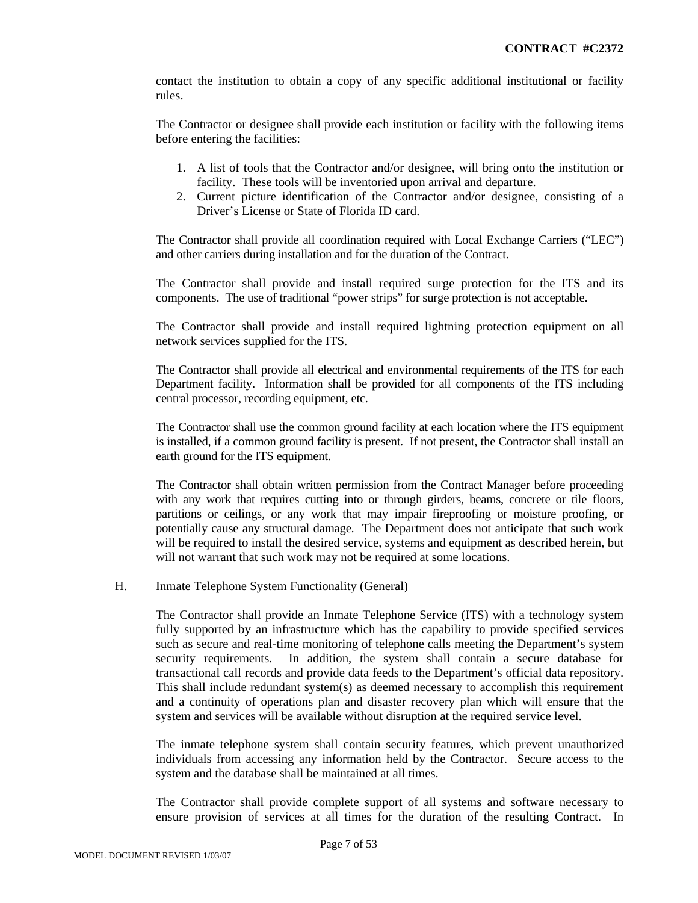contact the institution to obtain a copy of any specific additional institutional or facility rules.

The Contractor or designee shall provide each institution or facility with the following items before entering the facilities:

- 1. A list of tools that the Contractor and/or designee, will bring onto the institution or facility. These tools will be inventoried upon arrival and departure.
- 2. Current picture identification of the Contractor and/or designee, consisting of a Driver's License or State of Florida ID card.

The Contractor shall provide all coordination required with Local Exchange Carriers ("LEC") and other carriers during installation and for the duration of the Contract.

The Contractor shall provide and install required surge protection for the ITS and its components. The use of traditional "power strips" for surge protection is not acceptable.

The Contractor shall provide and install required lightning protection equipment on all network services supplied for the ITS.

The Contractor shall provide all electrical and environmental requirements of the ITS for each Department facility. Information shall be provided for all components of the ITS including central processor, recording equipment, etc.

The Contractor shall use the common ground facility at each location where the ITS equipment is installed, if a common ground facility is present. If not present, the Contractor shall install an earth ground for the ITS equipment.

The Contractor shall obtain written permission from the Contract Manager before proceeding with any work that requires cutting into or through girders, beams, concrete or tile floors, partitions or ceilings, or any work that may impair fireproofing or moisture proofing, or potentially cause any structural damage. The Department does not anticipate that such work will be required to install the desired service, systems and equipment as described herein, but will not warrant that such work may not be required at some locations.

#### H. Inmate Telephone System Functionality (General)

The Contractor shall provide an Inmate Telephone Service (ITS) with a technology system fully supported by an infrastructure which has the capability to provide specified services such as secure and real-time monitoring of telephone calls meeting the Department's system security requirements. In addition, the system shall contain a secure database for transactional call records and provide data feeds to the Department's official data repository. This shall include redundant system(s) as deemed necessary to accomplish this requirement and a continuity of operations plan and disaster recovery plan which will ensure that the system and services will be available without disruption at the required service level.

The inmate telephone system shall contain security features, which prevent unauthorized individuals from accessing any information held by the Contractor. Secure access to the system and the database shall be maintained at all times.

The Contractor shall provide complete support of all systems and software necessary to ensure provision of services at all times for the duration of the resulting Contract. In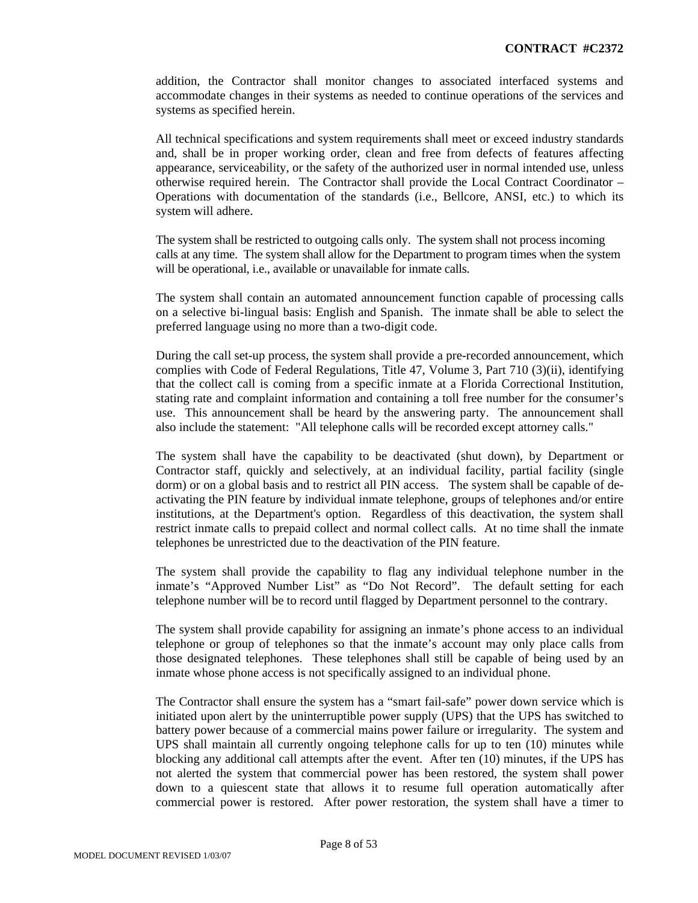addition, the Contractor shall monitor changes to associated interfaced systems and accommodate changes in their systems as needed to continue operations of the services and systems as specified herein.

All technical specifications and system requirements shall meet or exceed industry standards and, shall be in proper working order, clean and free from defects of features affecting appearance, serviceability, or the safety of the authorized user in normal intended use, unless otherwise required herein. The Contractor shall provide the Local Contract Coordinator – Operations with documentation of the standards (i.e., Bellcore, ANSI, etc.) to which its system will adhere.

The system shall be restricted to outgoing calls only. The system shall not process incoming calls at any time. The system shall allow for the Department to program times when the system will be operational, i.e., available or unavailable for inmate calls.

The system shall contain an automated announcement function capable of processing calls on a selective bi-lingual basis: English and Spanish. The inmate shall be able to select the preferred language using no more than a two-digit code.

During the call set-up process, the system shall provide a pre-recorded announcement, which complies with Code of Federal Regulations, Title 47, Volume 3, Part 710 (3)(ii), identifying that the collect call is coming from a specific inmate at a Florida Correctional Institution, stating rate and complaint information and containing a toll free number for the consumer's use. This announcement shall be heard by the answering party. The announcement shall also include the statement: "All telephone calls will be recorded except attorney calls."

The system shall have the capability to be deactivated (shut down), by Department or Contractor staff, quickly and selectively, at an individual facility, partial facility (single dorm) or on a global basis and to restrict all PIN access. The system shall be capable of deactivating the PIN feature by individual inmate telephone, groups of telephones and/or entire institutions, at the Department's option. Regardless of this deactivation, the system shall restrict inmate calls to prepaid collect and normal collect calls. At no time shall the inmate telephones be unrestricted due to the deactivation of the PIN feature.

The system shall provide the capability to flag any individual telephone number in the inmate's "Approved Number List" as "Do Not Record". The default setting for each telephone number will be to record until flagged by Department personnel to the contrary.

The system shall provide capability for assigning an inmate's phone access to an individual telephone or group of telephones so that the inmate's account may only place calls from those designated telephones. These telephones shall still be capable of being used by an inmate whose phone access is not specifically assigned to an individual phone.

The Contractor shall ensure the system has a "smart fail-safe" power down service which is initiated upon alert by the uninterruptible power supply (UPS) that the UPS has switched to battery power because of a commercial mains power failure or irregularity. The system and UPS shall maintain all currently ongoing telephone calls for up to ten (10) minutes while blocking any additional call attempts after the event. After ten (10) minutes, if the UPS has not alerted the system that commercial power has been restored, the system shall power down to a quiescent state that allows it to resume full operation automatically after commercial power is restored. After power restoration, the system shall have a timer to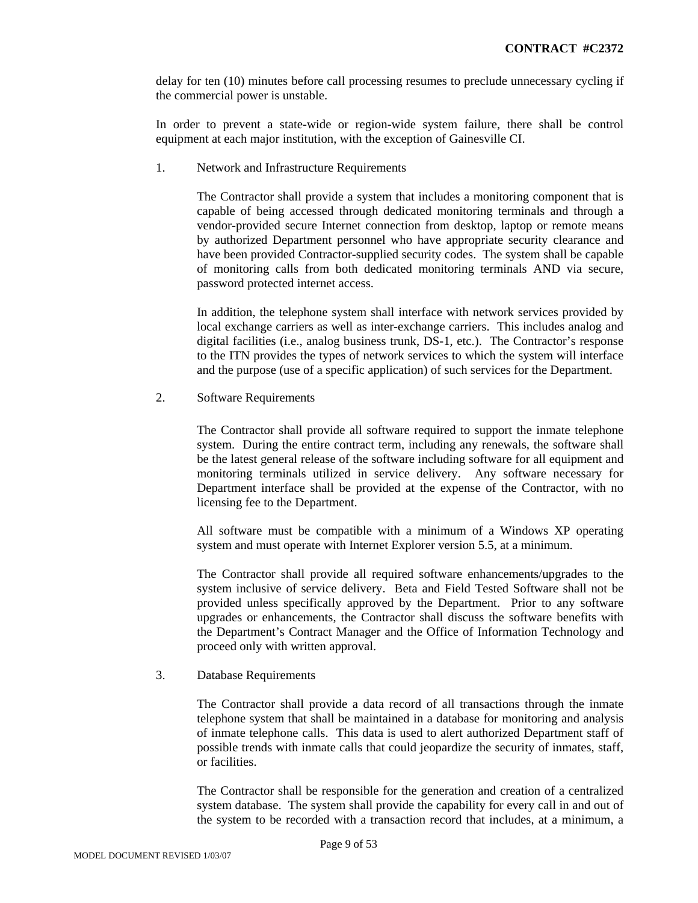delay for ten (10) minutes before call processing resumes to preclude unnecessary cycling if the commercial power is unstable.

In order to prevent a state-wide or region-wide system failure, there shall be control equipment at each major institution, with the exception of Gainesville CI.

1. Network and Infrastructure Requirements

The Contractor shall provide a system that includes a monitoring component that is capable of being accessed through dedicated monitoring terminals and through a vendor-provided secure Internet connection from desktop, laptop or remote means by authorized Department personnel who have appropriate security clearance and have been provided Contractor-supplied security codes. The system shall be capable of monitoring calls from both dedicated monitoring terminals AND via secure, password protected internet access.

In addition, the telephone system shall interface with network services provided by local exchange carriers as well as inter-exchange carriers. This includes analog and digital facilities (i.e., analog business trunk, DS-1, etc.). The Contractor's response to the ITN provides the types of network services to which the system will interface and the purpose (use of a specific application) of such services for the Department.

2. Software Requirements

The Contractor shall provide all software required to support the inmate telephone system. During the entire contract term, including any renewals, the software shall be the latest general release of the software including software for all equipment and monitoring terminals utilized in service delivery. Any software necessary for Department interface shall be provided at the expense of the Contractor, with no licensing fee to the Department.

All software must be compatible with a minimum of a Windows XP operating system and must operate with Internet Explorer version 5.5, at a minimum.

The Contractor shall provide all required software enhancements/upgrades to the system inclusive of service delivery. Beta and Field Tested Software shall not be provided unless specifically approved by the Department. Prior to any software upgrades or enhancements, the Contractor shall discuss the software benefits with the Department's Contract Manager and the Office of Information Technology and proceed only with written approval.

#### 3. Database Requirements

The Contractor shall provide a data record of all transactions through the inmate telephone system that shall be maintained in a database for monitoring and analysis of inmate telephone calls. This data is used to alert authorized Department staff of possible trends with inmate calls that could jeopardize the security of inmates, staff, or facilities.

The Contractor shall be responsible for the generation and creation of a centralized system database. The system shall provide the capability for every call in and out of the system to be recorded with a transaction record that includes, at a minimum, a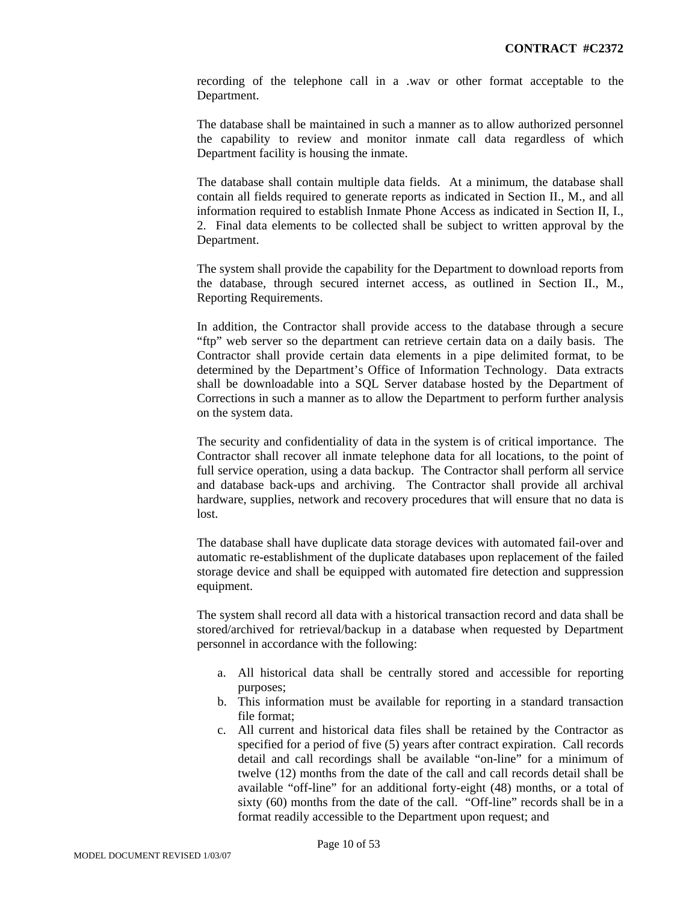recording of the telephone call in a .wav or other format acceptable to the Department.

The database shall be maintained in such a manner as to allow authorized personnel the capability to review and monitor inmate call data regardless of which Department facility is housing the inmate.

The database shall contain multiple data fields. At a minimum, the database shall contain all fields required to generate reports as indicated in Section II., M., and all information required to establish Inmate Phone Access as indicated in Section II, I., 2. Final data elements to be collected shall be subject to written approval by the Department.

The system shall provide the capability for the Department to download reports from the database, through secured internet access, as outlined in Section II., M., Reporting Requirements.

In addition, the Contractor shall provide access to the database through a secure "ftp" web server so the department can retrieve certain data on a daily basis. The Contractor shall provide certain data elements in a pipe delimited format, to be determined by the Department's Office of Information Technology. Data extracts shall be downloadable into a SQL Server database hosted by the Department of Corrections in such a manner as to allow the Department to perform further analysis on the system data.

The security and confidentiality of data in the system is of critical importance. The Contractor shall recover all inmate telephone data for all locations, to the point of full service operation, using a data backup. The Contractor shall perform all service and database back-ups and archiving. The Contractor shall provide all archival hardware, supplies, network and recovery procedures that will ensure that no data is lost.

The database shall have duplicate data storage devices with automated fail-over and automatic re-establishment of the duplicate databases upon replacement of the failed storage device and shall be equipped with automated fire detection and suppression equipment.

The system shall record all data with a historical transaction record and data shall be stored/archived for retrieval/backup in a database when requested by Department personnel in accordance with the following:

- a. All historical data shall be centrally stored and accessible for reporting purposes;
- b. This information must be available for reporting in a standard transaction file format;
- c. All current and historical data files shall be retained by the Contractor as specified for a period of five (5) years after contract expiration. Call records detail and call recordings shall be available "on-line" for a minimum of twelve (12) months from the date of the call and call records detail shall be available "off-line" for an additional forty-eight (48) months, or a total of sixty (60) months from the date of the call. "Off-line" records shall be in a format readily accessible to the Department upon request; and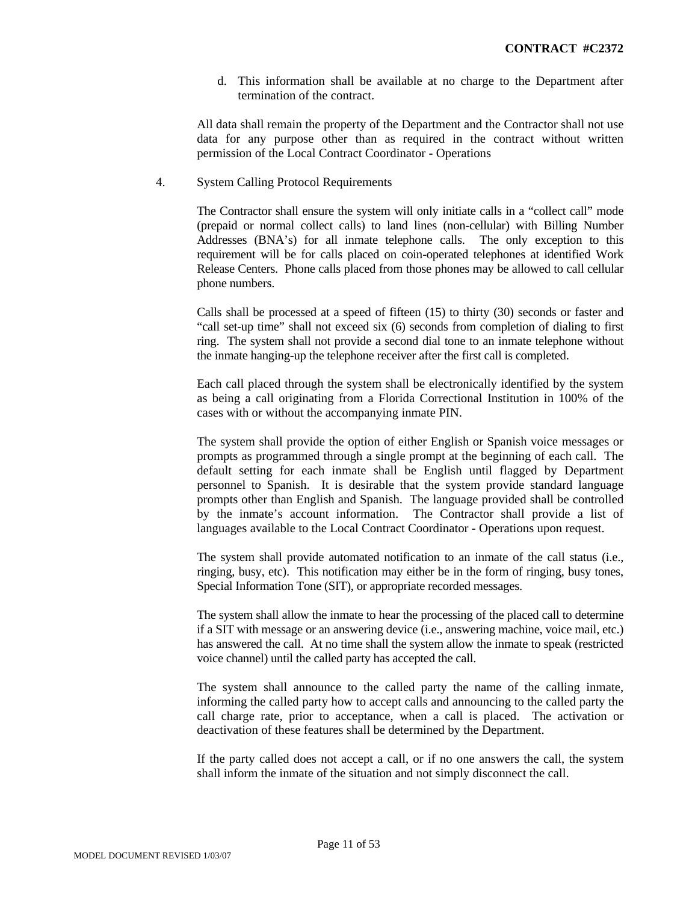d. This information shall be available at no charge to the Department after termination of the contract.

All data shall remain the property of the Department and the Contractor shall not use data for any purpose other than as required in the contract without written permission of the Local Contract Coordinator - Operations

4. System Calling Protocol Requirements

The Contractor shall ensure the system will only initiate calls in a "collect call" mode (prepaid or normal collect calls) to land lines (non-cellular) with Billing Number Addresses (BNA's) for all inmate telephone calls. The only exception to this requirement will be for calls placed on coin-operated telephones at identified Work Release Centers. Phone calls placed from those phones may be allowed to call cellular phone numbers.

Calls shall be processed at a speed of fifteen (15) to thirty (30) seconds or faster and "call set-up time" shall not exceed six (6) seconds from completion of dialing to first ring. The system shall not provide a second dial tone to an inmate telephone without the inmate hanging-up the telephone receiver after the first call is completed.

Each call placed through the system shall be electronically identified by the system as being a call originating from a Florida Correctional Institution in 100% of the cases with or without the accompanying inmate PIN.

The system shall provide the option of either English or Spanish voice messages or prompts as programmed through a single prompt at the beginning of each call. The default setting for each inmate shall be English until flagged by Department personnel to Spanish. It is desirable that the system provide standard language prompts other than English and Spanish. The language provided shall be controlled by the inmate's account information. The Contractor shall provide a list of languages available to the Local Contract Coordinator - Operations upon request.

The system shall provide automated notification to an inmate of the call status (i.e., ringing, busy, etc). This notification may either be in the form of ringing, busy tones, Special Information Tone (SIT), or appropriate recorded messages.

The system shall allow the inmate to hear the processing of the placed call to determine if a SIT with message or an answering device (i.e., answering machine, voice mail, etc.) has answered the call. At no time shall the system allow the inmate to speak (restricted voice channel) until the called party has accepted the call.

The system shall announce to the called party the name of the calling inmate, informing the called party how to accept calls and announcing to the called party the call charge rate, prior to acceptance, when a call is placed. The activation or deactivation of these features shall be determined by the Department.

If the party called does not accept a call, or if no one answers the call, the system shall inform the inmate of the situation and not simply disconnect the call.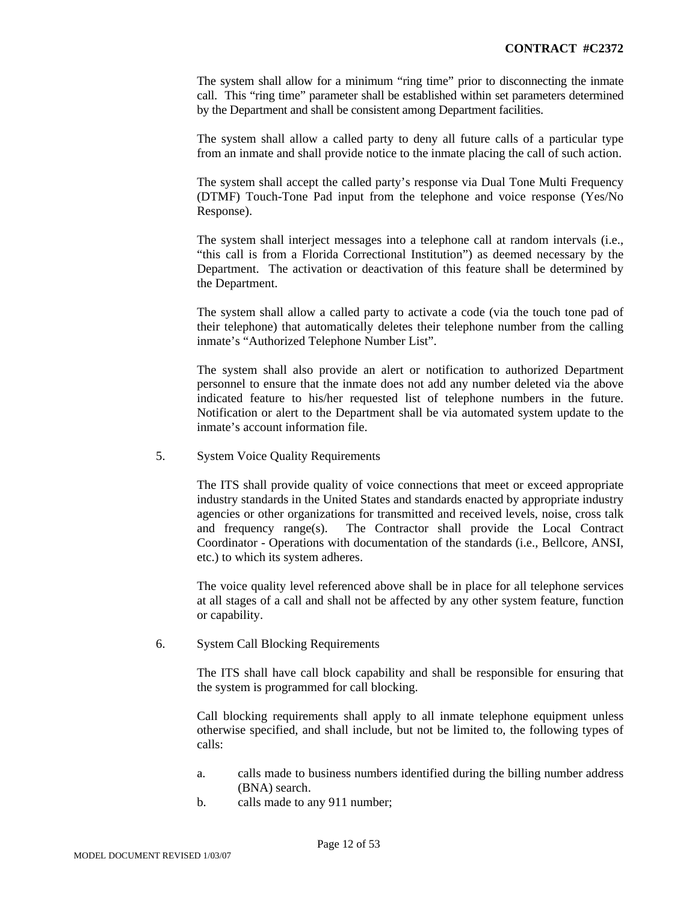The system shall allow for a minimum "ring time" prior to disconnecting the inmate call. This "ring time" parameter shall be established within set parameters determined by the Department and shall be consistent among Department facilities.

The system shall allow a called party to deny all future calls of a particular type from an inmate and shall provide notice to the inmate placing the call of such action.

The system shall accept the called party's response via Dual Tone Multi Frequency (DTMF) Touch-Tone Pad input from the telephone and voice response (Yes/No Response).

The system shall interject messages into a telephone call at random intervals (i.e., "this call is from a Florida Correctional Institution") as deemed necessary by the Department. The activation or deactivation of this feature shall be determined by the Department.

The system shall allow a called party to activate a code (via the touch tone pad of their telephone) that automatically deletes their telephone number from the calling inmate's "Authorized Telephone Number List".

The system shall also provide an alert or notification to authorized Department personnel to ensure that the inmate does not add any number deleted via the above indicated feature to his/her requested list of telephone numbers in the future. Notification or alert to the Department shall be via automated system update to the inmate's account information file.

#### 5. System Voice Quality Requirements

The ITS shall provide quality of voice connections that meet or exceed appropriate industry standards in the United States and standards enacted by appropriate industry agencies or other organizations for transmitted and received levels, noise, cross talk and frequency range(s). The Contractor shall provide the Local Contract Coordinator - Operations with documentation of the standards (i.e., Bellcore, ANSI, etc.) to which its system adheres.

The voice quality level referenced above shall be in place for all telephone services at all stages of a call and shall not be affected by any other system feature, function or capability.

#### 6. System Call Blocking Requirements

The ITS shall have call block capability and shall be responsible for ensuring that the system is programmed for call blocking.

Call blocking requirements shall apply to all inmate telephone equipment unless otherwise specified, and shall include, but not be limited to, the following types of calls:

- a. calls made to business numbers identified during the billing number address (BNA) search.
- b. calls made to any 911 number;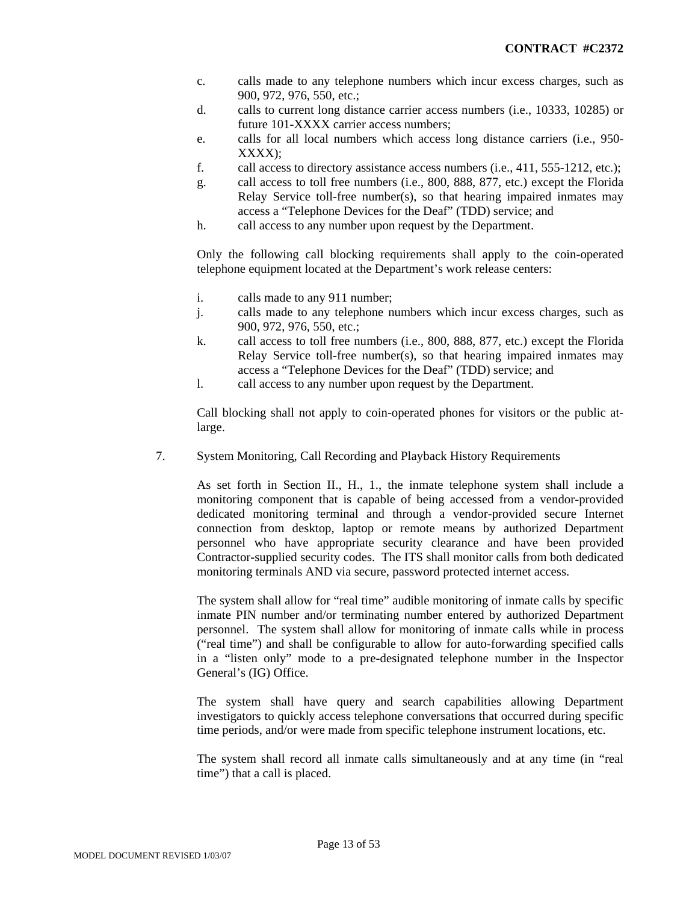- c. calls made to any telephone numbers which incur excess charges, such as 900, 972, 976, 550, etc.;
- d. calls to current long distance carrier access numbers (i.e., 10333, 10285) or future 101-XXXX carrier access numbers;
- e. calls for all local numbers which access long distance carriers (i.e., 950- XXXX);
- f. call access to directory assistance access numbers (i.e., 411, 555-1212, etc.);
- g. call access to toll free numbers (i.e., 800, 888, 877, etc.) except the Florida Relay Service toll-free number(s), so that hearing impaired inmates may access a "Telephone Devices for the Deaf" (TDD) service; and
- h. call access to any number upon request by the Department.

Only the following call blocking requirements shall apply to the coin-operated telephone equipment located at the Department's work release centers:

- i. calls made to any 911 number;
- j. calls made to any telephone numbers which incur excess charges, such as 900, 972, 976, 550, etc.;
- k. call access to toll free numbers (i.e., 800, 888, 877, etc.) except the Florida Relay Service toll-free number(s), so that hearing impaired inmates may access a "Telephone Devices for the Deaf" (TDD) service; and
- l. call access to any number upon request by the Department.

Call blocking shall not apply to coin-operated phones for visitors or the public atlarge.

7. System Monitoring, Call Recording and Playback History Requirements

As set forth in Section II., H., 1., the inmate telephone system shall include a monitoring component that is capable of being accessed from a vendor-provided dedicated monitoring terminal and through a vendor-provided secure Internet connection from desktop, laptop or remote means by authorized Department personnel who have appropriate security clearance and have been provided Contractor-supplied security codes. The ITS shall monitor calls from both dedicated monitoring terminals AND via secure, password protected internet access.

The system shall allow for "real time" audible monitoring of inmate calls by specific inmate PIN number and/or terminating number entered by authorized Department personnel. The system shall allow for monitoring of inmate calls while in process ("real time") and shall be configurable to allow for auto-forwarding specified calls in a "listen only" mode to a pre-designated telephone number in the Inspector General's (IG) Office.

The system shall have query and search capabilities allowing Department investigators to quickly access telephone conversations that occurred during specific time periods, and/or were made from specific telephone instrument locations, etc.

The system shall record all inmate calls simultaneously and at any time (in "real time") that a call is placed.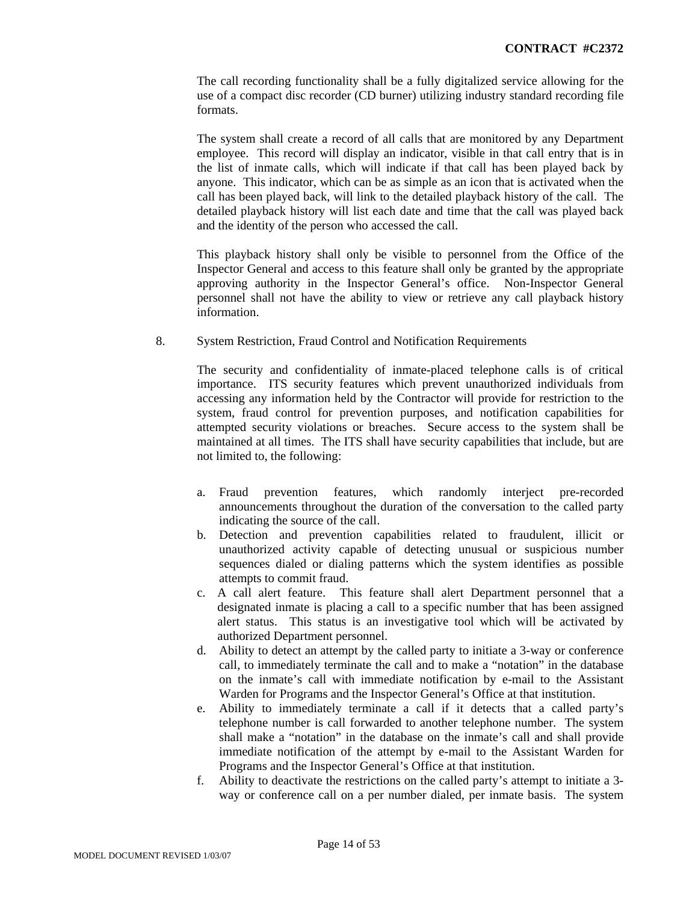The call recording functionality shall be a fully digitalized service allowing for the use of a compact disc recorder (CD burner) utilizing industry standard recording file formats.

The system shall create a record of all calls that are monitored by any Department employee. This record will display an indicator, visible in that call entry that is in the list of inmate calls, which will indicate if that call has been played back by anyone. This indicator, which can be as simple as an icon that is activated when the call has been played back, will link to the detailed playback history of the call. The detailed playback history will list each date and time that the call was played back and the identity of the person who accessed the call.

This playback history shall only be visible to personnel from the Office of the Inspector General and access to this feature shall only be granted by the appropriate approving authority in the Inspector General's office. Non-Inspector General personnel shall not have the ability to view or retrieve any call playback history information.

8. System Restriction, Fraud Control and Notification Requirements

The security and confidentiality of inmate-placed telephone calls is of critical importance. ITS security features which prevent unauthorized individuals from accessing any information held by the Contractor will provide for restriction to the system, fraud control for prevention purposes, and notification capabilities for attempted security violations or breaches. Secure access to the system shall be maintained at all times. The ITS shall have security capabilities that include, but are not limited to, the following:

- a. Fraud prevention features, which randomly interject pre-recorded announcements throughout the duration of the conversation to the called party indicating the source of the call.
- b. Detection and prevention capabilities related to fraudulent, illicit or unauthorized activity capable of detecting unusual or suspicious number sequences dialed or dialing patterns which the system identifies as possible attempts to commit fraud.
- c. A call alert feature. This feature shall alert Department personnel that a designated inmate is placing a call to a specific number that has been assigned alert status. This status is an investigative tool which will be activated by authorized Department personnel.
- d. Ability to detect an attempt by the called party to initiate a 3-way or conference call, to immediately terminate the call and to make a "notation" in the database on the inmate's call with immediate notification by e-mail to the Assistant Warden for Programs and the Inspector General's Office at that institution.
- e. Ability to immediately terminate a call if it detects that a called party's telephone number is call forwarded to another telephone number. The system shall make a "notation" in the database on the inmate's call and shall provide immediate notification of the attempt by e-mail to the Assistant Warden for Programs and the Inspector General's Office at that institution.
- f. Ability to deactivate the restrictions on the called party's attempt to initiate a 3 way or conference call on a per number dialed, per inmate basis. The system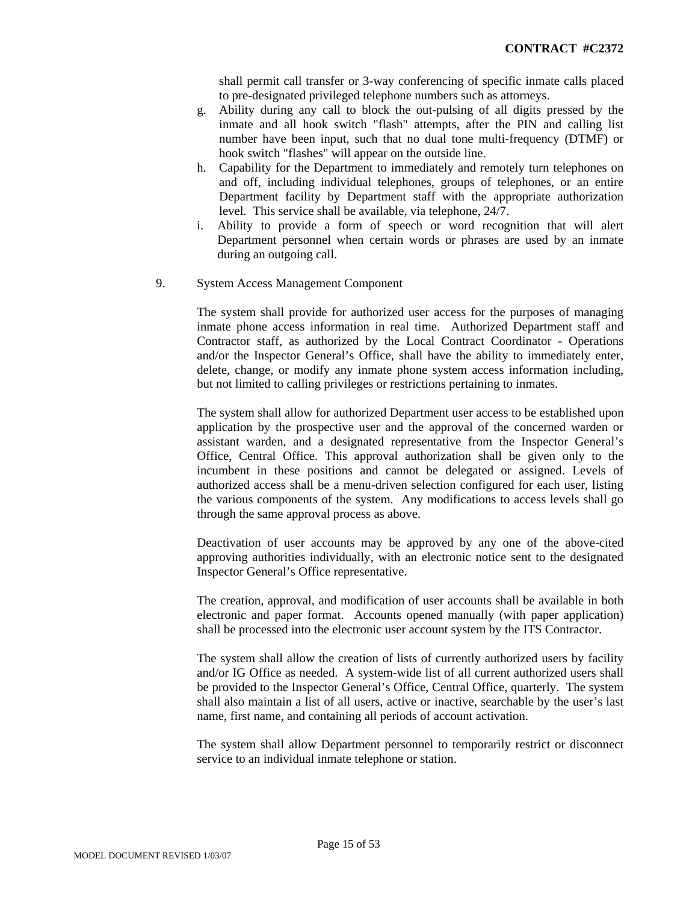shall permit call transfer or 3-way conferencing of specific inmate calls placed to pre-designated privileged telephone numbers such as attorneys.

- g. Ability during any call to block the out-pulsing of all digits pressed by the inmate and all hook switch "flash" attempts, after the PIN and calling list number have been input, such that no dual tone multi-frequency (DTMF) or hook switch "flashes" will appear on the outside line.
- h. Capability for the Department to immediately and remotely turn telephones on and off, including individual telephones, groups of telephones, or an entire Department facility by Department staff with the appropriate authorization level. This service shall be available, via telephone, 24/7.
- i. Ability to provide a form of speech or word recognition that will alert Department personnel when certain words or phrases are used by an inmate during an outgoing call.
- 9. System Access Management Component

The system shall provide for authorized user access for the purposes of managing inmate phone access information in real time. Authorized Department staff and Contractor staff, as authorized by the Local Contract Coordinator - Operations and/or the Inspector General's Office, shall have the ability to immediately enter, delete, change, or modify any inmate phone system access information including, but not limited to calling privileges or restrictions pertaining to inmates.

The system shall allow for authorized Department user access to be established upon application by the prospective user and the approval of the concerned warden or assistant warden, and a designated representative from the Inspector General's Office, Central Office. This approval authorization shall be given only to the incumbent in these positions and cannot be delegated or assigned. Levels of authorized access shall be a menu-driven selection configured for each user, listing the various components of the system. Any modifications to access levels shall go through the same approval process as above.

Deactivation of user accounts may be approved by any one of the above-cited approving authorities individually, with an electronic notice sent to the designated Inspector General's Office representative.

The creation, approval, and modification of user accounts shall be available in both electronic and paper format. Accounts opened manually (with paper application) shall be processed into the electronic user account system by the ITS Contractor.

The system shall allow the creation of lists of currently authorized users by facility and/or IG Office as needed. A system-wide list of all current authorized users shall be provided to the Inspector General's Office, Central Office, quarterly. The system shall also maintain a list of all users, active or inactive, searchable by the user's last name, first name, and containing all periods of account activation.

The system shall allow Department personnel to temporarily restrict or disconnect service to an individual inmate telephone or station.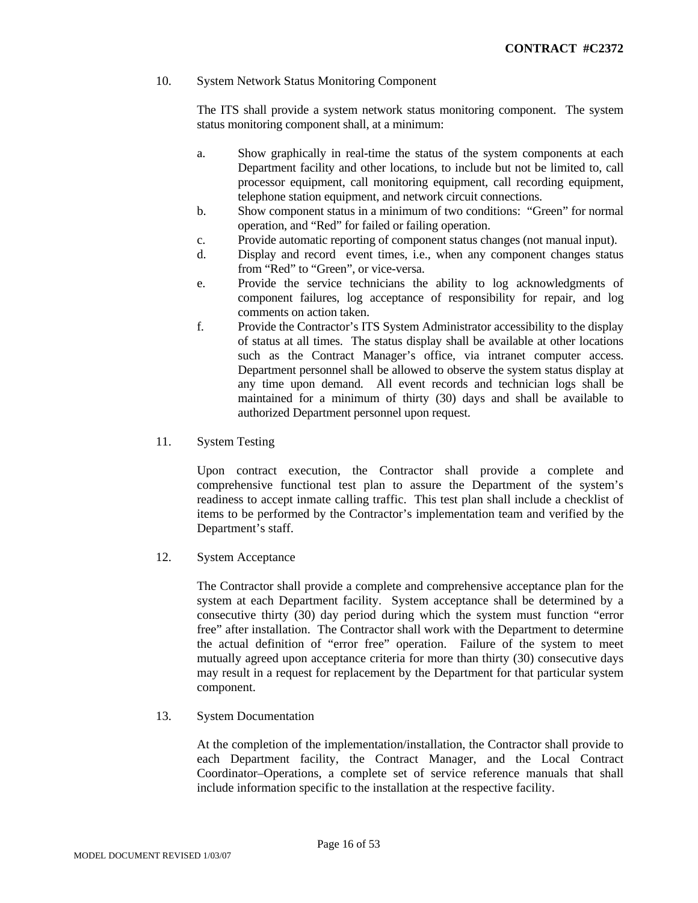# 10. System Network Status Monitoring Component

The ITS shall provide a system network status monitoring component. The system status monitoring component shall, at a minimum:

- a. Show graphically in real-time the status of the system components at each Department facility and other locations, to include but not be limited to, call processor equipment, call monitoring equipment, call recording equipment, telephone station equipment, and network circuit connections.
- b. Show component status in a minimum of two conditions: "Green" for normal operation, and "Red" for failed or failing operation.
- c. Provide automatic reporting of component status changes (not manual input).
- d. Display and record event times, i.e., when any component changes status from "Red" to "Green", or vice-versa.
- e. Provide the service technicians the ability to log acknowledgments of component failures, log acceptance of responsibility for repair, and log comments on action taken.
- f. Provide the Contractor's ITS System Administrator accessibility to the display of status at all times. The status display shall be available at other locations such as the Contract Manager's office, via intranet computer access. Department personnel shall be allowed to observe the system status display at any time upon demand. All event records and technician logs shall be maintained for a minimum of thirty (30) days and shall be available to authorized Department personnel upon request.
- 11. System Testing

Upon contract execution, the Contractor shall provide a complete and comprehensive functional test plan to assure the Department of the system's readiness to accept inmate calling traffic. This test plan shall include a checklist of items to be performed by the Contractor's implementation team and verified by the Department's staff.

12. System Acceptance

The Contractor shall provide a complete and comprehensive acceptance plan for the system at each Department facility. System acceptance shall be determined by a consecutive thirty (30) day period during which the system must function "error free" after installation. The Contractor shall work with the Department to determine the actual definition of "error free" operation. Failure of the system to meet mutually agreed upon acceptance criteria for more than thirty (30) consecutive days may result in a request for replacement by the Department for that particular system component.

13. System Documentation

At the completion of the implementation/installation, the Contractor shall provide to each Department facility, the Contract Manager, and the Local Contract Coordinator–Operations, a complete set of service reference manuals that shall include information specific to the installation at the respective facility.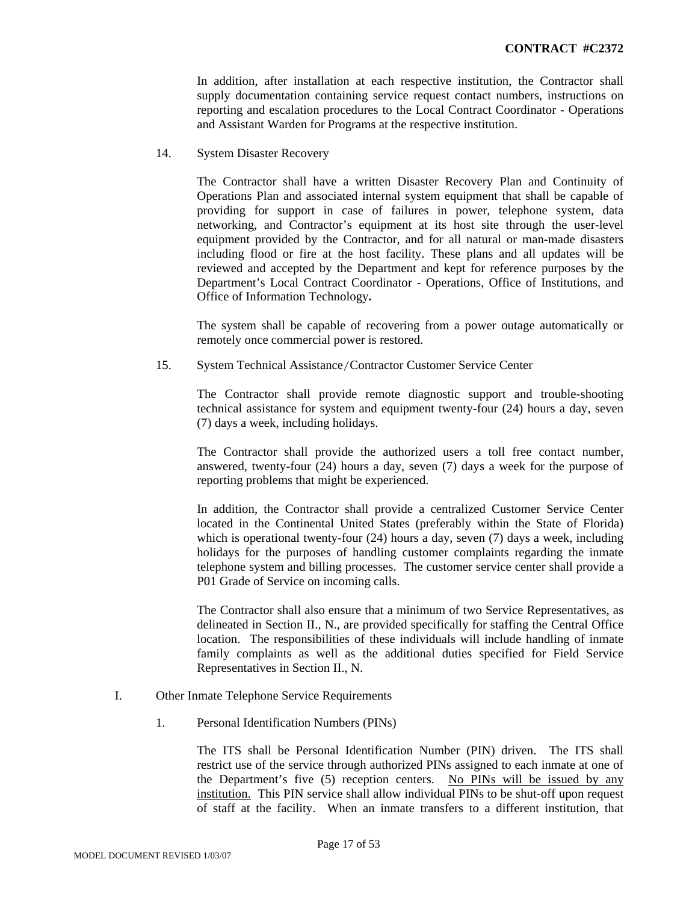In addition, after installation at each respective institution, the Contractor shall supply documentation containing service request contact numbers, instructions on reporting and escalation procedures to the Local Contract Coordinator - Operations and Assistant Warden for Programs at the respective institution.

14. System Disaster Recovery

The Contractor shall have a written Disaster Recovery Plan and Continuity of Operations Plan and associated internal system equipment that shall be capable of providing for support in case of failures in power, telephone system, data networking, and Contractor's equipment at its host site through the user-level equipment provided by the Contractor, and for all natural or man-made disasters including flood or fire at the host facility. These plans and all updates will be reviewed and accepted by the Department and kept for reference purposes by the Department's Local Contract Coordinator - Operations, Office of Institutions, and Office of Information Technology**.**

The system shall be capable of recovering from a power outage automatically or remotely once commercial power is restored.

15. System Technical Assistance/Contractor Customer Service Center

The Contractor shall provide remote diagnostic support and trouble-shooting technical assistance for system and equipment twenty-four (24) hours a day, seven (7) days a week, including holidays.

The Contractor shall provide the authorized users a toll free contact number, answered, twenty-four (24) hours a day, seven (7) days a week for the purpose of reporting problems that might be experienced.

In addition, the Contractor shall provide a centralized Customer Service Center located in the Continental United States (preferably within the State of Florida) which is operational twenty-four (24) hours a day, seven (7) days a week, including holidays for the purposes of handling customer complaints regarding the inmate telephone system and billing processes. The customer service center shall provide a P01 Grade of Service on incoming calls.

The Contractor shall also ensure that a minimum of two Service Representatives, as delineated in Section II., N., are provided specifically for staffing the Central Office location. The responsibilities of these individuals will include handling of inmate family complaints as well as the additional duties specified for Field Service Representatives in Section II., N.

- I. Other Inmate Telephone Service Requirements
	- 1. Personal Identification Numbers (PINs)

The ITS shall be Personal Identification Number (PIN) driven. The ITS shall restrict use of the service through authorized PINs assigned to each inmate at one of the Department's five (5) reception centers. No PINs will be issued by any institution. This PIN service shall allow individual PINs to be shut-off upon request of staff at the facility. When an inmate transfers to a different institution, that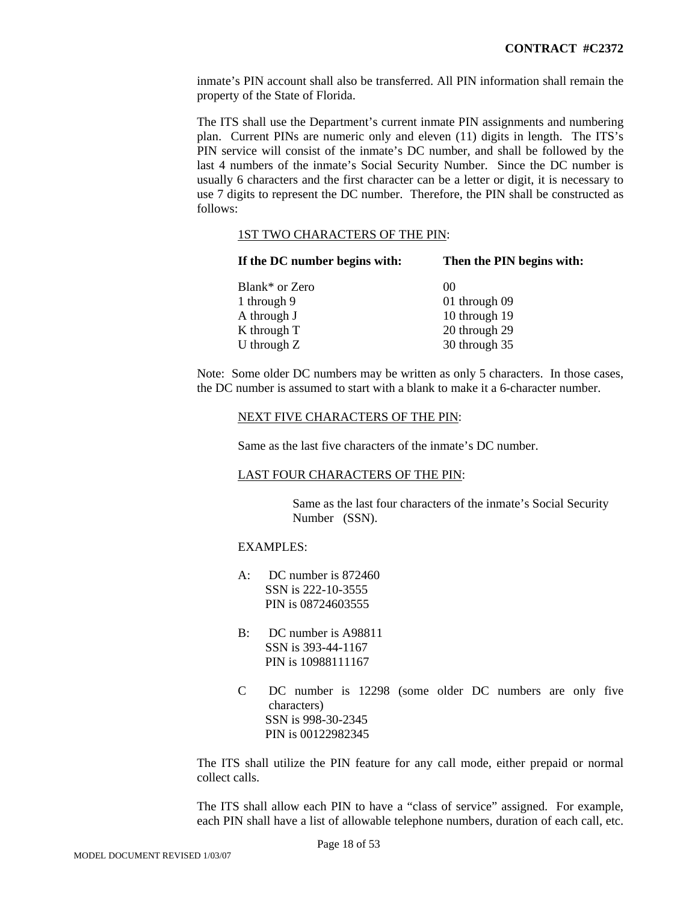inmate's PIN account shall also be transferred. All PIN information shall remain the property of the State of Florida.

The ITS shall use the Department's current inmate PIN assignments and numbering plan. Current PINs are numeric only and eleven (11) digits in length. The ITS's PIN service will consist of the inmate's DC number, and shall be followed by the last 4 numbers of the inmate's Social Security Number. Since the DC number is usually 6 characters and the first character can be a letter or digit, it is necessary to use 7 digits to represent the DC number. Therefore, the PIN shall be constructed as follows:

#### 1ST TWO CHARACTERS OF THE PIN:

| If the DC number begins with: | Then the PIN begins with: |
|-------------------------------|---------------------------|
| Blank* or Zero                | $\Omega$                  |
| 1 through 9                   | 01 through 09             |
| A through J                   | 10 through 19             |
| K through T                   | 20 through 29             |
| U through $Z$                 | 30 through 35             |

Note: Some older DC numbers may be written as only 5 characters. In those cases, the DC number is assumed to start with a blank to make it a 6-character number.

#### NEXT FIVE CHARACTERS OF THE PIN:

Same as the last five characters of the inmate's DC number.

#### LAST FOUR CHARACTERS OF THE PIN:

Same as the last four characters of the inmate's Social Security Number (SSN).

# EXAMPLES:

- A: DC number is 872460 SSN is 222-10-3555 PIN is 08724603555
- B: DC number is A98811 SSN is 393-44-1167 PIN is 10988111167
- C DC number is 12298 (some older DC numbers are only five characters) SSN is 998-30-2345 PIN is 00122982345

The ITS shall utilize the PIN feature for any call mode, either prepaid or normal collect calls.

The ITS shall allow each PIN to have a "class of service" assigned. For example, each PIN shall have a list of allowable telephone numbers, duration of each call, etc.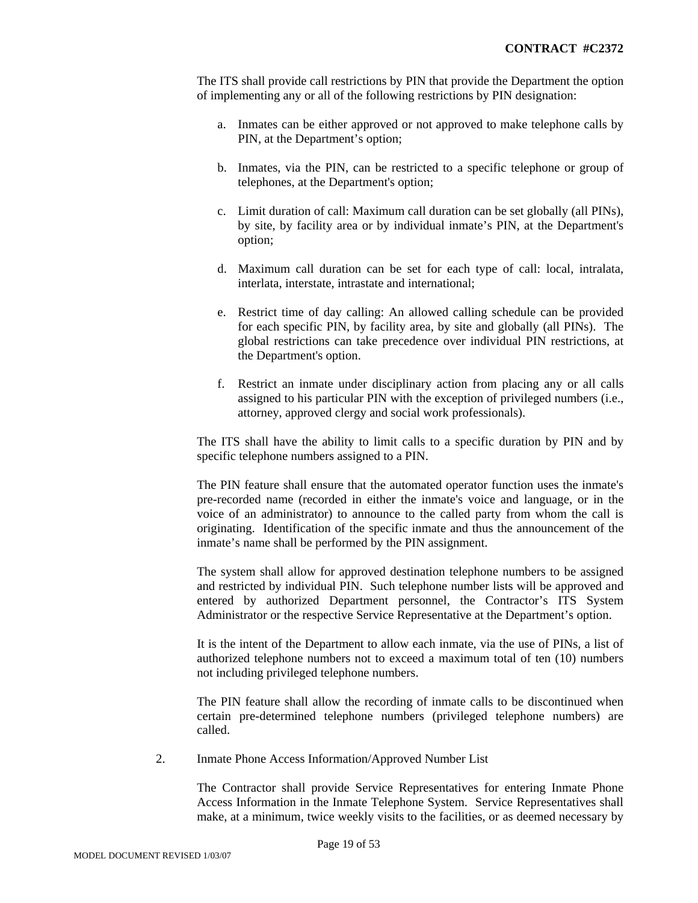The ITS shall provide call restrictions by PIN that provide the Department the option of implementing any or all of the following restrictions by PIN designation:

- a. Inmates can be either approved or not approved to make telephone calls by PIN, at the Department's option;
- b. Inmates, via the PIN, can be restricted to a specific telephone or group of telephones, at the Department's option;
- c. Limit duration of call: Maximum call duration can be set globally (all PINs), by site, by facility area or by individual inmate's PIN, at the Department's option;
- d. Maximum call duration can be set for each type of call: local, intralata, interlata, interstate, intrastate and international;
- e. Restrict time of day calling: An allowed calling schedule can be provided for each specific PIN, by facility area, by site and globally (all PINs). The global restrictions can take precedence over individual PIN restrictions, at the Department's option.
- f. Restrict an inmate under disciplinary action from placing any or all calls assigned to his particular PIN with the exception of privileged numbers (i.e., attorney, approved clergy and social work professionals).

The ITS shall have the ability to limit calls to a specific duration by PIN and by specific telephone numbers assigned to a PIN.

The PIN feature shall ensure that the automated operator function uses the inmate's pre-recorded name (recorded in either the inmate's voice and language, or in the voice of an administrator) to announce to the called party from whom the call is originating. Identification of the specific inmate and thus the announcement of the inmate's name shall be performed by the PIN assignment.

The system shall allow for approved destination telephone numbers to be assigned and restricted by individual PIN. Such telephone number lists will be approved and entered by authorized Department personnel, the Contractor's ITS System Administrator or the respective Service Representative at the Department's option.

It is the intent of the Department to allow each inmate, via the use of PINs, a list of authorized telephone numbers not to exceed a maximum total of ten (10) numbers not including privileged telephone numbers.

The PIN feature shall allow the recording of inmate calls to be discontinued when certain pre-determined telephone numbers (privileged telephone numbers) are called.

2. Inmate Phone Access Information/Approved Number List

The Contractor shall provide Service Representatives for entering Inmate Phone Access Information in the Inmate Telephone System. Service Representatives shall make, at a minimum, twice weekly visits to the facilities, or as deemed necessary by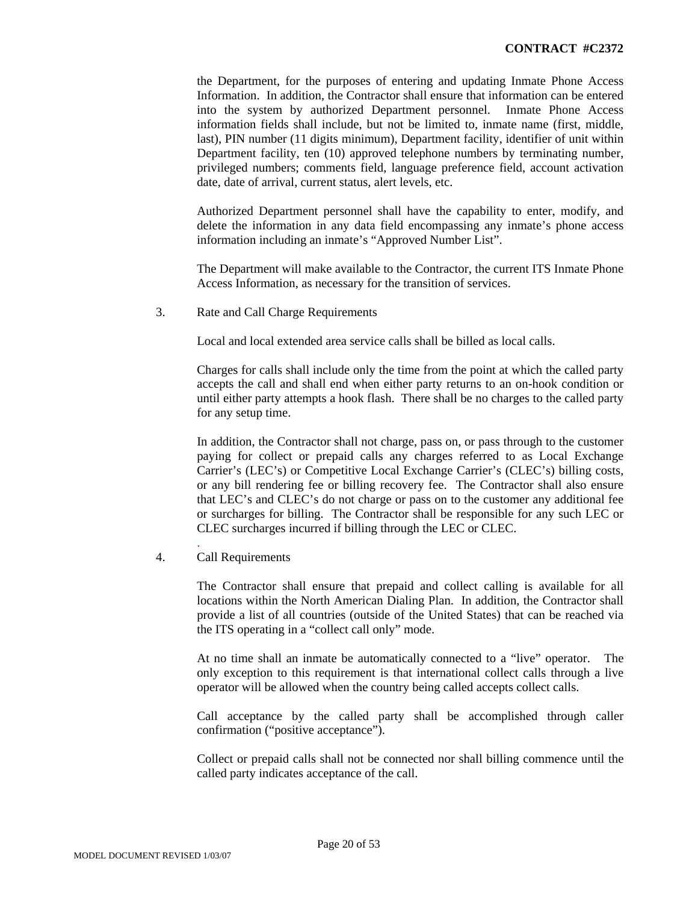the Department, for the purposes of entering and updating Inmate Phone Access Information. In addition, the Contractor shall ensure that information can be entered into the system by authorized Department personnel. Inmate Phone Access information fields shall include, but not be limited to, inmate name (first, middle, last), PIN number (11 digits minimum), Department facility, identifier of unit within Department facility, ten (10) approved telephone numbers by terminating number, privileged numbers; comments field, language preference field, account activation date, date of arrival, current status, alert levels, etc.

Authorized Department personnel shall have the capability to enter, modify, and delete the information in any data field encompassing any inmate's phone access information including an inmate's "Approved Number List".

The Department will make available to the Contractor, the current ITS Inmate Phone Access Information, as necessary for the transition of services.

3. Rate and Call Charge Requirements

Local and local extended area service calls shall be billed as local calls.

Charges for calls shall include only the time from the point at which the called party accepts the call and shall end when either party returns to an on-hook condition or until either party attempts a hook flash. There shall be no charges to the called party for any setup time.

In addition, the Contractor shall not charge, pass on, or pass through to the customer paying for collect or prepaid calls any charges referred to as Local Exchange Carrier's (LEC's) or Competitive Local Exchange Carrier's (CLEC's) billing costs, or any bill rendering fee or billing recovery fee. The Contractor shall also ensure that LEC's and CLEC's do not charge or pass on to the customer any additional fee or surcharges for billing. The Contractor shall be responsible for any such LEC or CLEC surcharges incurred if billing through the LEC or CLEC.

4. Call Requirements

.

The Contractor shall ensure that prepaid and collect calling is available for all locations within the North American Dialing Plan. In addition, the Contractor shall provide a list of all countries (outside of the United States) that can be reached via the ITS operating in a "collect call only" mode.

At no time shall an inmate be automatically connected to a "live" operator. The only exception to this requirement is that international collect calls through a live operator will be allowed when the country being called accepts collect calls.

Call acceptance by the called party shall be accomplished through caller confirmation ("positive acceptance").

Collect or prepaid calls shall not be connected nor shall billing commence until the called party indicates acceptance of the call.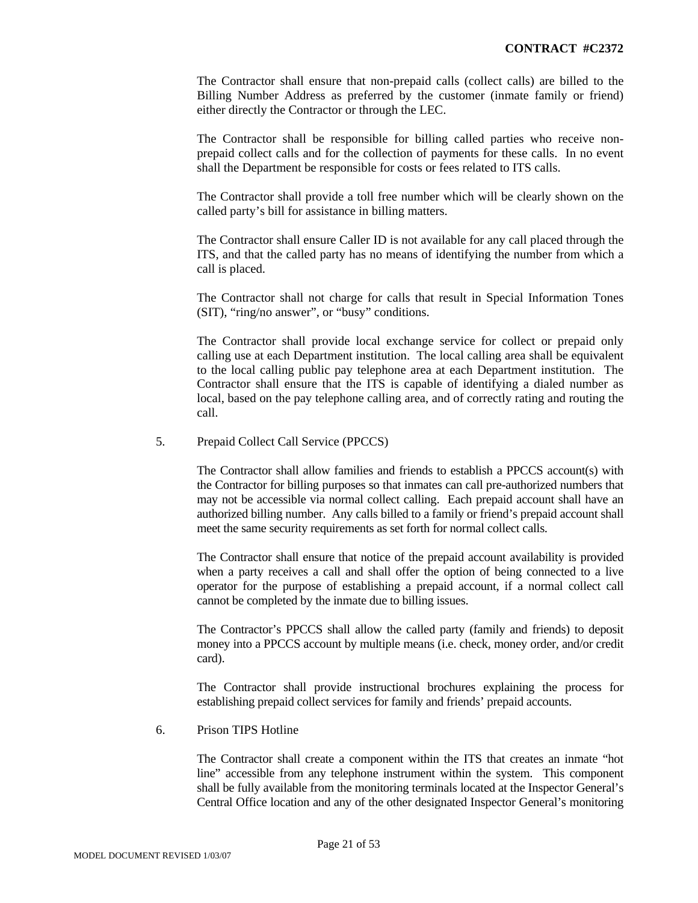The Contractor shall ensure that non-prepaid calls (collect calls) are billed to the Billing Number Address as preferred by the customer (inmate family or friend) either directly the Contractor or through the LEC.

The Contractor shall be responsible for billing called parties who receive nonprepaid collect calls and for the collection of payments for these calls. In no event shall the Department be responsible for costs or fees related to ITS calls.

The Contractor shall provide a toll free number which will be clearly shown on the called party's bill for assistance in billing matters.

The Contractor shall ensure Caller ID is not available for any call placed through the ITS, and that the called party has no means of identifying the number from which a call is placed.

The Contractor shall not charge for calls that result in Special Information Tones (SIT), "ring/no answer", or "busy" conditions.

The Contractor shall provide local exchange service for collect or prepaid only calling use at each Department institution. The local calling area shall be equivalent to the local calling public pay telephone area at each Department institution. The Contractor shall ensure that the ITS is capable of identifying a dialed number as local, based on the pay telephone calling area, and of correctly rating and routing the call.

#### 5. Prepaid Collect Call Service (PPCCS)

The Contractor shall allow families and friends to establish a PPCCS account(s) with the Contractor for billing purposes so that inmates can call pre-authorized numbers that may not be accessible via normal collect calling. Each prepaid account shall have an authorized billing number. Any calls billed to a family or friend's prepaid account shall meet the same security requirements as set forth for normal collect calls.

The Contractor shall ensure that notice of the prepaid account availability is provided when a party receives a call and shall offer the option of being connected to a live operator for the purpose of establishing a prepaid account, if a normal collect call cannot be completed by the inmate due to billing issues.

The Contractor's PPCCS shall allow the called party (family and friends) to deposit money into a PPCCS account by multiple means (i.e. check, money order, and/or credit card).

The Contractor shall provide instructional brochures explaining the process for establishing prepaid collect services for family and friends' prepaid accounts.

#### 6. Prison TIPS Hotline

The Contractor shall create a component within the ITS that creates an inmate "hot line" accessible from any telephone instrument within the system. This component shall be fully available from the monitoring terminals located at the Inspector General's Central Office location and any of the other designated Inspector General's monitoring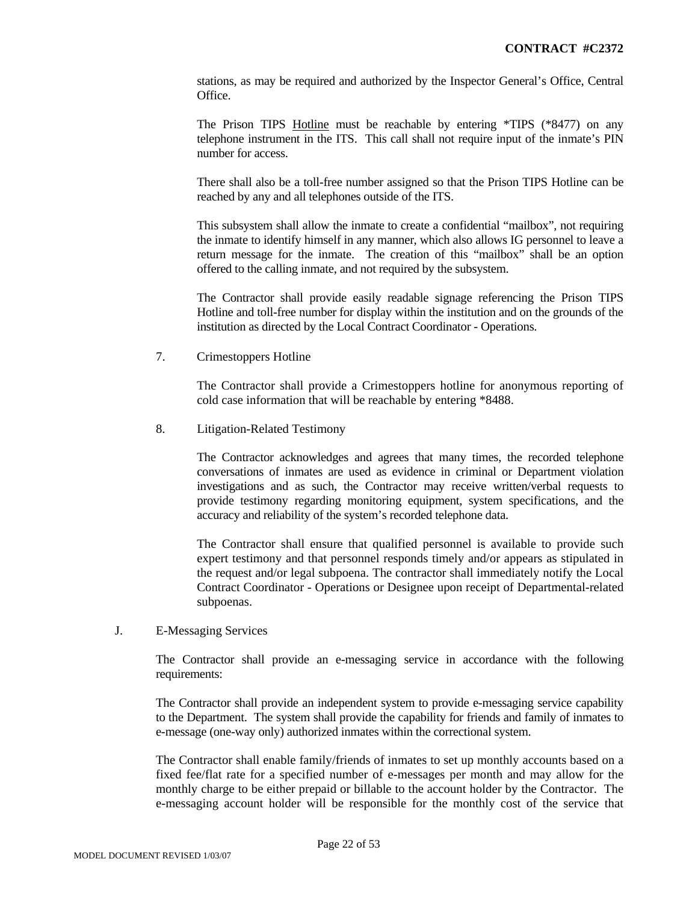stations, as may be required and authorized by the Inspector General's Office, Central Office.

The Prison TIPS Hotline must be reachable by entering \*TIPS (\*8477) on any telephone instrument in the ITS. This call shall not require input of the inmate's PIN number for access.

There shall also be a toll-free number assigned so that the Prison TIPS Hotline can be reached by any and all telephones outside of the ITS.

This subsystem shall allow the inmate to create a confidential "mailbox", not requiring the inmate to identify himself in any manner, which also allows IG personnel to leave a return message for the inmate. The creation of this "mailbox" shall be an option offered to the calling inmate, and not required by the subsystem.

The Contractor shall provide easily readable signage referencing the Prison TIPS Hotline and toll-free number for display within the institution and on the grounds of the institution as directed by the Local Contract Coordinator - Operations.

7. Crimestoppers Hotline

 The Contractor shall provide a Crimestoppers hotline for anonymous reporting of cold case information that will be reachable by entering \*8488.

8. Litigation-Related Testimony

The Contractor acknowledges and agrees that many times, the recorded telephone conversations of inmates are used as evidence in criminal or Department violation investigations and as such, the Contractor may receive written/verbal requests to provide testimony regarding monitoring equipment, system specifications, and the accuracy and reliability of the system's recorded telephone data.

The Contractor shall ensure that qualified personnel is available to provide such expert testimony and that personnel responds timely and/or appears as stipulated in the request and/or legal subpoena. The contractor shall immediately notify the Local Contract Coordinator - Operations or Designee upon receipt of Departmental-related subpoenas.

# J. E-Messaging Services

The Contractor shall provide an e-messaging service in accordance with the following requirements:

The Contractor shall provide an independent system to provide e-messaging service capability to the Department. The system shall provide the capability for friends and family of inmates to e-message (one-way only) authorized inmates within the correctional system.

The Contractor shall enable family/friends of inmates to set up monthly accounts based on a fixed fee/flat rate for a specified number of e-messages per month and may allow for the monthly charge to be either prepaid or billable to the account holder by the Contractor. The e-messaging account holder will be responsible for the monthly cost of the service that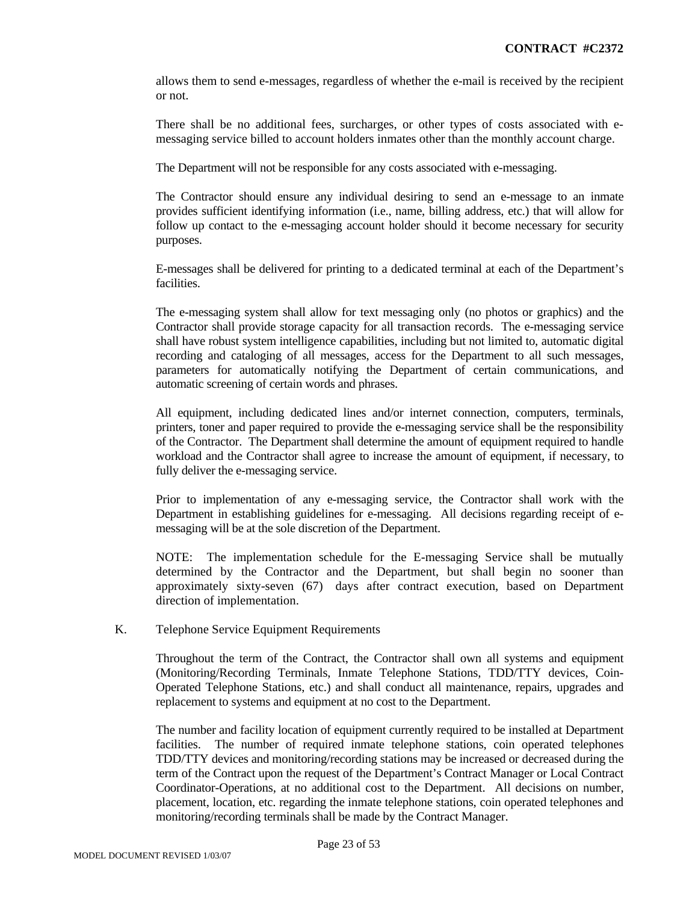allows them to send e-messages, regardless of whether the e-mail is received by the recipient or not.

There shall be no additional fees, surcharges, or other types of costs associated with emessaging service billed to account holders inmates other than the monthly account charge.

The Department will not be responsible for any costs associated with e-messaging.

The Contractor should ensure any individual desiring to send an e-message to an inmate provides sufficient identifying information (i.e., name, billing address, etc.) that will allow for follow up contact to the e-messaging account holder should it become necessary for security purposes.

E-messages shall be delivered for printing to a dedicated terminal at each of the Department's facilities.

The e-messaging system shall allow for text messaging only (no photos or graphics) and the Contractor shall provide storage capacity for all transaction records. The e-messaging service shall have robust system intelligence capabilities, including but not limited to, automatic digital recording and cataloging of all messages, access for the Department to all such messages, parameters for automatically notifying the Department of certain communications, and automatic screening of certain words and phrases.

All equipment, including dedicated lines and/or internet connection, computers, terminals, printers, toner and paper required to provide the e-messaging service shall be the responsibility of the Contractor. The Department shall determine the amount of equipment required to handle workload and the Contractor shall agree to increase the amount of equipment, if necessary, to fully deliver the e-messaging service.

Prior to implementation of any e-messaging service, the Contractor shall work with the Department in establishing guidelines for e-messaging. All decisions regarding receipt of emessaging will be at the sole discretion of the Department.

NOTE: The implementation schedule for the E-messaging Service shall be mutually determined by the Contractor and the Department, but shall begin no sooner than approximately sixty-seven (67) days after contract execution, based on Department direction of implementation.

#### K. Telephone Service Equipment Requirements

Throughout the term of the Contract, the Contractor shall own all systems and equipment (Monitoring/Recording Terminals, Inmate Telephone Stations, TDD/TTY devices, Coin-Operated Telephone Stations, etc.) and shall conduct all maintenance, repairs, upgrades and replacement to systems and equipment at no cost to the Department.

The number and facility location of equipment currently required to be installed at Department facilities. The number of required inmate telephone stations, coin operated telephones TDD/TTY devices and monitoring/recording stations may be increased or decreased during the term of the Contract upon the request of the Department's Contract Manager or Local Contract Coordinator-Operations, at no additional cost to the Department. All decisions on number, placement, location, etc. regarding the inmate telephone stations, coin operated telephones and monitoring/recording terminals shall be made by the Contract Manager.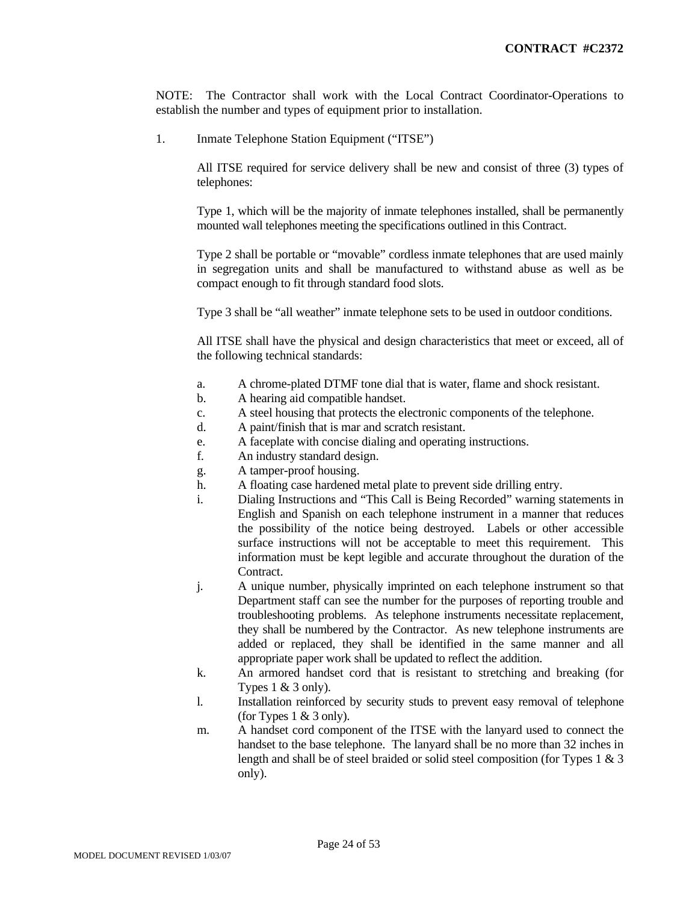NOTE: The Contractor shall work with the Local Contract Coordinator-Operations to establish the number and types of equipment prior to installation.

1. Inmate Telephone Station Equipment ("ITSE")

All ITSE required for service delivery shall be new and consist of three (3) types of telephones:

Type 1, which will be the majority of inmate telephones installed, shall be permanently mounted wall telephones meeting the specifications outlined in this Contract.

Type 2 shall be portable or "movable" cordless inmate telephones that are used mainly in segregation units and shall be manufactured to withstand abuse as well as be compact enough to fit through standard food slots.

Type 3 shall be "all weather" inmate telephone sets to be used in outdoor conditions.

All ITSE shall have the physical and design characteristics that meet or exceed, all of the following technical standards:

- a. A chrome-plated DTMF tone dial that is water, flame and shock resistant.
- b. A hearing aid compatible handset.
- c. A steel housing that protects the electronic components of the telephone.
- d. A paint/finish that is mar and scratch resistant.
- e. A faceplate with concise dialing and operating instructions.
- f. An industry standard design.
- g. A tamper-proof housing.
- h. A floating case hardened metal plate to prevent side drilling entry.
- i. Dialing Instructions and "This Call is Being Recorded" warning statements in English and Spanish on each telephone instrument in a manner that reduces the possibility of the notice being destroyed. Labels or other accessible surface instructions will not be acceptable to meet this requirement. This information must be kept legible and accurate throughout the duration of the Contract.
- j. A unique number, physically imprinted on each telephone instrument so that Department staff can see the number for the purposes of reporting trouble and troubleshooting problems. As telephone instruments necessitate replacement, they shall be numbered by the Contractor. As new telephone instruments are added or replaced, they shall be identified in the same manner and all appropriate paper work shall be updated to reflect the addition.
- k. An armored handset cord that is resistant to stretching and breaking (for Types  $1 \& 3$  only).
- l. Installation reinforced by security studs to prevent easy removal of telephone (for Types  $1 \& 3$  only).
- m. A handset cord component of the ITSE with the lanyard used to connect the handset to the base telephone. The lanyard shall be no more than 32 inches in length and shall be of steel braided or solid steel composition (for Types 1 & 3 only).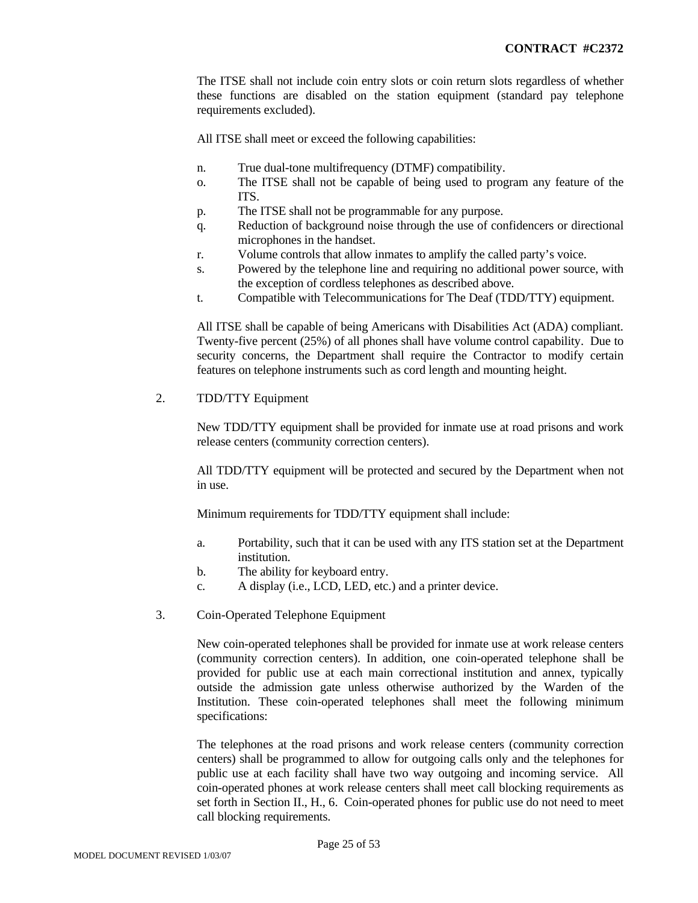The ITSE shall not include coin entry slots or coin return slots regardless of whether these functions are disabled on the station equipment (standard pay telephone requirements excluded).

All ITSE shall meet or exceed the following capabilities:

- n. True dual-tone multifrequency (DTMF) compatibility.
- o. The ITSE shall not be capable of being used to program any feature of the ITS.
- p. The ITSE shall not be programmable for any purpose.
- q. Reduction of background noise through the use of confidencers or directional microphones in the handset.
- r. Volume controls that allow inmates to amplify the called party's voice.
- s. Powered by the telephone line and requiring no additional power source, with the exception of cordless telephones as described above.
- t. Compatible with Telecommunications for The Deaf (TDD/TTY) equipment.

All ITSE shall be capable of being Americans with Disabilities Act (ADA) compliant. Twenty-five percent (25%) of all phones shall have volume control capability. Due to security concerns, the Department shall require the Contractor to modify certain features on telephone instruments such as cord length and mounting height.

2. TDD/TTY Equipment

New TDD/TTY equipment shall be provided for inmate use at road prisons and work release centers (community correction centers).

All TDD/TTY equipment will be protected and secured by the Department when not in use.

Minimum requirements for TDD/TTY equipment shall include:

- a. Portability, such that it can be used with any ITS station set at the Department institution.
- b. The ability for keyboard entry.
- c. A display (i.e., LCD, LED, etc.) and a printer device.
- 3. Coin-Operated Telephone Equipment

New coin-operated telephones shall be provided for inmate use at work release centers (community correction centers). In addition, one coin-operated telephone shall be provided for public use at each main correctional institution and annex, typically outside the admission gate unless otherwise authorized by the Warden of the Institution. These coin-operated telephones shall meet the following minimum specifications:

The telephones at the road prisons and work release centers (community correction centers) shall be programmed to allow for outgoing calls only and the telephones for public use at each facility shall have two way outgoing and incoming service. All coin-operated phones at work release centers shall meet call blocking requirements as set forth in Section II., H., 6. Coin-operated phones for public use do not need to meet call blocking requirements.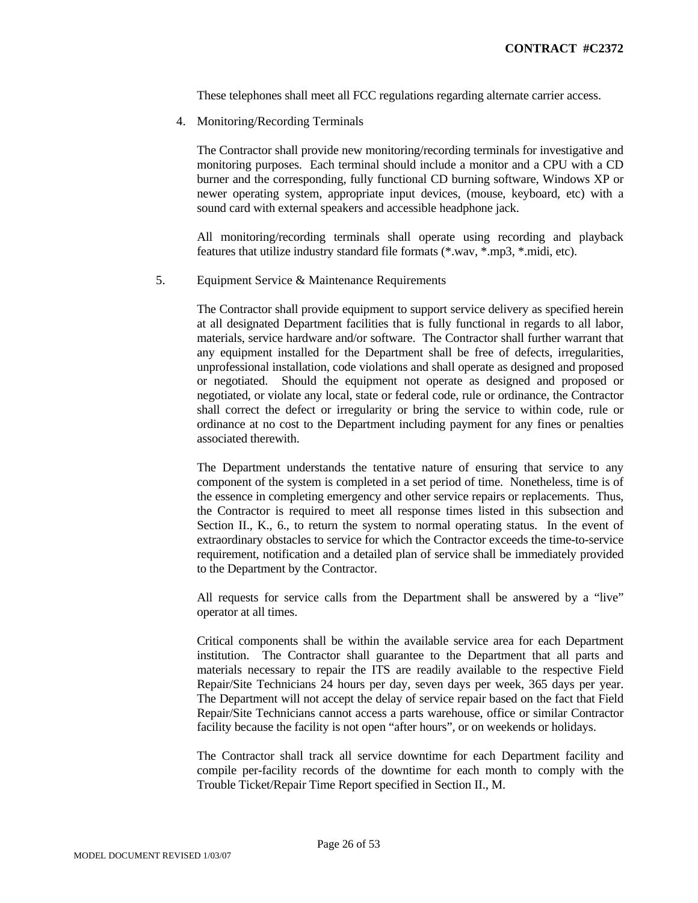These telephones shall meet all FCC regulations regarding alternate carrier access.

4. Monitoring/Recording Terminals

The Contractor shall provide new monitoring/recording terminals for investigative and monitoring purposes. Each terminal should include a monitor and a CPU with a CD burner and the corresponding, fully functional CD burning software, Windows XP or newer operating system, appropriate input devices, (mouse, keyboard, etc) with a sound card with external speakers and accessible headphone jack.

All monitoring/recording terminals shall operate using recording and playback features that utilize industry standard file formats (\*.wav, \*.mp3, \*.midi, etc).

5. Equipment Service & Maintenance Requirements

The Contractor shall provide equipment to support service delivery as specified herein at all designated Department facilities that is fully functional in regards to all labor, materials, service hardware and/or software. The Contractor shall further warrant that any equipment installed for the Department shall be free of defects, irregularities, unprofessional installation, code violations and shall operate as designed and proposed or negotiated. Should the equipment not operate as designed and proposed or negotiated, or violate any local, state or federal code, rule or ordinance, the Contractor shall correct the defect or irregularity or bring the service to within code, rule or ordinance at no cost to the Department including payment for any fines or penalties associated therewith.

The Department understands the tentative nature of ensuring that service to any component of the system is completed in a set period of time. Nonetheless, time is of the essence in completing emergency and other service repairs or replacements. Thus, the Contractor is required to meet all response times listed in this subsection and Section II., K., 6., to return the system to normal operating status. In the event of extraordinary obstacles to service for which the Contractor exceeds the time-to-service requirement, notification and a detailed plan of service shall be immediately provided to the Department by the Contractor.

All requests for service calls from the Department shall be answered by a "live" operator at all times.

Critical components shall be within the available service area for each Department institution. The Contractor shall guarantee to the Department that all parts and materials necessary to repair the ITS are readily available to the respective Field Repair/Site Technicians 24 hours per day, seven days per week, 365 days per year. The Department will not accept the delay of service repair based on the fact that Field Repair/Site Technicians cannot access a parts warehouse, office or similar Contractor facility because the facility is not open "after hours", or on weekends or holidays.

The Contractor shall track all service downtime for each Department facility and compile per-facility records of the downtime for each month to comply with the Trouble Ticket/Repair Time Report specified in Section II., M.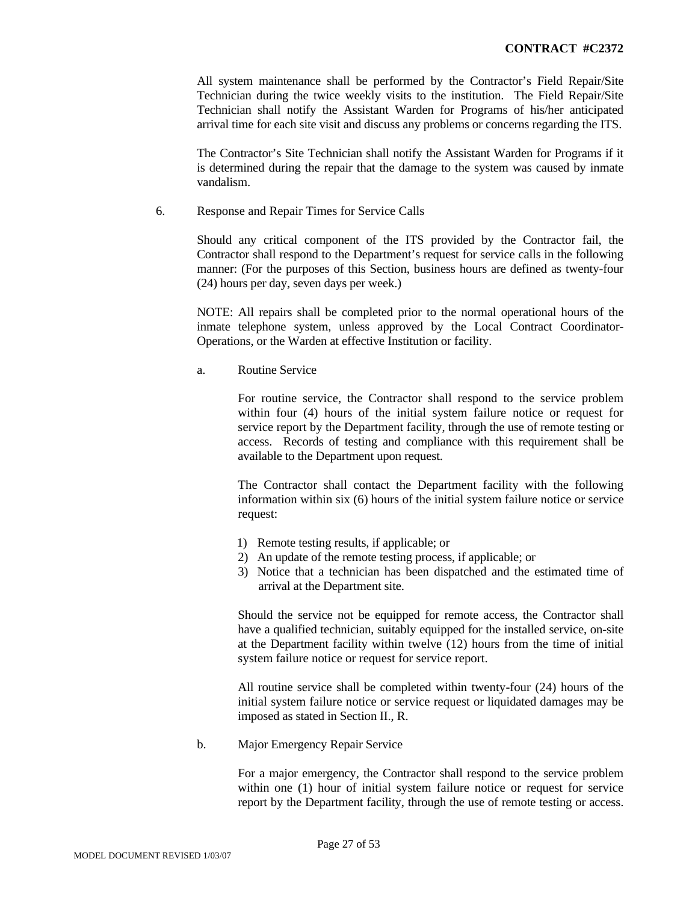All system maintenance shall be performed by the Contractor's Field Repair/Site Technician during the twice weekly visits to the institution. The Field Repair/Site Technician shall notify the Assistant Warden for Programs of his/her anticipated arrival time for each site visit and discuss any problems or concerns regarding the ITS.

The Contractor's Site Technician shall notify the Assistant Warden for Programs if it is determined during the repair that the damage to the system was caused by inmate vandalism.

6. Response and Repair Times for Service Calls

Should any critical component of the ITS provided by the Contractor fail, the Contractor shall respond to the Department's request for service calls in the following manner: (For the purposes of this Section, business hours are defined as twenty-four (24) hours per day, seven days per week.)

NOTE: All repairs shall be completed prior to the normal operational hours of the inmate telephone system, unless approved by the Local Contract Coordinator-Operations, or the Warden at effective Institution or facility.

a. Routine Service

For routine service, the Contractor shall respond to the service problem within four (4) hours of the initial system failure notice or request for service report by the Department facility, through the use of remote testing or access. Records of testing and compliance with this requirement shall be available to the Department upon request.

The Contractor shall contact the Department facility with the following information within six (6) hours of the initial system failure notice or service request:

- 1) Remote testing results, if applicable; or
- 2) An update of the remote testing process, if applicable; or
- 3) Notice that a technician has been dispatched and the estimated time of arrival at the Department site.

Should the service not be equipped for remote access, the Contractor shall have a qualified technician, suitably equipped for the installed service, on-site at the Department facility within twelve (12) hours from the time of initial system failure notice or request for service report.

All routine service shall be completed within twenty-four (24) hours of the initial system failure notice or service request or liquidated damages may be imposed as stated in Section II., R.

b. Major Emergency Repair Service

For a major emergency, the Contractor shall respond to the service problem within one (1) hour of initial system failure notice or request for service report by the Department facility, through the use of remote testing or access.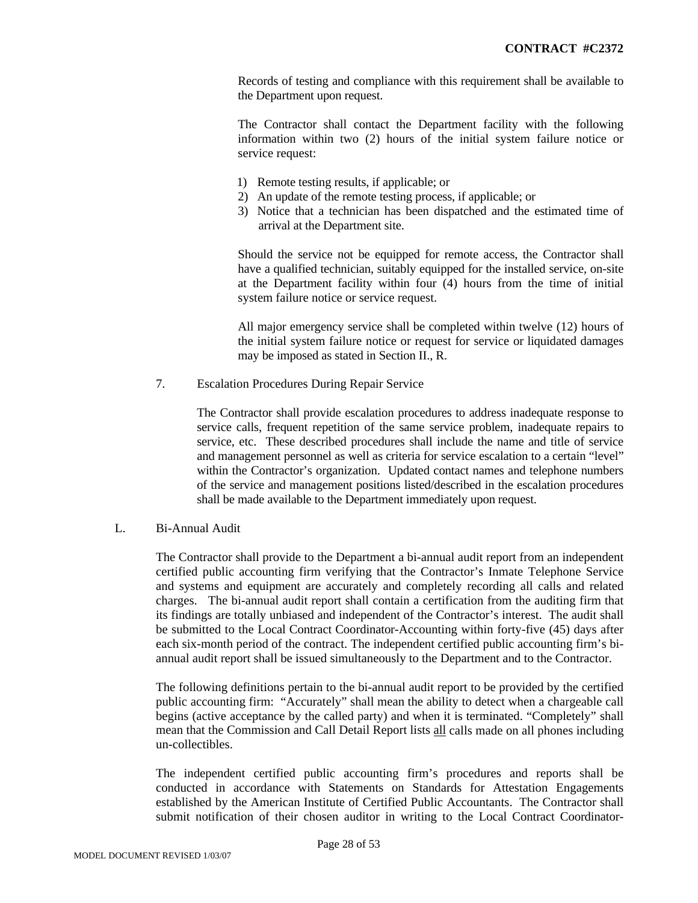Records of testing and compliance with this requirement shall be available to the Department upon request.

The Contractor shall contact the Department facility with the following information within two (2) hours of the initial system failure notice or service request:

- 1) Remote testing results, if applicable; or
- 2) An update of the remote testing process, if applicable; or
- 3) Notice that a technician has been dispatched and the estimated time of arrival at the Department site.

Should the service not be equipped for remote access, the Contractor shall have a qualified technician, suitably equipped for the installed service, on-site at the Department facility within four (4) hours from the time of initial system failure notice or service request.

All major emergency service shall be completed within twelve (12) hours of the initial system failure notice or request for service or liquidated damages may be imposed as stated in Section II., R.

7. Escalation Procedures During Repair Service

The Contractor shall provide escalation procedures to address inadequate response to service calls, frequent repetition of the same service problem, inadequate repairs to service, etc. These described procedures shall include the name and title of service and management personnel as well as criteria for service escalation to a certain "level" within the Contractor's organization. Updated contact names and telephone numbers of the service and management positions listed/described in the escalation procedures shall be made available to the Department immediately upon request.

#### L. Bi-Annual Audit

The Contractor shall provide to the Department a bi-annual audit report from an independent certified public accounting firm verifying that the Contractor's Inmate Telephone Service and systems and equipment are accurately and completely recording all calls and related charges. The bi-annual audit report shall contain a certification from the auditing firm that its findings are totally unbiased and independent of the Contractor's interest. The audit shall be submitted to the Local Contract Coordinator-Accounting within forty-five (45) days after each six-month period of the contract. The independent certified public accounting firm's biannual audit report shall be issued simultaneously to the Department and to the Contractor.

The following definitions pertain to the bi-annual audit report to be provided by the certified public accounting firm: "Accurately" shall mean the ability to detect when a chargeable call begins (active acceptance by the called party) and when it is terminated. "Completely" shall mean that the Commission and Call Detail Report lists all calls made on all phones including un-collectibles.

The independent certified public accounting firm's procedures and reports shall be conducted in accordance with Statements on Standards for Attestation Engagements established by the American Institute of Certified Public Accountants. The Contractor shall submit notification of their chosen auditor in writing to the Local Contract Coordinator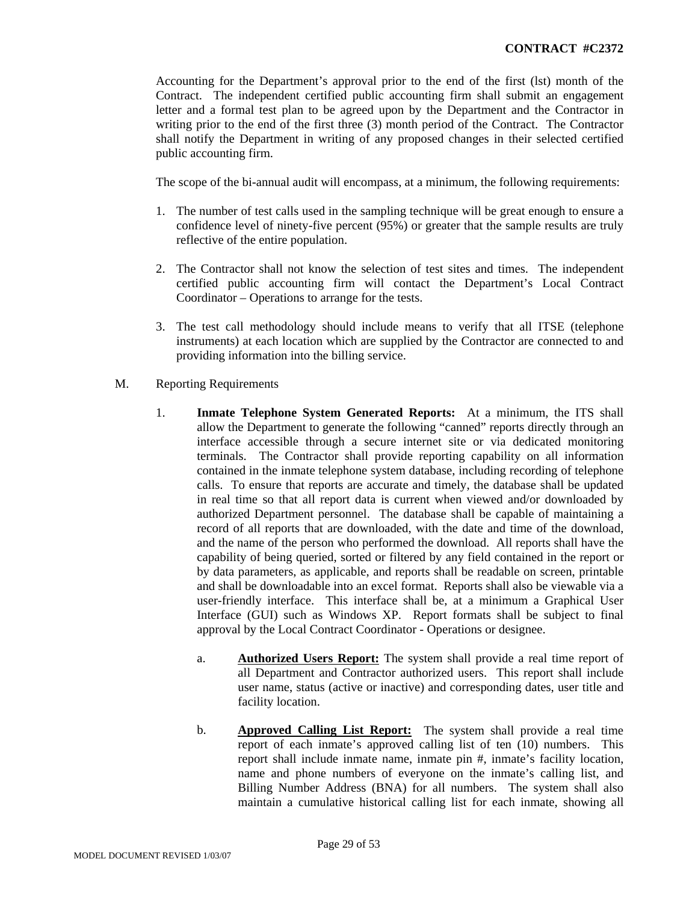Accounting for the Department's approval prior to the end of the first (lst) month of the Contract. The independent certified public accounting firm shall submit an engagement letter and a formal test plan to be agreed upon by the Department and the Contractor in writing prior to the end of the first three (3) month period of the Contract. The Contractor shall notify the Department in writing of any proposed changes in their selected certified public accounting firm.

The scope of the bi-annual audit will encompass, at a minimum, the following requirements:

- 1. The number of test calls used in the sampling technique will be great enough to ensure a confidence level of ninety-five percent (95%) or greater that the sample results are truly reflective of the entire population.
- 2. The Contractor shall not know the selection of test sites and times. The independent certified public accounting firm will contact the Department's Local Contract Coordinator – Operations to arrange for the tests.
- 3. The test call methodology should include means to verify that all ITSE (telephone instruments) at each location which are supplied by the Contractor are connected to and providing information into the billing service.
- M. Reporting Requirements
	- 1. **Inmate Telephone System Generated Reports:** At a minimum, the ITS shall allow the Department to generate the following "canned" reports directly through an interface accessible through a secure internet site or via dedicated monitoring terminals. The Contractor shall provide reporting capability on all information contained in the inmate telephone system database, including recording of telephone calls. To ensure that reports are accurate and timely, the database shall be updated in real time so that all report data is current when viewed and/or downloaded by authorized Department personnel. The database shall be capable of maintaining a record of all reports that are downloaded, with the date and time of the download, and the name of the person who performed the download. All reports shall have the capability of being queried, sorted or filtered by any field contained in the report or by data parameters, as applicable, and reports shall be readable on screen, printable and shall be downloadable into an excel format. Reports shall also be viewable via a user-friendly interface. This interface shall be, at a minimum a Graphical User Interface (GUI) such as Windows XP. Report formats shall be subject to final approval by the Local Contract Coordinator - Operations or designee.
		- a. **Authorized Users Report:** The system shall provide a real time report of all Department and Contractor authorized users. This report shall include user name, status (active or inactive) and corresponding dates, user title and facility location.
		- b. **Approved Calling List Report:** The system shall provide a real time report of each inmate's approved calling list of ten (10) numbers. This report shall include inmate name, inmate pin #, inmate's facility location, name and phone numbers of everyone on the inmate's calling list, and Billing Number Address (BNA) for all numbers. The system shall also maintain a cumulative historical calling list for each inmate, showing all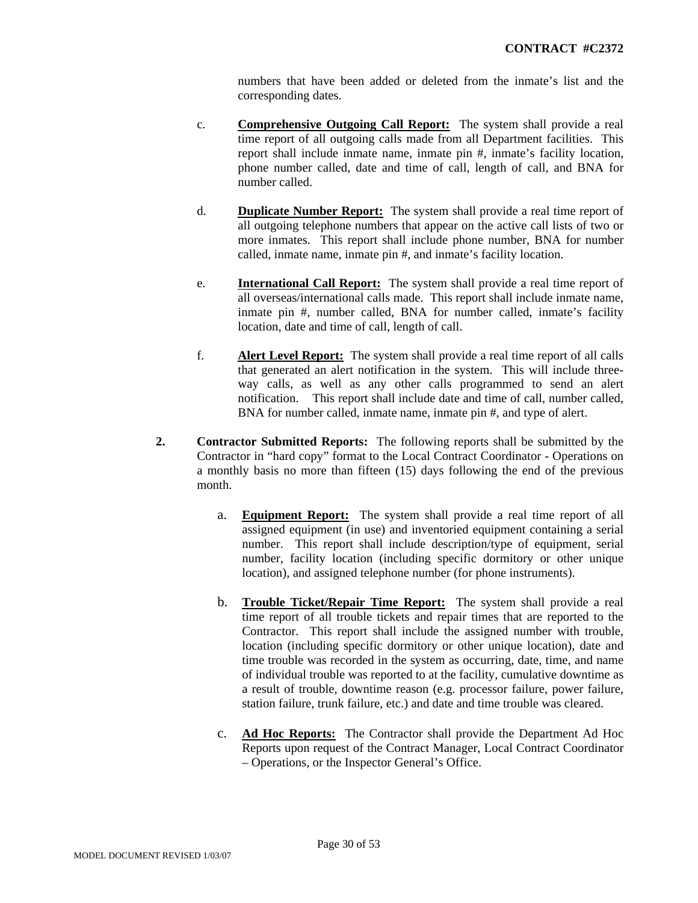numbers that have been added or deleted from the inmate's list and the corresponding dates.

- c. **Comprehensive Outgoing Call Report:** The system shall provide a real time report of all outgoing calls made from all Department facilities. This report shall include inmate name, inmate pin #, inmate's facility location, phone number called, date and time of call, length of call, and BNA for number called.
- d. **Duplicate Number Report:** The system shall provide a real time report of all outgoing telephone numbers that appear on the active call lists of two or more inmates. This report shall include phone number, BNA for number called, inmate name, inmate pin #, and inmate's facility location.
- e. **International Call Report:** The system shall provide a real time report of all overseas/international calls made. This report shall include inmate name, inmate pin #, number called, BNA for number called, inmate's facility location, date and time of call, length of call.
- f. **Alert Level Report:** The system shall provide a real time report of all calls that generated an alert notification in the system. This will include threeway calls, as well as any other calls programmed to send an alert notification. This report shall include date and time of call, number called, BNA for number called, inmate name, inmate pin #, and type of alert.
- **2. Contractor Submitted Reports:** The following reports shall be submitted by the Contractor in "hard copy" format to the Local Contract Coordinator - Operations on a monthly basis no more than fifteen (15) days following the end of the previous month.
	- a. **Equipment Report:** The system shall provide a real time report of all assigned equipment (in use) and inventoried equipment containing a serial number. This report shall include description/type of equipment, serial number, facility location (including specific dormitory or other unique location), and assigned telephone number (for phone instruments).
	- b. **Trouble Ticket/Repair Time Report:** The system shall provide a real time report of all trouble tickets and repair times that are reported to the Contractor. This report shall include the assigned number with trouble, location (including specific dormitory or other unique location), date and time trouble was recorded in the system as occurring, date, time, and name of individual trouble was reported to at the facility, cumulative downtime as a result of trouble, downtime reason (e.g. processor failure, power failure, station failure, trunk failure, etc.) and date and time trouble was cleared.
	- c. **Ad Hoc Reports:** The Contractor shall provide the Department Ad Hoc Reports upon request of the Contract Manager, Local Contract Coordinator – Operations, or the Inspector General's Office.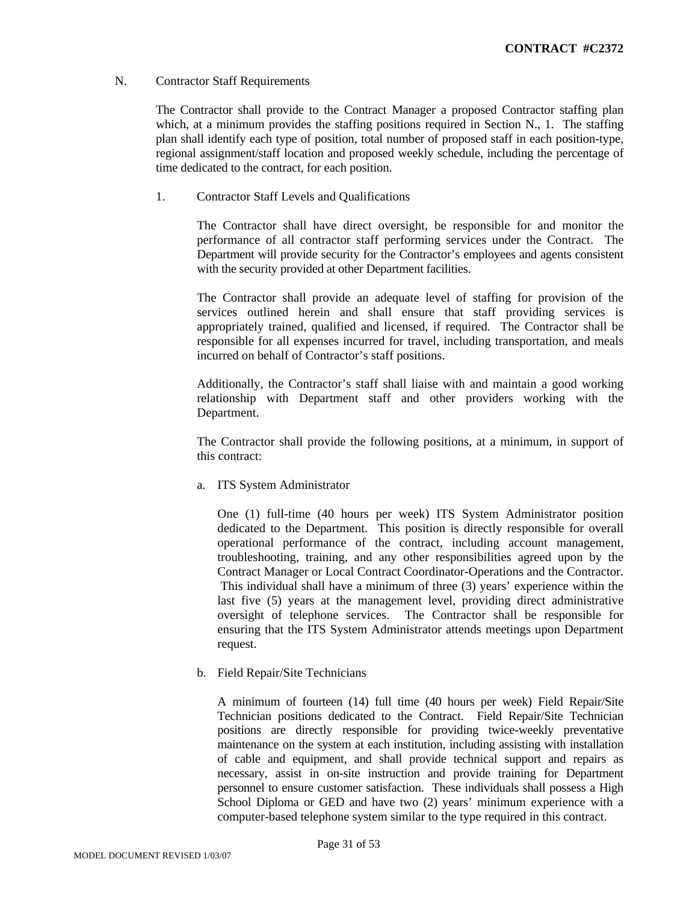#### N. Contractor Staff Requirements

The Contractor shall provide to the Contract Manager a proposed Contractor staffing plan which, at a minimum provides the staffing positions required in Section N., 1. The staffing plan shall identify each type of position, total number of proposed staff in each position-type, regional assignment/staff location and proposed weekly schedule, including the percentage of time dedicated to the contract, for each position.

1. Contractor Staff Levels and Qualifications

The Contractor shall have direct oversight, be responsible for and monitor the performance of all contractor staff performing services under the Contract. The Department will provide security for the Contractor's employees and agents consistent with the security provided at other Department facilities.

The Contractor shall provide an adequate level of staffing for provision of the services outlined herein and shall ensure that staff providing services is appropriately trained, qualified and licensed, if required. The Contractor shall be responsible for all expenses incurred for travel, including transportation, and meals incurred on behalf of Contractor's staff positions.

Additionally, the Contractor's staff shall liaise with and maintain a good working relationship with Department staff and other providers working with the Department.

The Contractor shall provide the following positions, at a minimum, in support of this contract:

a. ITS System Administrator

One (1) full-time (40 hours per week) ITS System Administrator position dedicated to the Department. This position is directly responsible for overall operational performance of the contract, including account management, troubleshooting, training, and any other responsibilities agreed upon by the Contract Manager or Local Contract Coordinator-Operations and the Contractor. This individual shall have a minimum of three (3) years' experience within the last five (5) years at the management level, providing direct administrative oversight of telephone services. The Contractor shall be responsible for ensuring that the ITS System Administrator attends meetings upon Department request.

b. Field Repair/Site Technicians

A minimum of fourteen (14) full time (40 hours per week) Field Repair/Site Technician positions dedicated to the Contract. Field Repair/Site Technician positions are directly responsible for providing twice-weekly preventative maintenance on the system at each institution, including assisting with installation of cable and equipment, and shall provide technical support and repairs as necessary, assist in on-site instruction and provide training for Department personnel to ensure customer satisfaction. These individuals shall possess a High School Diploma or GED and have two (2) years' minimum experience with a computer-based telephone system similar to the type required in this contract.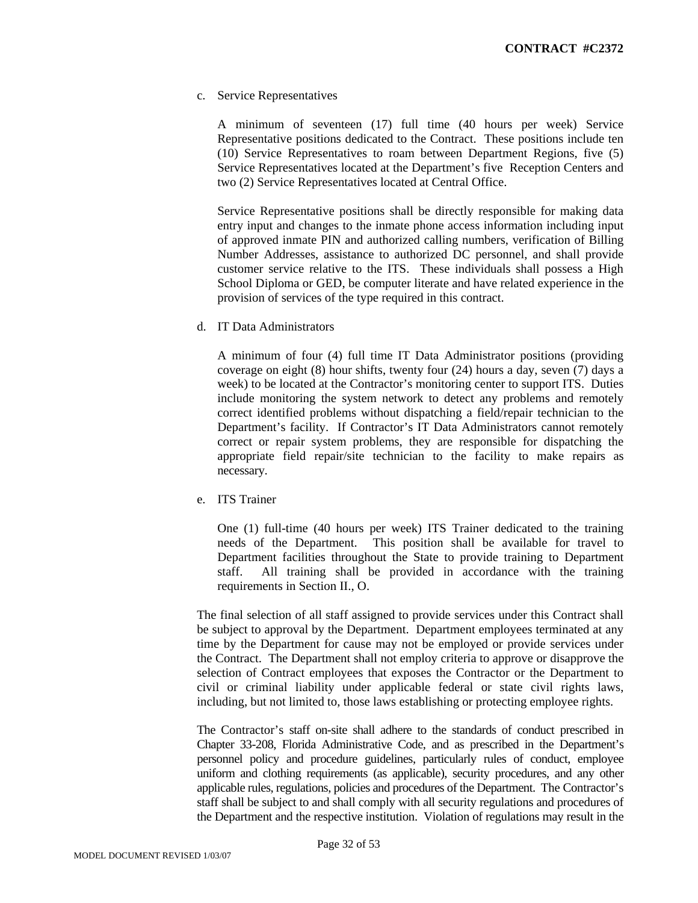c. Service Representatives

A minimum of seventeen (17) full time (40 hours per week) Service Representative positions dedicated to the Contract. These positions include ten (10) Service Representatives to roam between Department Regions, five (5) Service Representatives located at the Department's five Reception Centers and two (2) Service Representatives located at Central Office.

Service Representative positions shall be directly responsible for making data entry input and changes to the inmate phone access information including input of approved inmate PIN and authorized calling numbers, verification of Billing Number Addresses, assistance to authorized DC personnel, and shall provide customer service relative to the ITS. These individuals shall possess a High School Diploma or GED, be computer literate and have related experience in the provision of services of the type required in this contract.

d. IT Data Administrators

A minimum of four (4) full time IT Data Administrator positions (providing coverage on eight (8) hour shifts, twenty four (24) hours a day, seven (7) days a week) to be located at the Contractor's monitoring center to support ITS. Duties include monitoring the system network to detect any problems and remotely correct identified problems without dispatching a field/repair technician to the Department's facility. If Contractor's IT Data Administrators cannot remotely correct or repair system problems, they are responsible for dispatching the appropriate field repair/site technician to the facility to make repairs as necessary.

e. ITS Trainer

One (1) full-time (40 hours per week) ITS Trainer dedicated to the training needs of the Department. This position shall be available for travel to Department facilities throughout the State to provide training to Department staff. All training shall be provided in accordance with the training requirements in Section II., O.

The final selection of all staff assigned to provide services under this Contract shall be subject to approval by the Department. Department employees terminated at any time by the Department for cause may not be employed or provide services under the Contract. The Department shall not employ criteria to approve or disapprove the selection of Contract employees that exposes the Contractor or the Department to civil or criminal liability under applicable federal or state civil rights laws, including, but not limited to, those laws establishing or protecting employee rights.

The Contractor's staff on-site shall adhere to the standards of conduct prescribed in Chapter 33-208, Florida Administrative Code, and as prescribed in the Department's personnel policy and procedure guidelines, particularly rules of conduct, employee uniform and clothing requirements (as applicable), security procedures, and any other applicable rules, regulations, policies and procedures of the Department. The Contractor's staff shall be subject to and shall comply with all security regulations and procedures of the Department and the respective institution. Violation of regulations may result in the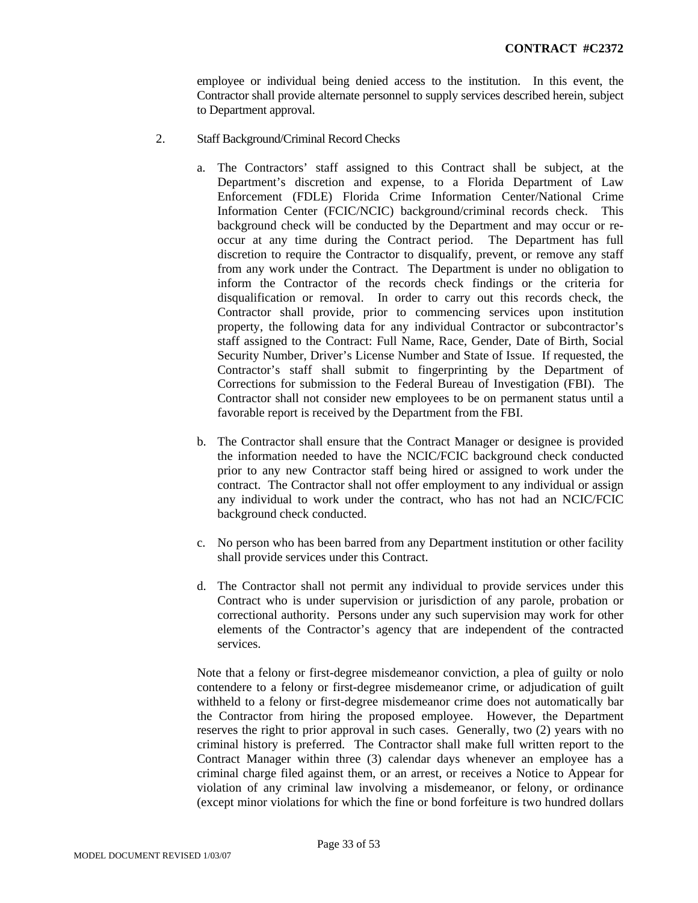employee or individual being denied access to the institution. In this event, the Contractor shall provide alternate personnel to supply services described herein, subject to Department approval.

- 2. Staff Background/Criminal Record Checks
	- a. The Contractors' staff assigned to this Contract shall be subject, at the Department's discretion and expense, to a Florida Department of Law Enforcement (FDLE) Florida Crime Information Center/National Crime Information Center (FCIC/NCIC) background/criminal records check. This background check will be conducted by the Department and may occur or reoccur at any time during the Contract period. The Department has full discretion to require the Contractor to disqualify, prevent, or remove any staff from any work under the Contract. The Department is under no obligation to inform the Contractor of the records check findings or the criteria for disqualification or removal. In order to carry out this records check, the Contractor shall provide, prior to commencing services upon institution property, the following data for any individual Contractor or subcontractor's staff assigned to the Contract: Full Name, Race, Gender, Date of Birth, Social Security Number, Driver's License Number and State of Issue. If requested, the Contractor's staff shall submit to fingerprinting by the Department of Corrections for submission to the Federal Bureau of Investigation (FBI). The Contractor shall not consider new employees to be on permanent status until a favorable report is received by the Department from the FBI.
	- b. The Contractor shall ensure that the Contract Manager or designee is provided the information needed to have the NCIC/FCIC background check conducted prior to any new Contractor staff being hired or assigned to work under the contract. The Contractor shall not offer employment to any individual or assign any individual to work under the contract, who has not had an NCIC/FCIC background check conducted.
	- c. No person who has been barred from any Department institution or other facility shall provide services under this Contract.
	- d. The Contractor shall not permit any individual to provide services under this Contract who is under supervision or jurisdiction of any parole, probation or correctional authority. Persons under any such supervision may work for other elements of the Contractor's agency that are independent of the contracted services.

Note that a felony or first-degree misdemeanor conviction, a plea of guilty or nolo contendere to a felony or first-degree misdemeanor crime, or adjudication of guilt withheld to a felony or first-degree misdemeanor crime does not automatically bar the Contractor from hiring the proposed employee. However, the Department reserves the right to prior approval in such cases. Generally, two (2) years with no criminal history is preferred. The Contractor shall make full written report to the Contract Manager within three (3) calendar days whenever an employee has a criminal charge filed against them, or an arrest, or receives a Notice to Appear for violation of any criminal law involving a misdemeanor, or felony, or ordinance (except minor violations for which the fine or bond forfeiture is two hundred dollars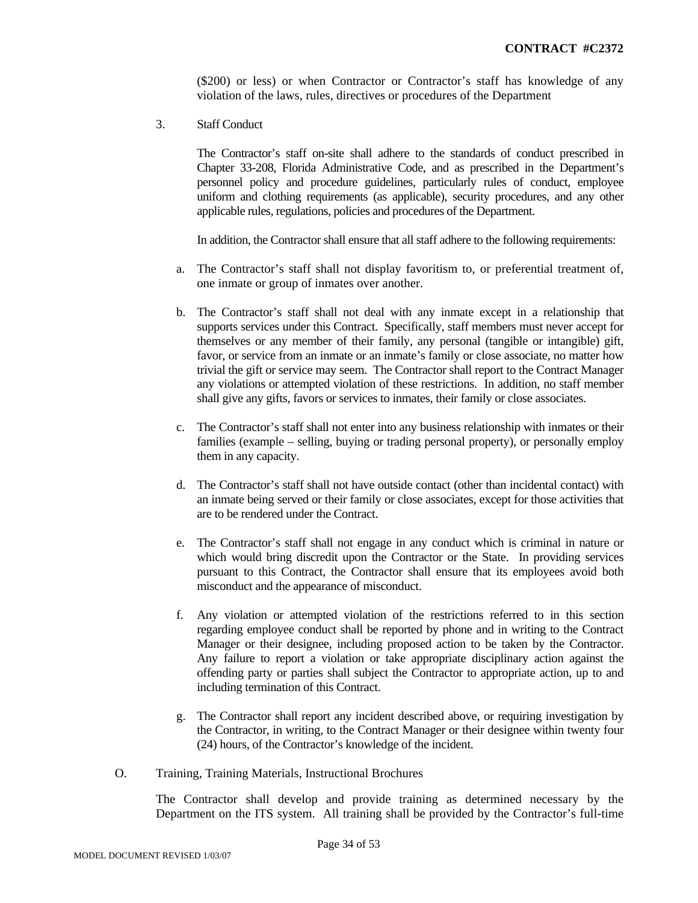(\$200) or less) or when Contractor or Contractor's staff has knowledge of any violation of the laws, rules, directives or procedures of the Department

3. Staff Conduct

The Contractor's staff on-site shall adhere to the standards of conduct prescribed in Chapter 33-208, Florida Administrative Code, and as prescribed in the Department's personnel policy and procedure guidelines, particularly rules of conduct, employee uniform and clothing requirements (as applicable), security procedures, and any other applicable rules, regulations, policies and procedures of the Department.

In addition, the Contractor shall ensure that all staff adhere to the following requirements:

- a. The Contractor's staff shall not display favoritism to, or preferential treatment of, one inmate or group of inmates over another.
- b. The Contractor's staff shall not deal with any inmate except in a relationship that supports services under this Contract. Specifically, staff members must never accept for themselves or any member of their family, any personal (tangible or intangible) gift, favor, or service from an inmate or an inmate's family or close associate, no matter how trivial the gift or service may seem. The Contractor shall report to the Contract Manager any violations or attempted violation of these restrictions. In addition, no staff member shall give any gifts, favors or services to inmates, their family or close associates.
- c. The Contractor's staff shall not enter into any business relationship with inmates or their families (example – selling, buying or trading personal property), or personally employ them in any capacity.
- d. The Contractor's staff shall not have outside contact (other than incidental contact) with an inmate being served or their family or close associates, except for those activities that are to be rendered under the Contract.
- e. The Contractor's staff shall not engage in any conduct which is criminal in nature or which would bring discredit upon the Contractor or the State. In providing services pursuant to this Contract, the Contractor shall ensure that its employees avoid both misconduct and the appearance of misconduct.
- f. Any violation or attempted violation of the restrictions referred to in this section regarding employee conduct shall be reported by phone and in writing to the Contract Manager or their designee, including proposed action to be taken by the Contractor. Any failure to report a violation or take appropriate disciplinary action against the offending party or parties shall subject the Contractor to appropriate action, up to and including termination of this Contract.
- g. The Contractor shall report any incident described above, or requiring investigation by the Contractor, in writing, to the Contract Manager or their designee within twenty four (24) hours, of the Contractor's knowledge of the incident.
- O. Training, Training Materials, Instructional Brochures

The Contractor shall develop and provide training as determined necessary by the Department on the ITS system. All training shall be provided by the Contractor's full-time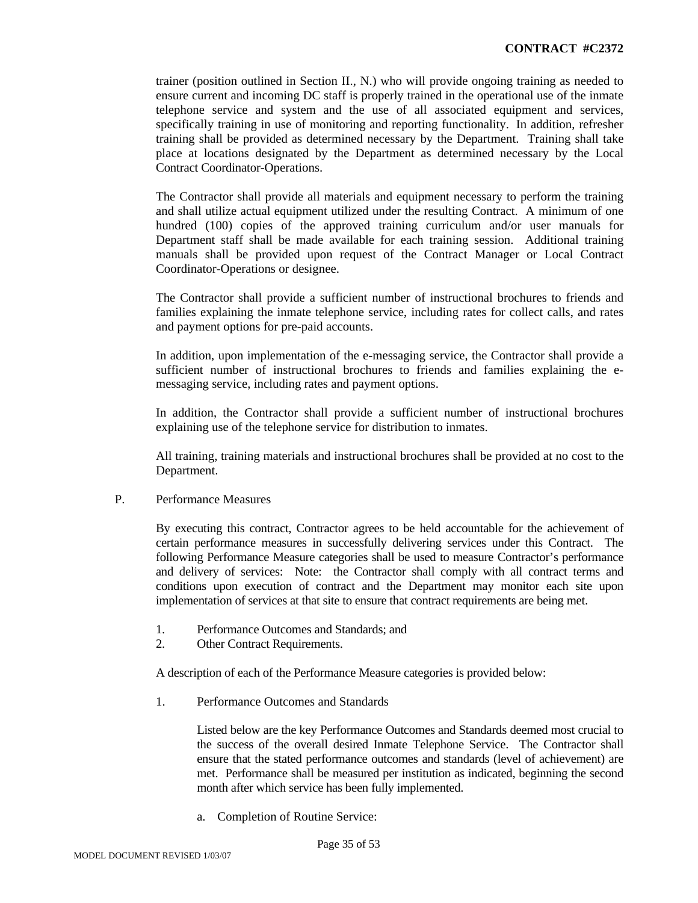trainer (position outlined in Section II., N.) who will provide ongoing training as needed to ensure current and incoming DC staff is properly trained in the operational use of the inmate telephone service and system and the use of all associated equipment and services, specifically training in use of monitoring and reporting functionality. In addition, refresher training shall be provided as determined necessary by the Department. Training shall take place at locations designated by the Department as determined necessary by the Local Contract Coordinator-Operations.

The Contractor shall provide all materials and equipment necessary to perform the training and shall utilize actual equipment utilized under the resulting Contract. A minimum of one hundred (100) copies of the approved training curriculum and/or user manuals for Department staff shall be made available for each training session. Additional training manuals shall be provided upon request of the Contract Manager or Local Contract Coordinator-Operations or designee.

The Contractor shall provide a sufficient number of instructional brochures to friends and families explaining the inmate telephone service, including rates for collect calls, and rates and payment options for pre-paid accounts.

In addition, upon implementation of the e-messaging service, the Contractor shall provide a sufficient number of instructional brochures to friends and families explaining the emessaging service, including rates and payment options.

In addition, the Contractor shall provide a sufficient number of instructional brochures explaining use of the telephone service for distribution to inmates.

All training, training materials and instructional brochures shall be provided at no cost to the Department.

P. Performance Measures

By executing this contract, Contractor agrees to be held accountable for the achievement of certain performance measures in successfully delivering services under this Contract. The following Performance Measure categories shall be used to measure Contractor's performance and delivery of services: Note: the Contractor shall comply with all contract terms and conditions upon execution of contract and the Department may monitor each site upon implementation of services at that site to ensure that contract requirements are being met.

- 1. Performance Outcomes and Standards; and
- 2. Other Contract Requirements.

A description of each of the Performance Measure categories is provided below:

1. Performance Outcomes and Standards

Listed below are the key Performance Outcomes and Standards deemed most crucial to the success of the overall desired Inmate Telephone Service. The Contractor shall ensure that the stated performance outcomes and standards (level of achievement) are met. Performance shall be measured per institution as indicated, beginning the second month after which service has been fully implemented.

a. Completion of Routine Service: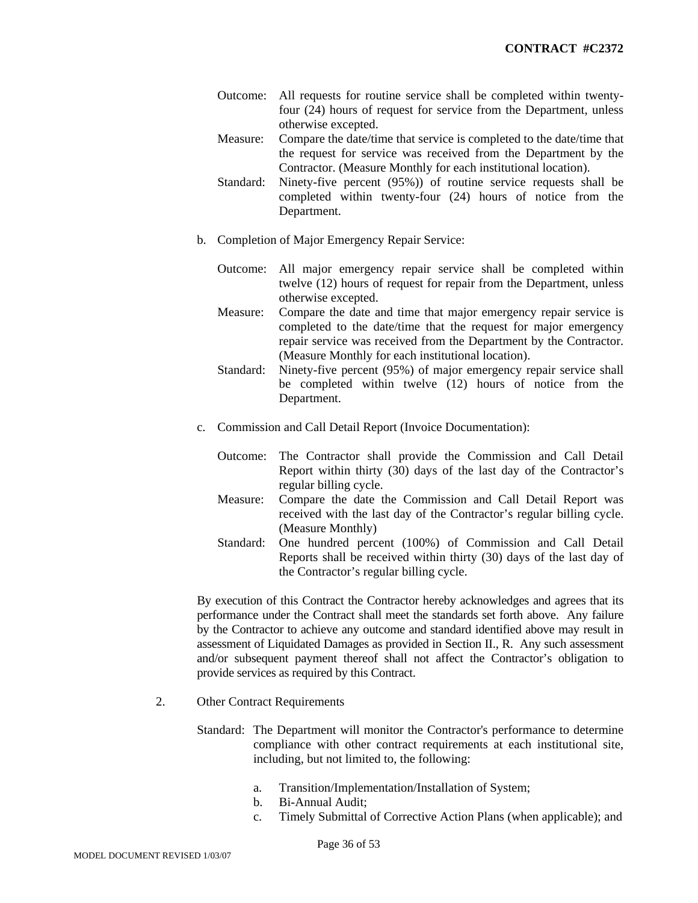- Outcome: All requests for routine service shall be completed within twentyfour (24) hours of request for service from the Department, unless otherwise excepted.
- Measure: Compare the date/time that service is completed to the date/time that the request for service was received from the Department by the Contractor. (Measure Monthly for each institutional location).
- Standard: Ninety-five percent (95%)) of routine service requests shall be completed within twenty-four (24) hours of notice from the Department.
- b. Completion of Major Emergency Repair Service:
	- Outcome: All major emergency repair service shall be completed within twelve (12) hours of request for repair from the Department, unless otherwise excepted.
	- Measure: Compare the date and time that major emergency repair service is completed to the date/time that the request for major emergency repair service was received from the Department by the Contractor. (Measure Monthly for each institutional location).
	- Standard: Ninety-five percent (95%) of major emergency repair service shall be completed within twelve (12) hours of notice from the Department.
- c. Commission and Call Detail Report (Invoice Documentation):
	- Outcome: The Contractor shall provide the Commission and Call Detail Report within thirty (30) days of the last day of the Contractor's regular billing cycle.
	- Measure: Compare the date the Commission and Call Detail Report was received with the last day of the Contractor's regular billing cycle. (Measure Monthly)
	- Standard: One hundred percent (100%) of Commission and Call Detail Reports shall be received within thirty (30) days of the last day of the Contractor's regular billing cycle.

By execution of this Contract the Contractor hereby acknowledges and agrees that its performance under the Contract shall meet the standards set forth above. Any failure by the Contractor to achieve any outcome and standard identified above may result in assessment of Liquidated Damages as provided in Section II., R. Any such assessment and/or subsequent payment thereof shall not affect the Contractor's obligation to provide services as required by this Contract.

- 2. Other Contract Requirements
	- Standard: The Department will monitor the Contractor's performance to determine compliance with other contract requirements at each institutional site, including, but not limited to, the following:
		- a. Transition/Implementation/Installation of System;
		- b. Bi-Annual Audit;
		- c. Timely Submittal of Corrective Action Plans (when applicable); and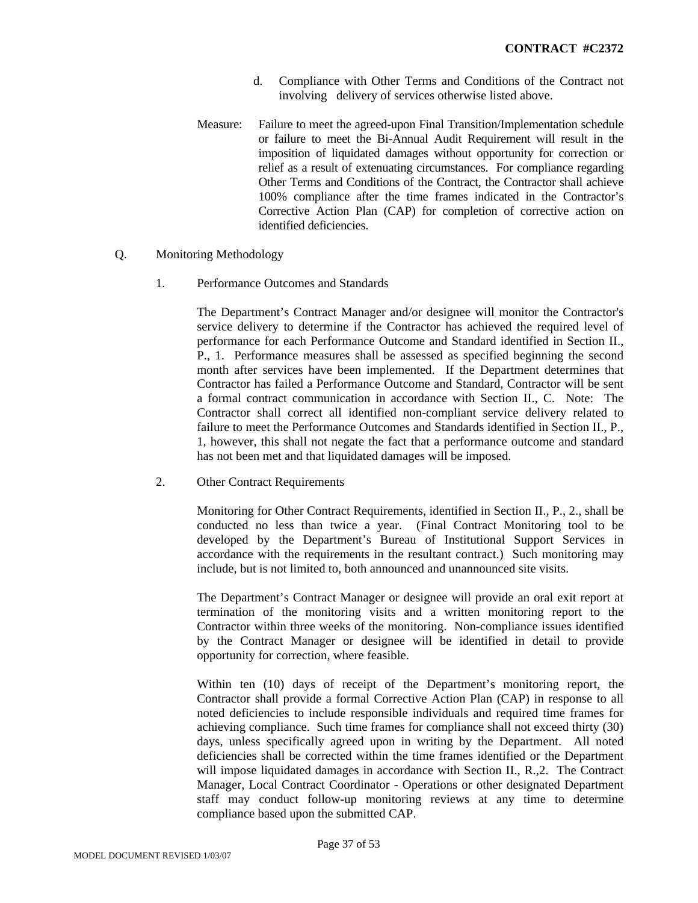- d. Compliance with Other Terms and Conditions of the Contract not involving delivery of services otherwise listed above.
- Measure: Failure to meet the agreed-upon Final Transition/Implementation schedule or failure to meet the Bi-Annual Audit Requirement will result in the imposition of liquidated damages without opportunity for correction or relief as a result of extenuating circumstances. For compliance regarding Other Terms and Conditions of the Contract, the Contractor shall achieve 100% compliance after the time frames indicated in the Contractor's Corrective Action Plan (CAP) for completion of corrective action on identified deficiencies.
- Q. Monitoring Methodology
	- 1. Performance Outcomes and Standards

The Department's Contract Manager and/or designee will monitor the Contractor's service delivery to determine if the Contractor has achieved the required level of performance for each Performance Outcome and Standard identified in Section II., P., 1. Performance measures shall be assessed as specified beginning the second month after services have been implemented. If the Department determines that Contractor has failed a Performance Outcome and Standard, Contractor will be sent a formal contract communication in accordance with Section II., C. Note: The Contractor shall correct all identified non-compliant service delivery related to failure to meet the Performance Outcomes and Standards identified in Section II., P., 1, however, this shall not negate the fact that a performance outcome and standard has not been met and that liquidated damages will be imposed.

2. Other Contract Requirements

Monitoring for Other Contract Requirements, identified in Section II., P., 2., shall be conducted no less than twice a year. (Final Contract Monitoring tool to be developed by the Department's Bureau of Institutional Support Services in accordance with the requirements in the resultant contract.) Such monitoring may include, but is not limited to, both announced and unannounced site visits.

The Department's Contract Manager or designee will provide an oral exit report at termination of the monitoring visits and a written monitoring report to the Contractor within three weeks of the monitoring. Non-compliance issues identified by the Contract Manager or designee will be identified in detail to provide opportunity for correction, where feasible.

Within ten (10) days of receipt of the Department's monitoring report, the Contractor shall provide a formal Corrective Action Plan (CAP) in response to all noted deficiencies to include responsible individuals and required time frames for achieving compliance. Such time frames for compliance shall not exceed thirty (30) days, unless specifically agreed upon in writing by the Department. All noted deficiencies shall be corrected within the time frames identified or the Department will impose liquidated damages in accordance with Section II., R.,2. The Contract Manager, Local Contract Coordinator - Operations or other designated Department staff may conduct follow-up monitoring reviews at any time to determine compliance based upon the submitted CAP.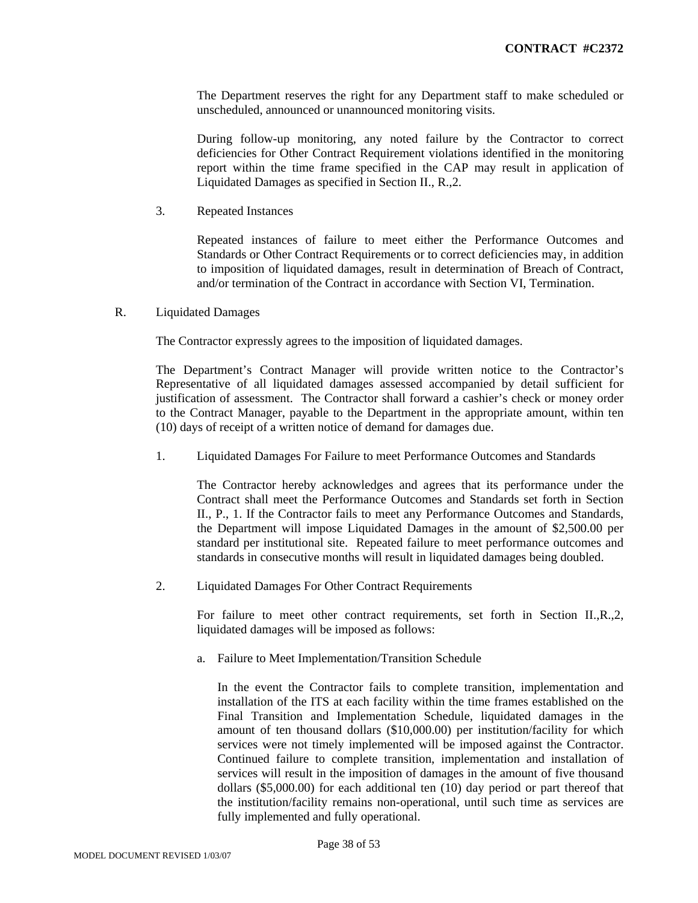The Department reserves the right for any Department staff to make scheduled or unscheduled, announced or unannounced monitoring visits.

During follow-up monitoring, any noted failure by the Contractor to correct deficiencies for Other Contract Requirement violations identified in the monitoring report within the time frame specified in the CAP may result in application of Liquidated Damages as specified in Section II., R.,2.

3. Repeated Instances

Repeated instances of failure to meet either the Performance Outcomes and Standards or Other Contract Requirements or to correct deficiencies may, in addition to imposition of liquidated damages, result in determination of Breach of Contract, and/or termination of the Contract in accordance with Section VI, Termination.

R. Liquidated Damages

The Contractor expressly agrees to the imposition of liquidated damages.

The Department's Contract Manager will provide written notice to the Contractor's Representative of all liquidated damages assessed accompanied by detail sufficient for justification of assessment. The Contractor shall forward a cashier's check or money order to the Contract Manager, payable to the Department in the appropriate amount, within ten (10) days of receipt of a written notice of demand for damages due.

1. Liquidated Damages For Failure to meet Performance Outcomes and Standards

The Contractor hereby acknowledges and agrees that its performance under the Contract shall meet the Performance Outcomes and Standards set forth in Section II., P., 1. If the Contractor fails to meet any Performance Outcomes and Standards, the Department will impose Liquidated Damages in the amount of \$2,500.00 per standard per institutional site. Repeated failure to meet performance outcomes and standards in consecutive months will result in liquidated damages being doubled.

2. Liquidated Damages For Other Contract Requirements

For failure to meet other contract requirements, set forth in Section II.,R.,2, liquidated damages will be imposed as follows:

a. Failure to Meet Implementation/Transition Schedule

In the event the Contractor fails to complete transition, implementation and installation of the ITS at each facility within the time frames established on the Final Transition and Implementation Schedule, liquidated damages in the amount of ten thousand dollars (\$10,000.00) per institution/facility for which services were not timely implemented will be imposed against the Contractor. Continued failure to complete transition, implementation and installation of services will result in the imposition of damages in the amount of five thousand dollars (\$5,000.00) for each additional ten (10) day period or part thereof that the institution/facility remains non-operational, until such time as services are fully implemented and fully operational.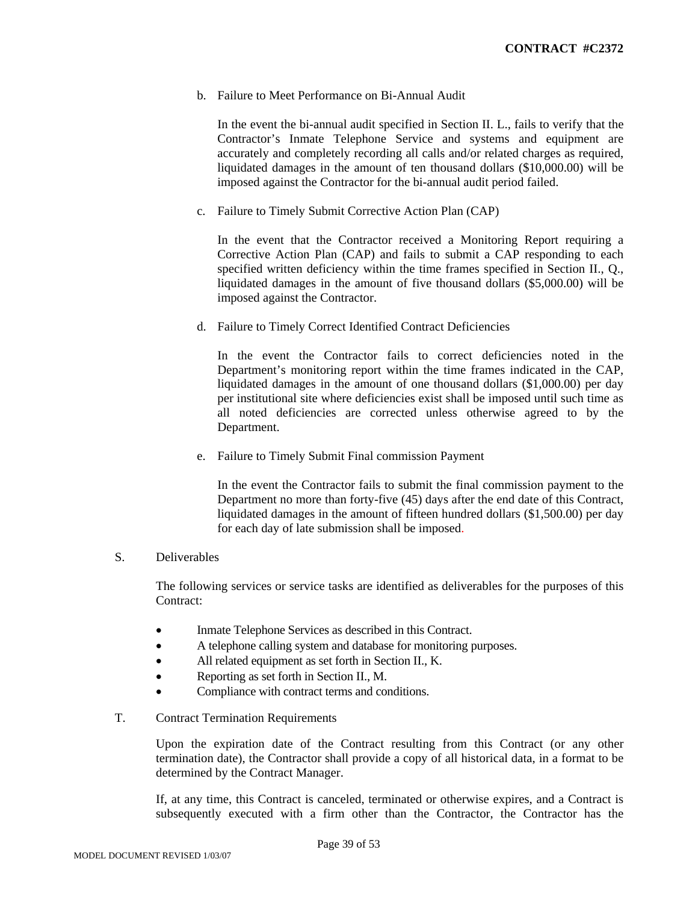b. Failure to Meet Performance on Bi-Annual Audit

In the event the bi-annual audit specified in Section II. L., fails to verify that the Contractor's Inmate Telephone Service and systems and equipment are accurately and completely recording all calls and/or related charges as required, liquidated damages in the amount of ten thousand dollars (\$10,000.00) will be imposed against the Contractor for the bi-annual audit period failed.

c. Failure to Timely Submit Corrective Action Plan (CAP)

In the event that the Contractor received a Monitoring Report requiring a Corrective Action Plan (CAP) and fails to submit a CAP responding to each specified written deficiency within the time frames specified in Section II., Q., liquidated damages in the amount of five thousand dollars (\$5,000.00) will be imposed against the Contractor.

d. Failure to Timely Correct Identified Contract Deficiencies

In the event the Contractor fails to correct deficiencies noted in the Department's monitoring report within the time frames indicated in the CAP, liquidated damages in the amount of one thousand dollars (\$1,000.00) per day per institutional site where deficiencies exist shall be imposed until such time as all noted deficiencies are corrected unless otherwise agreed to by the Department.

e. Failure to Timely Submit Final commission Payment

In the event the Contractor fails to submit the final commission payment to the Department no more than forty-five (45) days after the end date of this Contract, liquidated damages in the amount of fifteen hundred dollars (\$1,500.00) per day for each day of late submission shall be imposed.

S. Deliverables

The following services or service tasks are identified as deliverables for the purposes of this Contract:

- Inmate Telephone Services as described in this Contract.
- A telephone calling system and database for monitoring purposes.
- All related equipment as set forth in Section II., K.
- Reporting as set forth in Section II., M.
- Compliance with contract terms and conditions.
- T. Contract Termination Requirements

Upon the expiration date of the Contract resulting from this Contract (or any other termination date), the Contractor shall provide a copy of all historical data, in a format to be determined by the Contract Manager.

If, at any time, this Contract is canceled, terminated or otherwise expires, and a Contract is subsequently executed with a firm other than the Contractor, the Contractor has the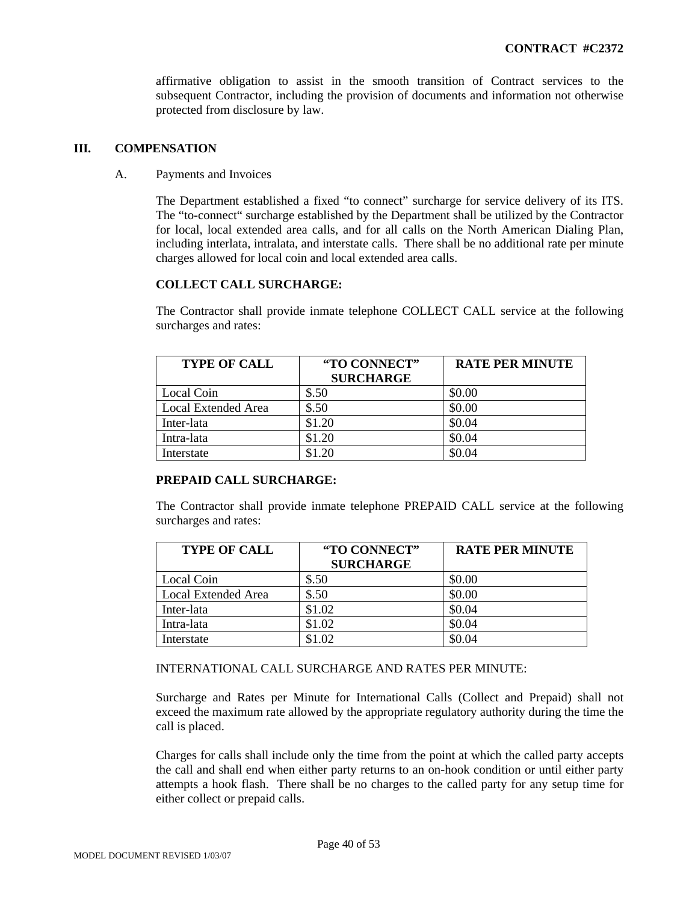affirmative obligation to assist in the smooth transition of Contract services to the subsequent Contractor, including the provision of documents and information not otherwise protected from disclosure by law.

## **III. COMPENSATION**

A. Payments and Invoices

The Department established a fixed "to connect" surcharge for service delivery of its ITS. The "to-connect" surcharge established by the Department shall be utilized by the Contractor for local, local extended area calls, and for all calls on the North American Dialing Plan, including interlata, intralata, and interstate calls. There shall be no additional rate per minute charges allowed for local coin and local extended area calls.

# **COLLECT CALL SURCHARGE:**

The Contractor shall provide inmate telephone COLLECT CALL service at the following surcharges and rates:

| <b>TYPE OF CALL</b> | "TO CONNECT"<br><b>SURCHARGE</b> | <b>RATE PER MINUTE</b> |
|---------------------|----------------------------------|------------------------|
| Local Coin          | \$.50                            | \$0.00                 |
| Local Extended Area | \$.50                            | \$0.00                 |
| Inter-lata          | \$1.20                           | \$0.04                 |
| Intra-lata          | \$1.20                           | \$0.04                 |
| Interstate          | \$1.20                           | \$0.04                 |

# **PREPAID CALL SURCHARGE:**

The Contractor shall provide inmate telephone PREPAID CALL service at the following surcharges and rates:

| <b>TYPE OF CALL</b> | "TO CONNECT"<br><b>SURCHARGE</b> | <b>RATE PER MINUTE</b> |
|---------------------|----------------------------------|------------------------|
| Local Coin          | \$.50                            | \$0.00                 |
| Local Extended Area | \$.50                            | \$0.00                 |
| Inter-lata          | \$1.02                           | \$0.04                 |
| Intra-lata          | \$1.02                           | \$0.04                 |
| Interstate          | \$1.02                           | \$0.04                 |

#### INTERNATIONAL CALL SURCHARGE AND RATES PER MINUTE:

Surcharge and Rates per Minute for International Calls (Collect and Prepaid) shall not exceed the maximum rate allowed by the appropriate regulatory authority during the time the call is placed.

Charges for calls shall include only the time from the point at which the called party accepts the call and shall end when either party returns to an on-hook condition or until either party attempts a hook flash. There shall be no charges to the called party for any setup time for either collect or prepaid calls.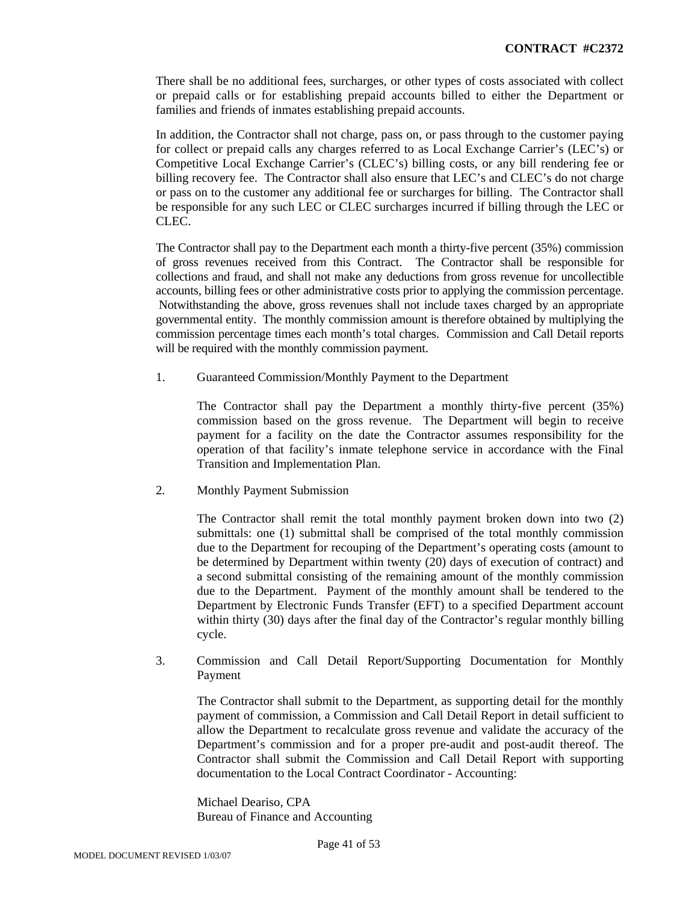There shall be no additional fees, surcharges, or other types of costs associated with collect or prepaid calls or for establishing prepaid accounts billed to either the Department or families and friends of inmates establishing prepaid accounts.

In addition, the Contractor shall not charge, pass on, or pass through to the customer paying for collect or prepaid calls any charges referred to as Local Exchange Carrier's (LEC's) or Competitive Local Exchange Carrier's (CLEC's) billing costs, or any bill rendering fee or billing recovery fee. The Contractor shall also ensure that LEC's and CLEC's do not charge or pass on to the customer any additional fee or surcharges for billing. The Contractor shall be responsible for any such LEC or CLEC surcharges incurred if billing through the LEC or CLEC.

The Contractor shall pay to the Department each month a thirty-five percent (35%) commission of gross revenues received from this Contract. The Contractor shall be responsible for collections and fraud, and shall not make any deductions from gross revenue for uncollectible accounts, billing fees or other administrative costs prior to applying the commission percentage. Notwithstanding the above, gross revenues shall not include taxes charged by an appropriate governmental entity. The monthly commission amount is therefore obtained by multiplying the commission percentage times each month's total charges. Commission and Call Detail reports will be required with the monthly commission payment.

1. Guaranteed Commission/Monthly Payment to the Department

The Contractor shall pay the Department a monthly thirty-five percent (35%) commission based on the gross revenue. The Department will begin to receive payment for a facility on the date the Contractor assumes responsibility for the operation of that facility's inmate telephone service in accordance with the Final Transition and Implementation Plan.

2. Monthly Payment Submission

The Contractor shall remit the total monthly payment broken down into two (2) submittals: one (1) submittal shall be comprised of the total monthly commission due to the Department for recouping of the Department's operating costs (amount to be determined by Department within twenty (20) days of execution of contract) and a second submittal consisting of the remaining amount of the monthly commission due to the Department. Payment of the monthly amount shall be tendered to the Department by Electronic Funds Transfer (EFT) to a specified Department account within thirty (30) days after the final day of the Contractor's regular monthly billing cycle.

3. Commission and Call Detail Report/Supporting Documentation for Monthly Payment

The Contractor shall submit to the Department, as supporting detail for the monthly payment of commission, a Commission and Call Detail Report in detail sufficient to allow the Department to recalculate gross revenue and validate the accuracy of the Department's commission and for a proper pre-audit and post-audit thereof. The Contractor shall submit the Commission and Call Detail Report with supporting documentation to the Local Contract Coordinator - Accounting:

Michael Deariso, CPA Bureau of Finance and Accounting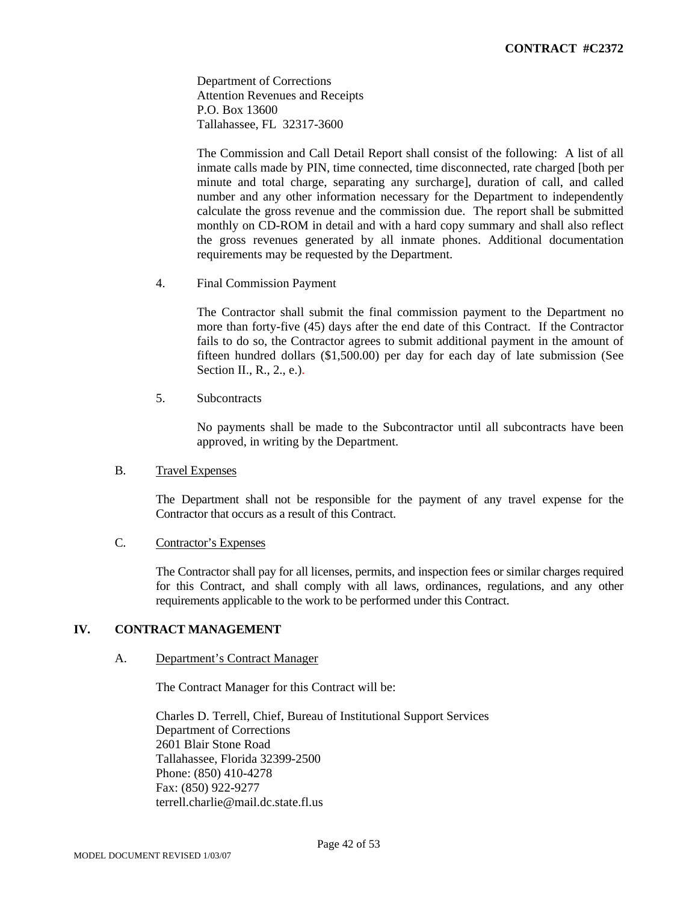Department of Corrections Attention Revenues and Receipts P.O. Box 13600 Tallahassee, FL 32317-3600

The Commission and Call Detail Report shall consist of the following: A list of all inmate calls made by PIN, time connected, time disconnected, rate charged [both per minute and total charge, separating any surcharge], duration of call, and called number and any other information necessary for the Department to independently calculate the gross revenue and the commission due. The report shall be submitted monthly on CD-ROM in detail and with a hard copy summary and shall also reflect the gross revenues generated by all inmate phones. Additional documentation requirements may be requested by the Department.

4. Final Commission Payment

The Contractor shall submit the final commission payment to the Department no more than forty-five (45) days after the end date of this Contract. If the Contractor fails to do so, the Contractor agrees to submit additional payment in the amount of fifteen hundred dollars (\$1,500.00) per day for each day of late submission (See Section II., R., 2., e.).

5. Subcontracts

No payments shall be made to the Subcontractor until all subcontracts have been approved, in writing by the Department.

## B. Travel Expenses

The Department shall not be responsible for the payment of any travel expense for the Contractor that occurs as a result of this Contract.

# C. Contractor's Expenses

The Contractor shall pay for all licenses, permits, and inspection fees or similar charges required for this Contract, and shall comply with all laws, ordinances, regulations, and any other requirements applicable to the work to be performed under this Contract.

#### **IV. CONTRACT MANAGEMENT**

#### A. Department's Contract Manager

The Contract Manager for this Contract will be:

Charles D. Terrell, Chief, Bureau of Institutional Support Services Department of Corrections 2601 Blair Stone Road Tallahassee, Florida 32399-2500 Phone: (850) 410-4278 Fax: (850) 922-9277 terrell.charlie@mail.dc.state.fl.us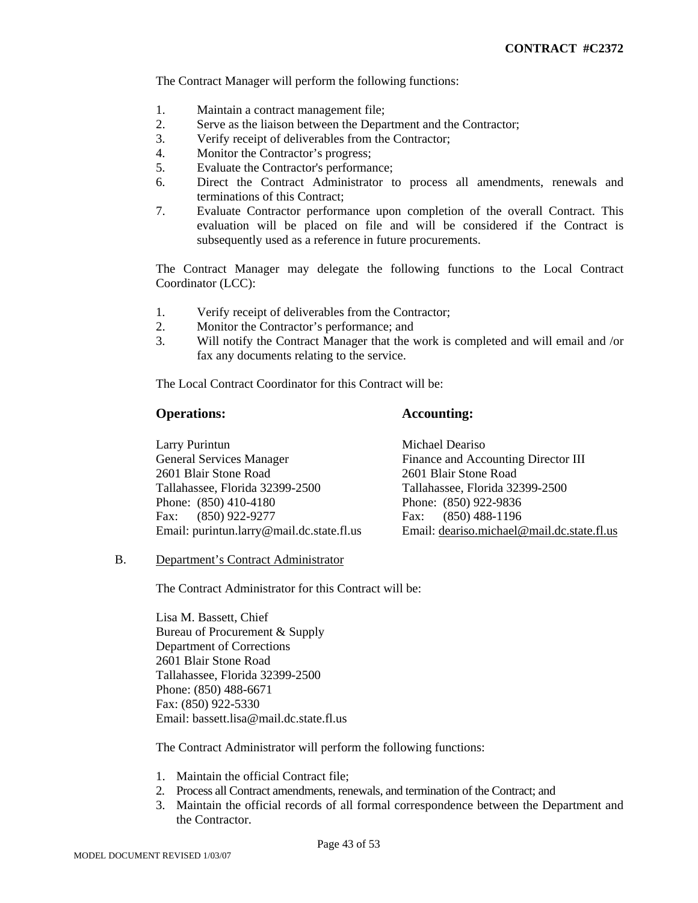The Contract Manager will perform the following functions:

- 1. Maintain a contract management file;
- 2. Serve as the liaison between the Department and the Contractor;
- 3. Verify receipt of deliverables from the Contractor;
- 4. Monitor the Contractor's progress;
- 5. Evaluate the Contractor's performance;
- 6. Direct the Contract Administrator to process all amendments, renewals and terminations of this Contract;
- 7. Evaluate Contractor performance upon completion of the overall Contract. This evaluation will be placed on file and will be considered if the Contract is subsequently used as a reference in future procurements.

The Contract Manager may delegate the following functions to the Local Contract Coordinator (LCC):

- 1. Verify receipt of deliverables from the Contractor;
- 2. Monitor the Contractor's performance; and
- 3. Will notify the Contract Manager that the work is completed and will email and /or fax any documents relating to the service.

The Local Contract Coordinator for this Contract will be:

# **Operations: Accounting:**

| Larry Purintun                            | Michael Deariso                            |
|-------------------------------------------|--------------------------------------------|
| <b>General Services Manager</b>           | Finance and Accounting Director III        |
| 2601 Blair Stone Road                     | 2601 Blair Stone Road                      |
| Tallahassee, Florida 32399-2500           | Tallahassee, Florida 32399-2500            |
| Phone: $(850)$ 410-4180                   | Phone: (850) 922-9836                      |
| Fax: (850) 922-9277                       | Fax: $(850)$ 488-1196                      |
| Email: purintun.larry@mail.dc.state.fl.us | Email: deariso.michael@mail.dc.state.fl.us |

#### B. Department's Contract Administrator

The Contract Administrator for this Contract will be:

Lisa M. Bassett, Chief Bureau of Procurement & Supply Department of Corrections 2601 Blair Stone Road Tallahassee, Florida 32399-2500 Phone: (850) 488-6671 Fax: (850) 922-5330 Email: bassett.lisa@mail.dc.state.fl.us

The Contract Administrator will perform the following functions:

- 1. Maintain the official Contract file;
- 2. Process all Contract amendments, renewals, and termination of the Contract; and
- 3. Maintain the official records of all formal correspondence between the Department and the Contractor.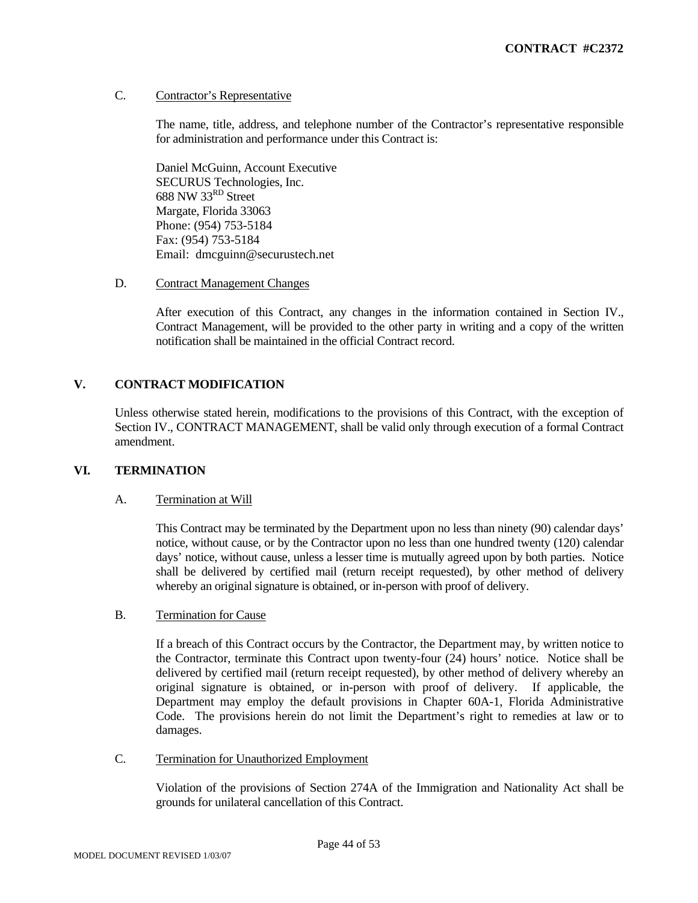### C. Contractor's Representative

The name, title, address, and telephone number of the Contractor's representative responsible for administration and performance under this Contract is:

Daniel McGuinn, Account Executive SECURUS Technologies, Inc. 688 NW 33<sup>RD</sup> Street Margate, Florida 33063 Phone: (954) 753-5184 Fax: (954) 753-5184 Email: dmcguinn@securustech.net

#### D. Contract Management Changes

After execution of this Contract, any changes in the information contained in Section IV., Contract Management, will be provided to the other party in writing and a copy of the written notification shall be maintained in the official Contract record.

# **V. CONTRACT MODIFICATION**

Unless otherwise stated herein, modifications to the provisions of this Contract, with the exception of Section IV., CONTRACT MANAGEMENT, shall be valid only through execution of a formal Contract amendment.

# **VI. TERMINATION**

#### A. Termination at Will

 This Contract may be terminated by the Department upon no less than ninety (90) calendar days' notice, without cause, or by the Contractor upon no less than one hundred twenty (120) calendar days' notice, without cause, unless a lesser time is mutually agreed upon by both parties. Notice shall be delivered by certified mail (return receipt requested), by other method of delivery whereby an original signature is obtained, or in-person with proof of delivery.

#### B. Termination for Cause

If a breach of this Contract occurs by the Contractor, the Department may, by written notice to the Contractor, terminate this Contract upon twenty-four (24) hours' notice. Notice shall be delivered by certified mail (return receipt requested), by other method of delivery whereby an original signature is obtained, or in-person with proof of delivery. If applicable, the Department may employ the default provisions in Chapter 60A-1, Florida Administrative Code. The provisions herein do not limit the Department's right to remedies at law or to damages.

#### C. Termination for Unauthorized Employment

 Violation of the provisions of Section 274A of the Immigration and Nationality Act shall be grounds for unilateral cancellation of this Contract.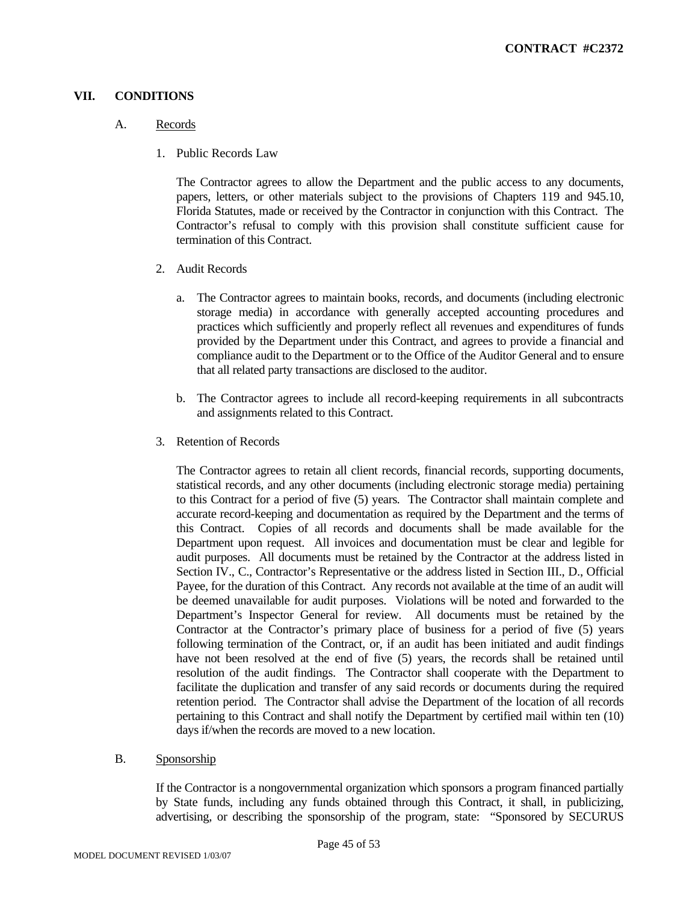## **VII. CONDITIONS**

#### A. Records

1. Public Records Law

The Contractor agrees to allow the Department and the public access to any documents, papers, letters, or other materials subject to the provisions of Chapters 119 and 945.10, Florida Statutes, made or received by the Contractor in conjunction with this Contract. The Contractor's refusal to comply with this provision shall constitute sufficient cause for termination of this Contract.

- 2. Audit Records
	- a. The Contractor agrees to maintain books, records, and documents (including electronic storage media) in accordance with generally accepted accounting procedures and practices which sufficiently and properly reflect all revenues and expenditures of funds provided by the Department under this Contract, and agrees to provide a financial and compliance audit to the Department or to the Office of the Auditor General and to ensure that all related party transactions are disclosed to the auditor.
	- b. The Contractor agrees to include all record-keeping requirements in all subcontracts and assignments related to this Contract.
- 3. Retention of Records

The Contractor agrees to retain all client records, financial records, supporting documents, statistical records, and any other documents (including electronic storage media) pertaining to this Contract for a period of five (5) years*.* The Contractor shall maintain complete and accurate record-keeping and documentation as required by the Department and the terms of this Contract. Copies of all records and documents shall be made available for the Department upon request. All invoices and documentation must be clear and legible for audit purposes. All documents must be retained by the Contractor at the address listed in Section IV., C., Contractor's Representative or the address listed in Section III., D., Official Payee, for the duration of this Contract. Any records not available at the time of an audit will be deemed unavailable for audit purposes. Violations will be noted and forwarded to the Department's Inspector General for review. All documents must be retained by the Contractor at the Contractor's primary place of business for a period of five (5) years following termination of the Contract, or, if an audit has been initiated and audit findings have not been resolved at the end of five (5) years, the records shall be retained until resolution of the audit findings. The Contractor shall cooperate with the Department to facilitate the duplication and transfer of any said records or documents during the required retention period. The Contractor shall advise the Department of the location of all records pertaining to this Contract and shall notify the Department by certified mail within ten (10) days if/when the records are moved to a new location.

B. Sponsorship

If the Contractor is a nongovernmental organization which sponsors a program financed partially by State funds, including any funds obtained through this Contract, it shall, in publicizing, advertising, or describing the sponsorship of the program, state: "Sponsored by SECURUS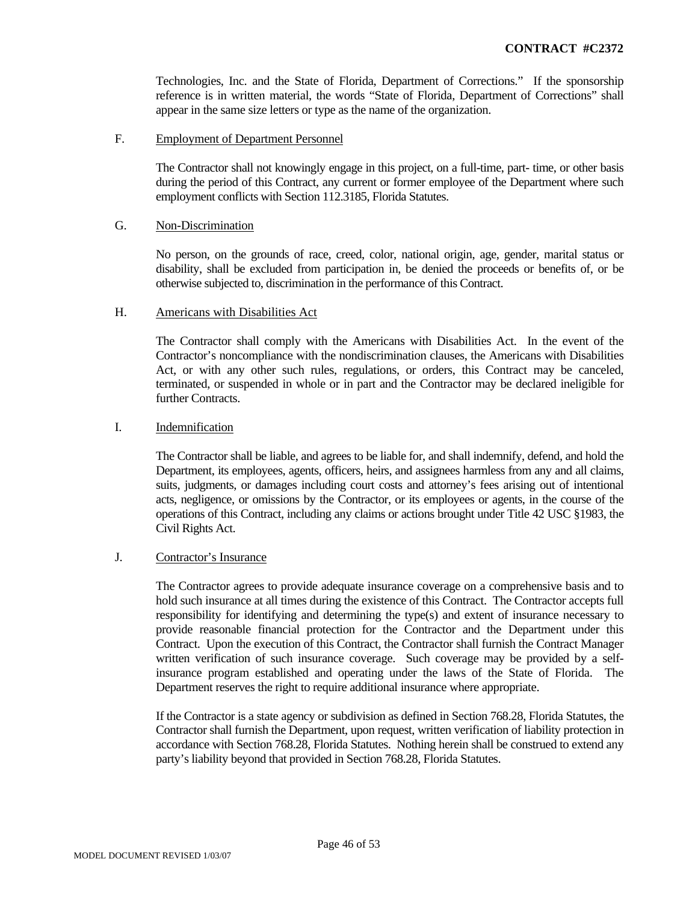Technologies, Inc. and the State of Florida, Department of Corrections." If the sponsorship reference is in written material, the words "State of Florida, Department of Corrections" shall appear in the same size letters or type as the name of the organization.

F. Employment of Department Personnel

The Contractor shall not knowingly engage in this project, on a full-time, part- time, or other basis during the period of this Contract, any current or former employee of the Department where such employment conflicts with Section 112.3185, Florida Statutes.

#### G. Non-Discrimination

No person, on the grounds of race, creed, color, national origin, age, gender, marital status or disability, shall be excluded from participation in, be denied the proceeds or benefits of, or be otherwise subjected to, discrimination in the performance of this Contract.

#### H. Americans with Disabilities Act

 The Contractor shall comply with the Americans with Disabilities Act. In the event of the Contractor's noncompliance with the nondiscrimination clauses, the Americans with Disabilities Act, or with any other such rules, regulations, or orders, this Contract may be canceled, terminated, or suspended in whole or in part and the Contractor may be declared ineligible for further Contracts.

### I. Indemnification

The Contractor shall be liable, and agrees to be liable for, and shall indemnify, defend, and hold the Department, its employees, agents, officers, heirs, and assignees harmless from any and all claims, suits, judgments, or damages including court costs and attorney's fees arising out of intentional acts, negligence, or omissions by the Contractor, or its employees or agents, in the course of the operations of this Contract, including any claims or actions brought under Title 42 USC §1983, the Civil Rights Act.

#### J. Contractor's Insurance

The Contractor agrees to provide adequate insurance coverage on a comprehensive basis and to hold such insurance at all times during the existence of this Contract. The Contractor accepts full responsibility for identifying and determining the type(s) and extent of insurance necessary to provide reasonable financial protection for the Contractor and the Department under this Contract. Upon the execution of this Contract, the Contractor shall furnish the Contract Manager written verification of such insurance coverage. Such coverage may be provided by a selfinsurance program established and operating under the laws of the State of Florida. The Department reserves the right to require additional insurance where appropriate.

If the Contractor is a state agency or subdivision as defined in Section 768.28, Florida Statutes, the Contractor shall furnish the Department, upon request, written verification of liability protection in accordance with Section 768.28, Florida Statutes. Nothing herein shall be construed to extend any party's liability beyond that provided in Section 768.28, Florida Statutes.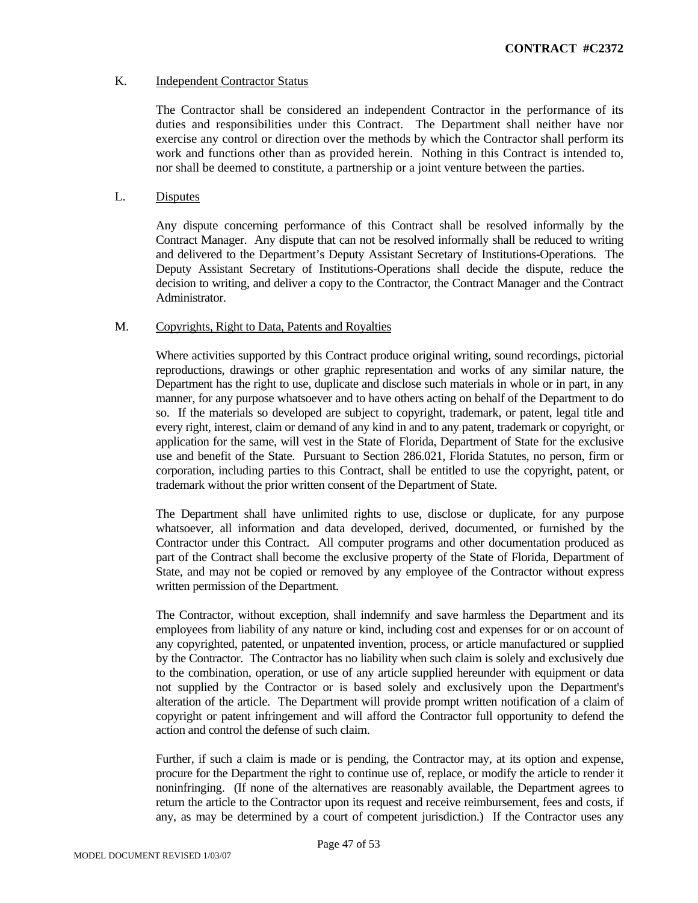### K. Independent Contractor Status

The Contractor shall be considered an independent Contractor in the performance of its duties and responsibilities under this Contract. The Department shall neither have nor exercise any control or direction over the methods by which the Contractor shall perform its work and functions other than as provided herein. Nothing in this Contract is intended to, nor shall be deemed to constitute, a partnership or a joint venture between the parties.

## L. Disputes

Any dispute concerning performance of this Contract shall be resolved informally by the Contract Manager. Any dispute that can not be resolved informally shall be reduced to writing and delivered to the Department's Deputy Assistant Secretary of Institutions-Operations. The Deputy Assistant Secretary of Institutions-Operations shall decide the dispute, reduce the decision to writing, and deliver a copy to the Contractor, the Contract Manager and the Contract Administrator.

#### M. Copyrights, Right to Data, Patents and Royalties

Where activities supported by this Contract produce original writing, sound recordings, pictorial reproductions, drawings or other graphic representation and works of any similar nature, the Department has the right to use, duplicate and disclose such materials in whole or in part, in any manner, for any purpose whatsoever and to have others acting on behalf of the Department to do so. If the materials so developed are subject to copyright, trademark, or patent, legal title and every right, interest, claim or demand of any kind in and to any patent, trademark or copyright, or application for the same, will vest in the State of Florida, Department of State for the exclusive use and benefit of the State. Pursuant to Section 286.021, Florida Statutes, no person, firm or corporation, including parties to this Contract, shall be entitled to use the copyright, patent, or trademark without the prior written consent of the Department of State.

The Department shall have unlimited rights to use, disclose or duplicate, for any purpose whatsoever, all information and data developed, derived, documented, or furnished by the Contractor under this Contract. All computer programs and other documentation produced as part of the Contract shall become the exclusive property of the State of Florida, Department of State, and may not be copied or removed by any employee of the Contractor without express written permission of the Department.

The Contractor, without exception, shall indemnify and save harmless the Department and its employees from liability of any nature or kind, including cost and expenses for or on account of any copyrighted, patented, or unpatented invention, process, or article manufactured or supplied by the Contractor. The Contractor has no liability when such claim is solely and exclusively due to the combination, operation, or use of any article supplied hereunder with equipment or data not supplied by the Contractor or is based solely and exclusively upon the Department's alteration of the article. The Department will provide prompt written notification of a claim of copyright or patent infringement and will afford the Contractor full opportunity to defend the action and control the defense of such claim.

 Further, if such a claim is made or is pending, the Contractor may, at its option and expense, procure for the Department the right to continue use of, replace, or modify the article to render it noninfringing. (If none of the alternatives are reasonably available, the Department agrees to return the article to the Contractor upon its request and receive reimbursement, fees and costs, if any, as may be determined by a court of competent jurisdiction.) If the Contractor uses any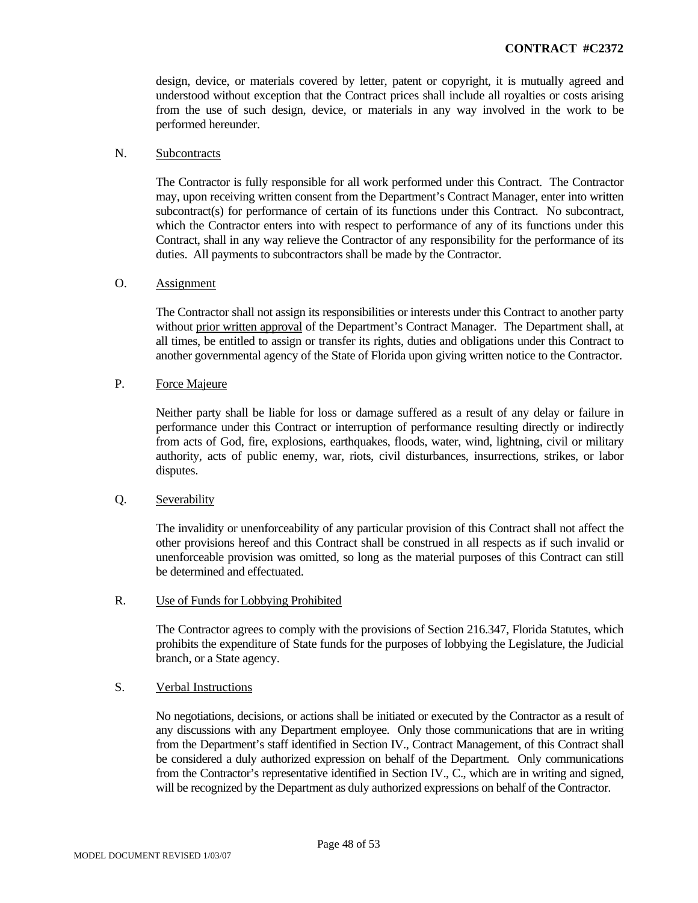design, device, or materials covered by letter, patent or copyright, it is mutually agreed and understood without exception that the Contract prices shall include all royalties or costs arising from the use of such design, device, or materials in any way involved in the work to be performed hereunder.

#### N. Subcontracts

The Contractor is fully responsible for all work performed under this Contract. The Contractor may, upon receiving written consent from the Department's Contract Manager, enter into written subcontract(s) for performance of certain of its functions under this Contract. No subcontract, which the Contractor enters into with respect to performance of any of its functions under this Contract, shall in any way relieve the Contractor of any responsibility for the performance of its duties. All payments to subcontractors shall be made by the Contractor.

#### O. Assignment

The Contractor shall not assign its responsibilities or interests under this Contract to another party without prior written approval of the Department's Contract Manager. The Department shall, at all times, be entitled to assign or transfer its rights, duties and obligations under this Contract to another governmental agency of the State of Florida upon giving written notice to the Contractor.

# P. Force Majeure

Neither party shall be liable for loss or damage suffered as a result of any delay or failure in performance under this Contract or interruption of performance resulting directly or indirectly from acts of God, fire, explosions, earthquakes, floods, water, wind, lightning, civil or military authority, acts of public enemy, war, riots, civil disturbances, insurrections, strikes, or labor disputes.

#### Q. Severability

The invalidity or unenforceability of any particular provision of this Contract shall not affect the other provisions hereof and this Contract shall be construed in all respects as if such invalid or unenforceable provision was omitted, so long as the material purposes of this Contract can still be determined and effectuated.

#### R. Use of Funds for Lobbying Prohibited

The Contractor agrees to comply with the provisions of Section 216.347, Florida Statutes, which prohibits the expenditure of State funds for the purposes of lobbying the Legislature, the Judicial branch, or a State agency.

#### S. Verbal Instructions

No negotiations, decisions, or actions shall be initiated or executed by the Contractor as a result of any discussions with any Department employee. Only those communications that are in writing from the Department's staff identified in Section IV., Contract Management, of this Contract shall be considered a duly authorized expression on behalf of the Department. Only communications from the Contractor's representative identified in Section IV., C., which are in writing and signed, will be recognized by the Department as duly authorized expressions on behalf of the Contractor.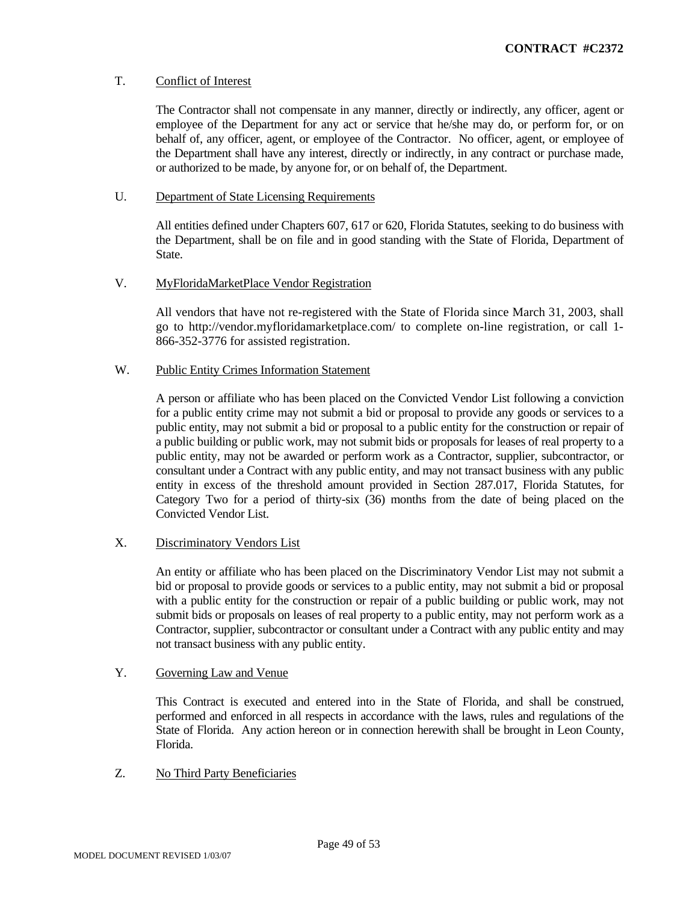# T. Conflict of Interest

The Contractor shall not compensate in any manner, directly or indirectly, any officer, agent or employee of the Department for any act or service that he/she may do, or perform for, or on behalf of, any officer, agent, or employee of the Contractor. No officer, agent, or employee of the Department shall have any interest, directly or indirectly, in any contract or purchase made, or authorized to be made, by anyone for, or on behalf of, the Department.

#### U. Department of State Licensing Requirements

All entities defined under Chapters 607, 617 or 620, Florida Statutes, seeking to do business with the Department, shall be on file and in good standing with the State of Florida, Department of State.

# V. MyFloridaMarketPlace Vendor Registration

All vendors that have not re-registered with the State of Florida since March 31, 2003, shall go to http://vendor.myfloridamarketplace.com/ to complete on-line registration, or call 1- 866-352-3776 for assisted registration.

# W. Public Entity Crimes Information Statement

A person or affiliate who has been placed on the Convicted Vendor List following a conviction for a public entity crime may not submit a bid or proposal to provide any goods or services to a public entity, may not submit a bid or proposal to a public entity for the construction or repair of a public building or public work, may not submit bids or proposals for leases of real property to a public entity, may not be awarded or perform work as a Contractor, supplier, subcontractor, or consultant under a Contract with any public entity, and may not transact business with any public entity in excess of the threshold amount provided in Section 287.017, Florida Statutes, for Category Two for a period of thirty-six (36) months from the date of being placed on the Convicted Vendor List.

# X. Discriminatory Vendors List

An entity or affiliate who has been placed on the Discriminatory Vendor List may not submit a bid or proposal to provide goods or services to a public entity, may not submit a bid or proposal with a public entity for the construction or repair of a public building or public work, may not submit bids or proposals on leases of real property to a public entity, may not perform work as a Contractor, supplier, subcontractor or consultant under a Contract with any public entity and may not transact business with any public entity.

# Y. Governing Law and Venue

This Contract is executed and entered into in the State of Florida, and shall be construed, performed and enforced in all respects in accordance with the laws, rules and regulations of the State of Florida. Any action hereon or in connection herewith shall be brought in Leon County, Florida.

# Z. No Third Party Beneficiaries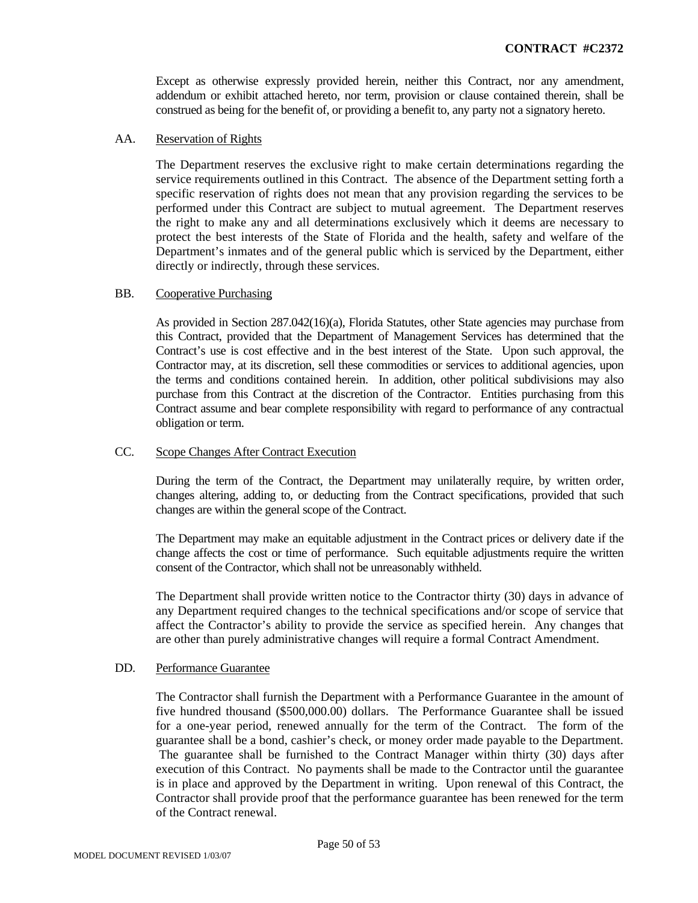Except as otherwise expressly provided herein, neither this Contract, nor any amendment, addendum or exhibit attached hereto, nor term, provision or clause contained therein, shall be construed as being for the benefit of, or providing a benefit to, any party not a signatory hereto.

#### AA. Reservation of Rights

The Department reserves the exclusive right to make certain determinations regarding the service requirements outlined in this Contract. The absence of the Department setting forth a specific reservation of rights does not mean that any provision regarding the services to be performed under this Contract are subject to mutual agreement. The Department reserves the right to make any and all determinations exclusively which it deems are necessary to protect the best interests of the State of Florida and the health, safety and welfare of the Department's inmates and of the general public which is serviced by the Department, either directly or indirectly, through these services.

#### BB. Cooperative Purchasing

As provided in Section 287.042(16)(a), Florida Statutes, other State agencies may purchase from this Contract, provided that the Department of Management Services has determined that the Contract's use is cost effective and in the best interest of the State. Upon such approval, the Contractor may, at its discretion, sell these commodities or services to additional agencies, upon the terms and conditions contained herein. In addition, other political subdivisions may also purchase from this Contract at the discretion of the Contractor. Entities purchasing from this Contract assume and bear complete responsibility with regard to performance of any contractual obligation or term.

# CC. Scope Changes After Contract Execution

During the term of the Contract, the Department may unilaterally require, by written order, changes altering, adding to, or deducting from the Contract specifications, provided that such changes are within the general scope of the Contract.

The Department may make an equitable adjustment in the Contract prices or delivery date if the change affects the cost or time of performance. Such equitable adjustments require the written consent of the Contractor, which shall not be unreasonably withheld.

The Department shall provide written notice to the Contractor thirty (30) days in advance of any Department required changes to the technical specifications and/or scope of service that affect the Contractor's ability to provide the service as specified herein. Any changes that are other than purely administrative changes will require a formal Contract Amendment.

#### DD. Performance Guarantee

The Contractor shall furnish the Department with a Performance Guarantee in the amount of five hundred thousand (\$500,000.00) dollars. The Performance Guarantee shall be issued for a one-year period, renewed annually for the term of the Contract. The form of the guarantee shall be a bond, cashier's check, or money order made payable to the Department. The guarantee shall be furnished to the Contract Manager within thirty (30) days after execution of this Contract. No payments shall be made to the Contractor until the guarantee is in place and approved by the Department in writing. Upon renewal of this Contract, the Contractor shall provide proof that the performance guarantee has been renewed for the term of the Contract renewal.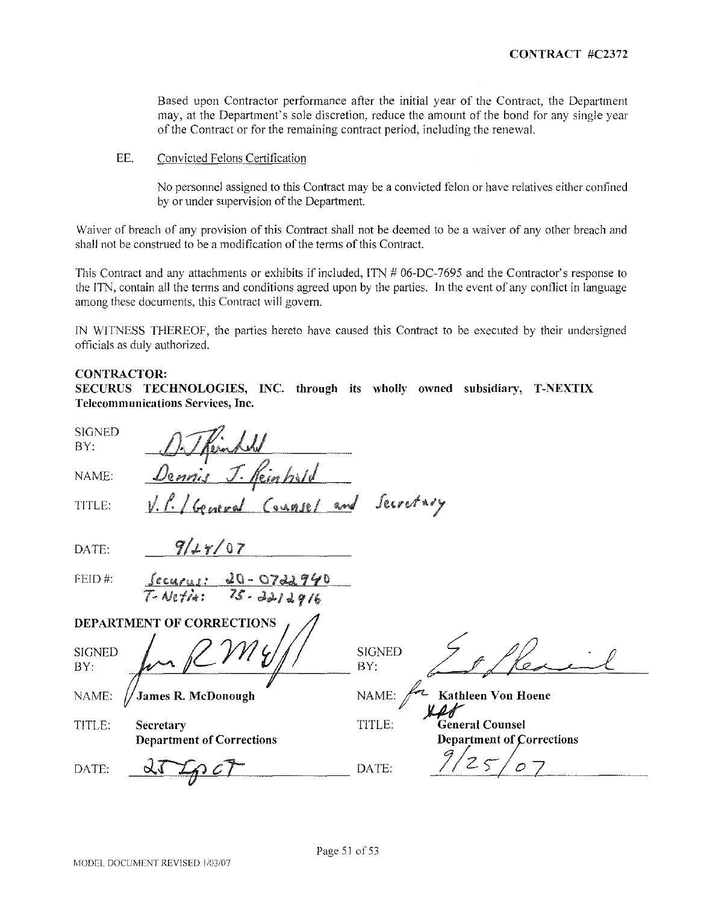Based upon Contractor performance after the initial year of the Contract, the Department may, at the Department's sole discretion, reduce the amount of the bond for any single year ofthe Contract or for the remaining contract period, including the renewal.

EE. Convicted Felons Certification

No personnel assigned to this Contract may be a convicted felon or have relatives either confincd by or under supervision of the Department.

Waiver of breach of any provision of this Contract shall not be deemed to be a waiver of any other breach and shall not be construed to be a modification of the terms of this Contract.

This Contract and any attachments or exhibits if included, ITN # 06-DC-7695 and the Contractor's response to the ITN, contain all the terms and conditions agreed upon by the parties. In the event of any conflict in language among these documents, this Contract \vill govern.

IN WITNESS THEREOF, the parties hereto have caused this Contract to be executed by their undersigned officials as duly authorized.

#### CONTRACTOR:

SECURUS TECHNOLOGIES, INC. through its wholly owned subsidiary, T-NEXTIX **Telecommunications Services, Inc.**

| <b>SIGNED</b><br>BY: |                                               |                      |                                                            |
|----------------------|-----------------------------------------------|----------------------|------------------------------------------------------------|
| NAME:                | <u>Dennis J. Keinhald</u>                     |                      |                                                            |
| TITLE:               | General Counsel and Secretary<br>$\sqrt{2}$   |                      |                                                            |
| DATE:                | 9/29/07                                       |                      |                                                            |
| FEID#:               | Securis: 20-0722940<br>$T-Wetir: 75.3212916$  |                      |                                                            |
|                      | DEPARTMENT OF CORRECTIONS                     |                      |                                                            |
| <b>SIGNED</b><br>BY: |                                               | <b>SIGNED</b><br>BY. |                                                            |
| NAME:                | James R. McDonough                            | NAME:                | Kathleen Von Hoene                                         |
| TITLE:               | Secretary<br><b>Department of Corrections</b> | TITLE:               | <b>General Counsel</b><br><b>Department of Corrections</b> |
| DATE:                |                                               | DATE:                |                                                            |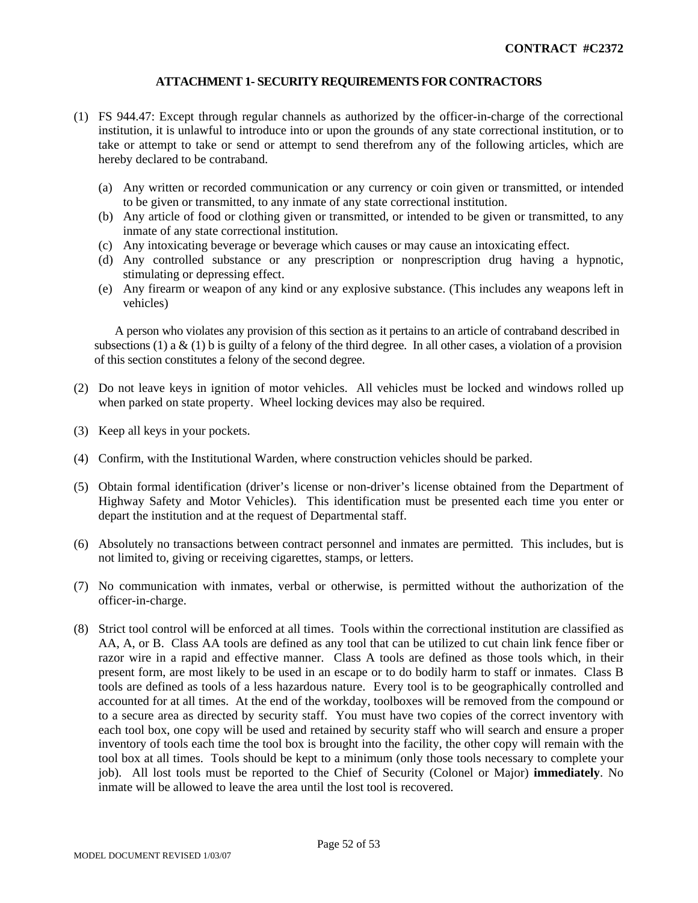# **ATTACHMENT 1- SECURITY REQUIREMENTS FOR CONTRACTORS**

- (1) FS 944.47: Except through regular channels as authorized by the officer-in-charge of the correctional institution, it is unlawful to introduce into or upon the grounds of any state correctional institution, or to take or attempt to take or send or attempt to send therefrom any of the following articles, which are hereby declared to be contraband.
	- (a) Any written or recorded communication or any currency or coin given or transmitted, or intended to be given or transmitted, to any inmate of any state correctional institution.
	- (b) Any article of food or clothing given or transmitted, or intended to be given or transmitted, to any inmate of any state correctional institution.
	- (c) Any intoxicating beverage or beverage which causes or may cause an intoxicating effect.
	- (d) Any controlled substance or any prescription or nonprescription drug having a hypnotic, stimulating or depressing effect.
	- (e) Any firearm or weapon of any kind or any explosive substance. (This includes any weapons left in vehicles)

A person who violates any provision of this section as it pertains to an article of contraband described in subsections (1) a & (1) b is guilty of a felony of the third degree. In all other cases, a violation of a provision of this section constitutes a felony of the second degree.

- (2) Do not leave keys in ignition of motor vehicles. All vehicles must be locked and windows rolled up when parked on state property. Wheel locking devices may also be required.
- (3) Keep all keys in your pockets.
- (4) Confirm, with the Institutional Warden, where construction vehicles should be parked.
- (5) Obtain formal identification (driver's license or non-driver's license obtained from the Department of Highway Safety and Motor Vehicles). This identification must be presented each time you enter or depart the institution and at the request of Departmental staff.
- (6) Absolutely no transactions between contract personnel and inmates are permitted. This includes, but is not limited to, giving or receiving cigarettes, stamps, or letters.
- (7) No communication with inmates, verbal or otherwise, is permitted without the authorization of the officer-in-charge.
- (8) Strict tool control will be enforced at all times. Tools within the correctional institution are classified as AA, A, or B. Class AA tools are defined as any tool that can be utilized to cut chain link fence fiber or razor wire in a rapid and effective manner. Class A tools are defined as those tools which, in their present form, are most likely to be used in an escape or to do bodily harm to staff or inmates. Class B tools are defined as tools of a less hazardous nature. Every tool is to be geographically controlled and accounted for at all times. At the end of the workday, toolboxes will be removed from the compound or to a secure area as directed by security staff. You must have two copies of the correct inventory with each tool box, one copy will be used and retained by security staff who will search and ensure a proper inventory of tools each time the tool box is brought into the facility, the other copy will remain with the tool box at all times. Tools should be kept to a minimum (only those tools necessary to complete your job). All lost tools must be reported to the Chief of Security (Colonel or Major) **immediately**. No inmate will be allowed to leave the area until the lost tool is recovered.